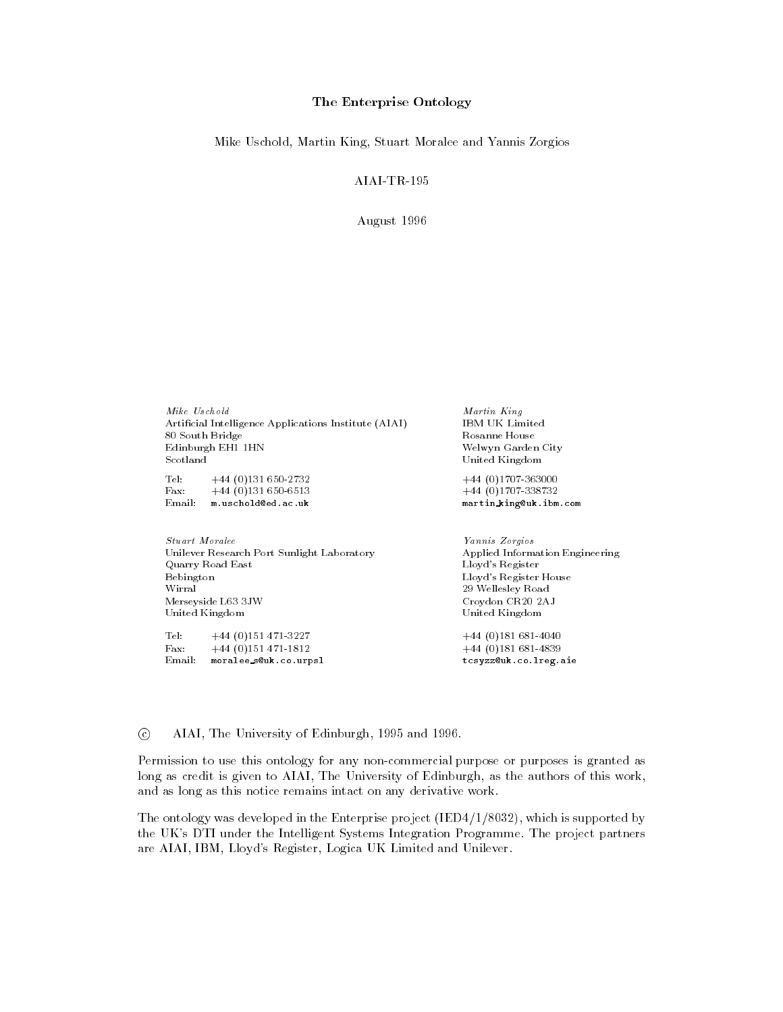#### The Enterprise Ontology

Mike Uschold, Martin King, Stuart Moralee and Yannis Zorgios

August -

Mike Uschold Martin King Artificial Intelligence Applications Institute (AIAI) 80 South Bridge Rosanne House Rosanne House Edinburgh EH1 1HN Rosanne House Rosanne House Edinburgh EH1 1HN Scotland United Kingdom

Tel - Fax -  Email: m.uschold@ed.ac.uk martin\_king@uk.ibm.com

Stuart Moralee Yannis Zorgios Unilever Research Port Sunlight Laboratory Applied Information Engineering Quarry Road East Lloyd's Register Bebington Lloyd's Register House Wirral Wellesley Road Merseyside L JW Croydon CR

AJ United Kingdom United Kingdom

Tel:  $+44(0)151471-3227$ . The set of the set of the set of the set of the set of the set of the set of the set of the set of the set of the set of the set of the set of the set of the set of the set of the set of the set of the set of the set of Email: moralee\_s@uk.co.urpsl tcsyzz@uk.co.lreg.aie

 IBM UK Limited Welwyn Garden City


 - - 

 - 

© AIAI, The University of Edinburgh, 1995 and 1996.

Permission to use this ontology for any non-commercial purpose or purposes is granted as long as credit is given to AIAI, The University of Edinburgh, as the authors of this work, and as long as this notice remains intact on any derivative work

The ontology was developed in the Enterprise project IED - 
 which is supported by the UK's DTI under the Intelligent Systems Integration Programme. The project partners are AIAI, IBM, Lloyd's Register, Logica UK Limited and Unilever.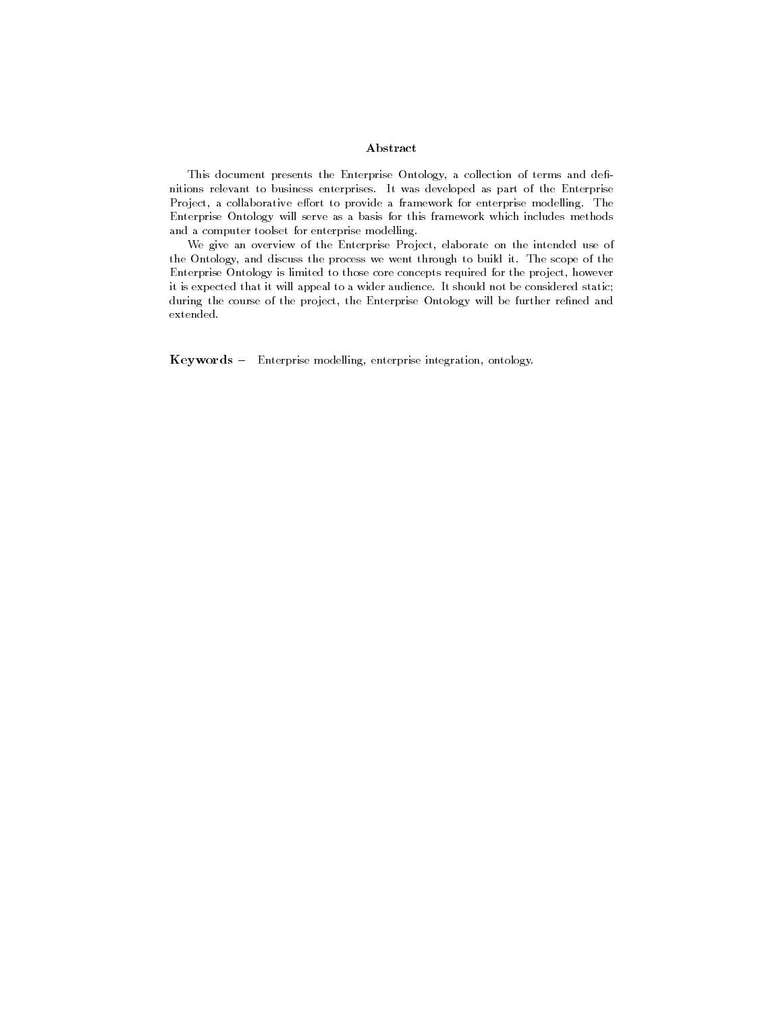#### Abstract

This document presents the Enterprise Ontology, a collection of terms and definitions relevant to business enterprises It was developed as part of the Enterprise Project, a collaborative effort to provide a framework for enterprise modelling. The Enterprise Ontology will serve as a basis for this framework which includes methodsand a computer toolset for enterprise modelling

We give an overview of the Enterprise Project, elaborate on the intended use of the Ontology, and discuss the process we went through to build it. The scope of the Enterprise Ontology is limited to those core concepts required for the project howeverit is expected that it will appeal to a wider audience It should not be considered staticduring the course of the project, the Enterprise Ontology will be further refined and extended

Keywords - Enterprise modelling, enterprise integration, ontology.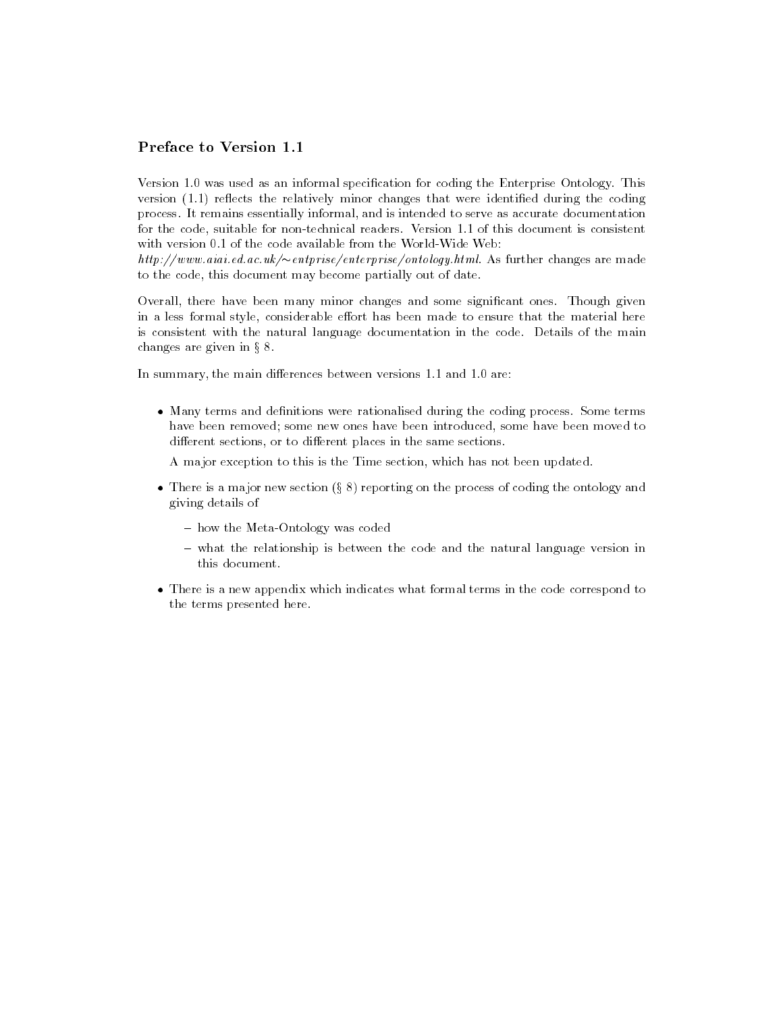## Preface to Version

Version - was used as an informal specication for coding the Enterprise Ontology This version -- reects the relatively minor changes that were identied during the coding process It remains essentially informal and is intended to serve as accurate documentation for the code suitable for nontechnical readers Version -- of this document is consistent

 $\mu(\mu p)/\mu ww$ aiai.ea.ac.uk/ $\sim$ entprise/enterprise/ontology.html. As further changes are made to the code, this document may become partially out of date.

Overall, there have been many minor changes and some significant ones. Though given in a less formal style, considerable effort has been made to ensure that the material here is consistent with the natural language documentation in the code Details of the main changes are given in  $\S~8$ .

In summary the main dierences between versions -- and - are

 $\bullet$  -Many terms and definitions were rationalised during the coding process. Some terms have been removed; some new ones have been introduced, some have been moved to different sections, or to different places in the same sections.

A major exception to this is the Time section which has not been updated

- $\bullet$  There is a major new section (§ 8) reporting on the process of coding the ontology and giving details of
	- how the Meta-Ontology was coded
	- $-$  what the relationship is between the code and the natural language version in this document.
- $\bullet$  -fhere is a new appendix which indicates what formal terms in the code correspond to  $$ the terms presented here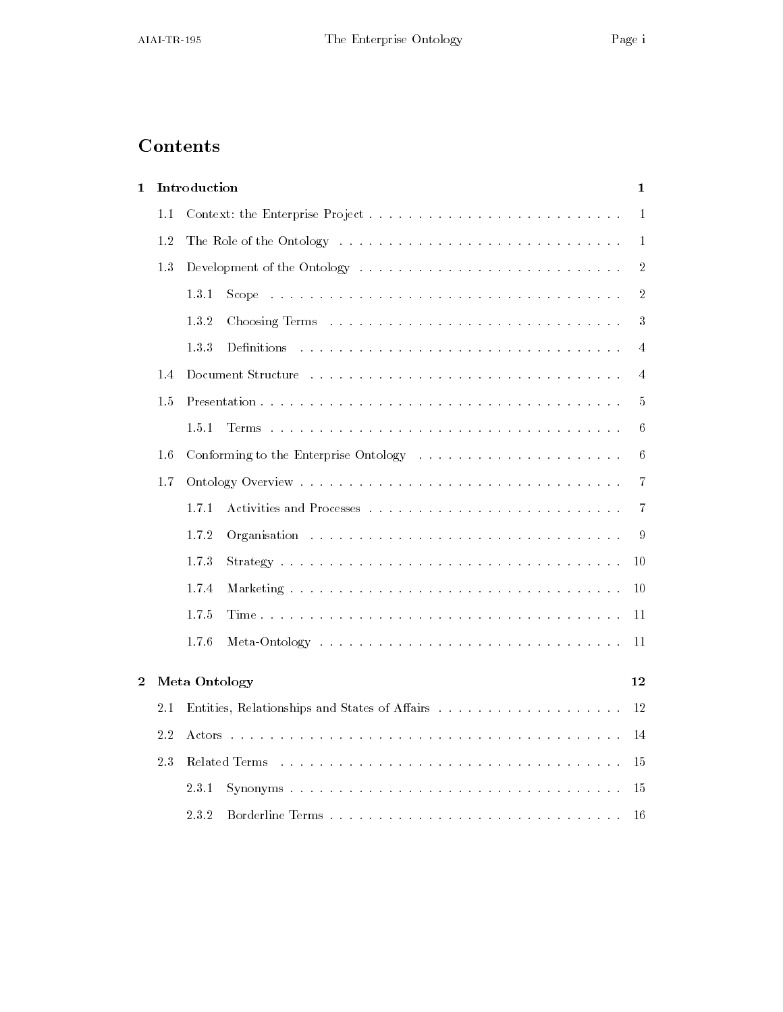# Contents

| 1        |     | Introduction<br>$\mathbf 1$                                                                                                                                                                                                                       |                |  |  |
|----------|-----|---------------------------------------------------------------------------------------------------------------------------------------------------------------------------------------------------------------------------------------------------|----------------|--|--|
|          | 1.1 | $\mathbf 1$                                                                                                                                                                                                                                       |                |  |  |
|          | 1.2 | The Role of the Ontology entering the service is a service of the Ontology entering the service is a service of                                                                                                                                   | $\mathbf{1}$   |  |  |
|          | 1.3 | Development of the Ontology environmental example 20 and the Contract of the Ontology environment of the Ontology environment of the Ontology environment of the Ontology environment of the Ontology environment of the Ontol                    | $\overline{2}$ |  |  |
|          |     | 1.3.1<br>Scope response to the contract of the contract of the contract of the contract of the contract of the contract of the contract of the contract of the contract of the contract of the contract of the contract of the contrac            | $\overline{2}$ |  |  |
|          |     | 1.3.2                                                                                                                                                                                                                                             | 3              |  |  |
|          |     | 1.3.3                                                                                                                                                                                                                                             | 4              |  |  |
|          | 1.4 |                                                                                                                                                                                                                                                   | 4              |  |  |
|          | 1.5 |                                                                                                                                                                                                                                                   | 5              |  |  |
|          |     | 1.5.1                                                                                                                                                                                                                                             | 6              |  |  |
|          | 1.6 |                                                                                                                                                                                                                                                   | 6              |  |  |
|          | 1.7 | 7                                                                                                                                                                                                                                                 |                |  |  |
|          |     | 1.7.1                                                                                                                                                                                                                                             | 7              |  |  |
|          |     | 1.7.2<br><b>Organisation</b> because the contract of the contract of the contract of the contract of the contract of the contract of the contract of the contract of the contract of the contract of the contract of the contract of the con<br>9 |                |  |  |
|          |     | 1.7.3<br>10                                                                                                                                                                                                                                       |                |  |  |
|          |     | 1.7.4<br>10                                                                                                                                                                                                                                       |                |  |  |
|          |     | 1.7.5<br>11                                                                                                                                                                                                                                       |                |  |  |
|          |     | 1.7.6<br>11                                                                                                                                                                                                                                       |                |  |  |
|          |     |                                                                                                                                                                                                                                                   |                |  |  |
| $\bf{2}$ |     | Meta Ontology<br>12                                                                                                                                                                                                                               |                |  |  |
|          | 2.1 | 12                                                                                                                                                                                                                                                |                |  |  |
|          | 2.2 | 14<br>.<br>The main term of the company of the company of the company of the company of the company of the company of the<br>Actors                                                                                                               |                |  |  |
|          | 23  | 15<br>Related Terms researchers and containing and a series are a series and a series of the Relation of the Relation                                                                                                                             |                |  |  |
|          |     | 2.3.1<br>15                                                                                                                                                                                                                                       |                |  |  |
|          |     | 2.3.2<br>Borderline Terms<br>16                                                                                                                                                                                                                   |                |  |  |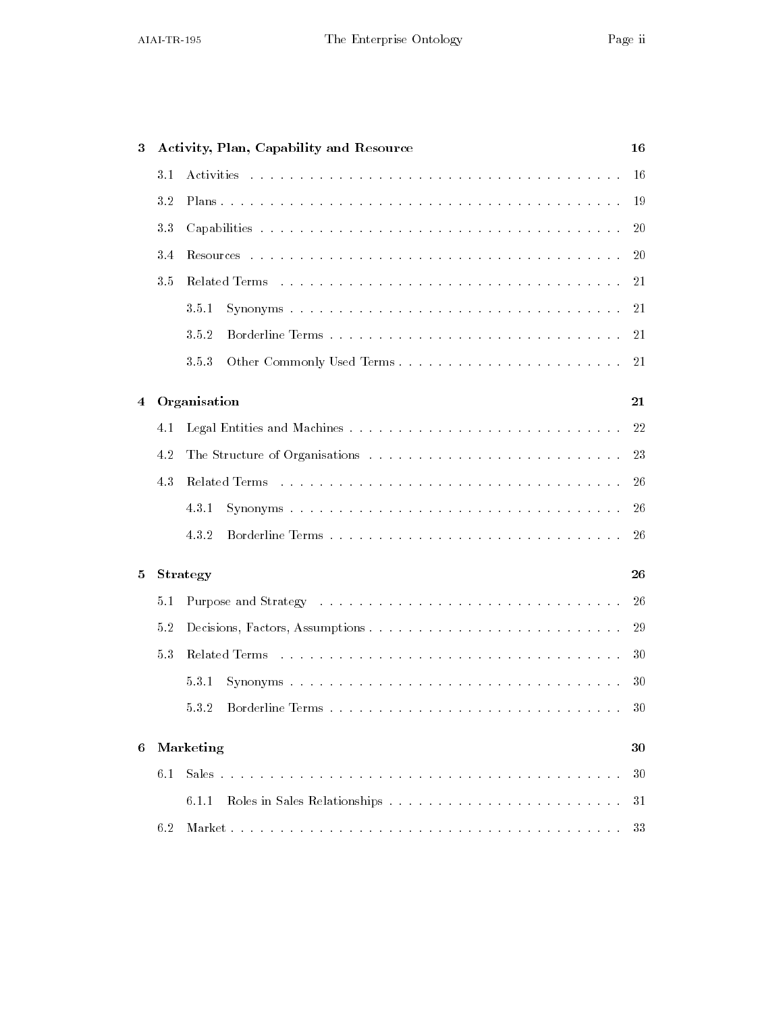| 3 |                                                                                              | Activity, Plan, Capability and Resource<br>16                                                                          |     |  |
|---|----------------------------------------------------------------------------------------------|------------------------------------------------------------------------------------------------------------------------|-----|--|
|   | 3.1                                                                                          |                                                                                                                        | -16 |  |
|   | 3.2                                                                                          |                                                                                                                        | 19  |  |
|   | 3.3                                                                                          |                                                                                                                        | -20 |  |
|   | 3.4                                                                                          |                                                                                                                        | 20  |  |
|   | 3.5                                                                                          |                                                                                                                        | -21 |  |
|   |                                                                                              | 3.5.1                                                                                                                  | -21 |  |
|   |                                                                                              | 3.5.2                                                                                                                  | -21 |  |
|   |                                                                                              | 3.5.3                                                                                                                  | 21  |  |
| 4 | Organisation                                                                                 |                                                                                                                        | 21  |  |
|   | 4.1                                                                                          |                                                                                                                        | 22  |  |
|   | 4.2                                                                                          |                                                                                                                        | 23  |  |
|   | 4.3<br>Related Terms research resources in the contract of the contract of the Related Terms |                                                                                                                        | 26  |  |
|   |                                                                                              | 4.3.1                                                                                                                  | 26  |  |
|   |                                                                                              | 4.3.2                                                                                                                  | -26 |  |
| 5 | Strategy                                                                                     |                                                                                                                        | 26  |  |
|   | 5.1                                                                                          |                                                                                                                        | -26 |  |
|   | 5.2                                                                                          |                                                                                                                        | 29  |  |
|   | 53                                                                                           |                                                                                                                        | 30  |  |
|   |                                                                                              | 531                                                                                                                    | 30  |  |
|   |                                                                                              | 532                                                                                                                    | 30  |  |
| 6 |                                                                                              | Marketing                                                                                                              | 30  |  |
|   | 6.1                                                                                          | Sales<br>a constitution de la constitución de la constitución de la constitución de la constitución de la constitución | 30  |  |
|   |                                                                                              | 6.1.1                                                                                                                  | 31  |  |
|   | 6.2                                                                                          |                                                                                                                        | 33  |  |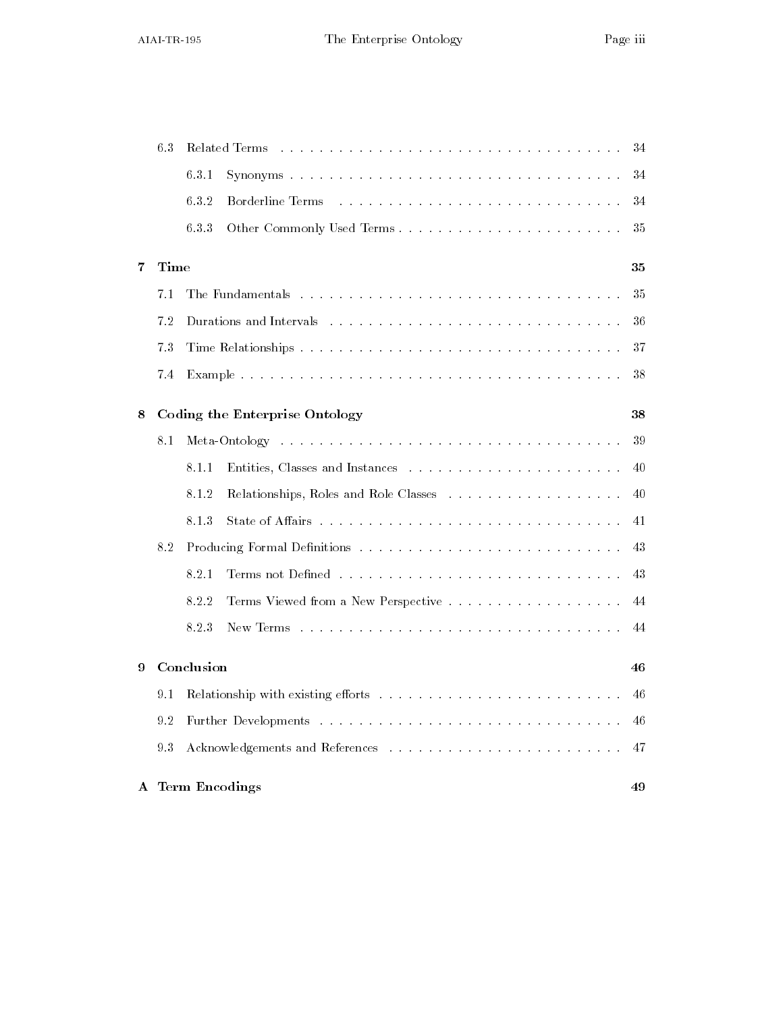|   | 6.3        | Related Terms<br>34<br>a constitution de la constitución de la constitución de la constitución de la constitución de la constitución |                                                                                                                                          |    |
|---|------------|--------------------------------------------------------------------------------------------------------------------------------------|------------------------------------------------------------------------------------------------------------------------------------------|----|
|   |            | 6.3.1                                                                                                                                |                                                                                                                                          | 34 |
|   |            | 6.3.2                                                                                                                                | Borderline Terms<br>.<br>The contract of the contract of the contract of the contract of the contract of the contract of the contract of | 34 |
|   |            | 6.3.3                                                                                                                                |                                                                                                                                          | 35 |
| 7 | Time       |                                                                                                                                      |                                                                                                                                          | 35 |
|   | 7.1        |                                                                                                                                      |                                                                                                                                          | 35 |
|   | 7.2        |                                                                                                                                      | Durations and Intervals (Alternative Alternative Alternative Alternative Alternative Alternative Alternative A                           | 36 |
|   | 7.3        |                                                                                                                                      |                                                                                                                                          | 37 |
|   | 7.4        |                                                                                                                                      |                                                                                                                                          | 38 |
| 8 |            |                                                                                                                                      | Coding the Enterprise Ontology                                                                                                           | 38 |
|   | 8.1        |                                                                                                                                      |                                                                                                                                          | 39 |
|   |            | 8.1.1                                                                                                                                |                                                                                                                                          | 40 |
|   |            | 8.1.2                                                                                                                                |                                                                                                                                          | 40 |
|   |            | 8.1.3                                                                                                                                | State of Affairs research research in the contract of a ffairs research in the state of Affairs research in the state of $\mathbb{R}^n$  | 41 |
|   | 8.2        |                                                                                                                                      |                                                                                                                                          | 43 |
|   |            | 8.2.1                                                                                                                                |                                                                                                                                          | 43 |
|   |            | 8.2.2                                                                                                                                |                                                                                                                                          | 44 |
|   |            | 8.2.3                                                                                                                                |                                                                                                                                          | 44 |
| 9 | Conclusion |                                                                                                                                      |                                                                                                                                          | 46 |
|   | 9.1        |                                                                                                                                      |                                                                                                                                          | 46 |
|   | 9.2        |                                                                                                                                      |                                                                                                                                          | 46 |
|   | 93         |                                                                                                                                      |                                                                                                                                          | 47 |
|   |            |                                                                                                                                      | A Term Encodings                                                                                                                         | 49 |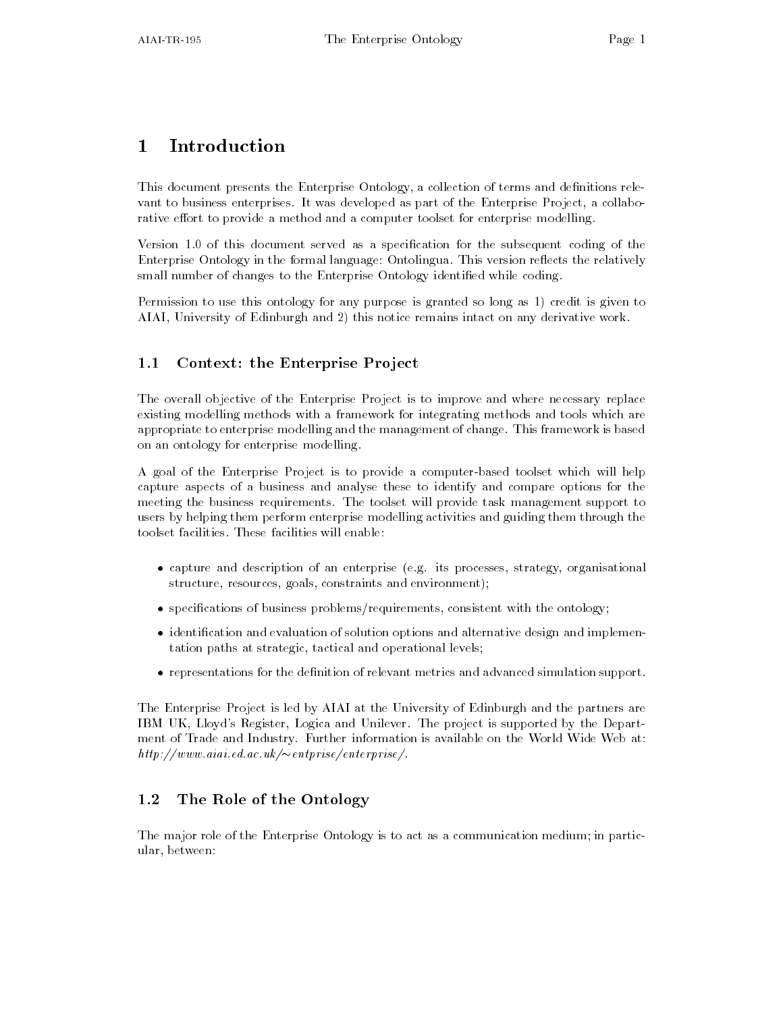# $\mathbf{1}$

This document presents the Enterprise Ontology, a collection of terms and definitions relevant to business enterprises. It was developed as part of the Enterprise Project, a collaborative effort to provide a method and a computer toolset for enterprise modelling.

Version - of this document served as a specication for the subsequent coding of the Enterprise Ontology in the formal language: Ontolingua. This version reflects the relatively small number of changes to the Enterprise Ontology identified while coding.

Permission to use this ontology for any purpose is granted so long as - credit is given to AIAI, University of Edinburgh and 2) this notice remains intact on any derivative work.

#### $1.1$ Context- the Enterprise Pro ject

The overall objective of the Enterprise Project is to improve and where necessary replace existing modelling methods with a framework for integrating methods and tools which are appropriate to enterprise modelling and the management of change. This framework is based on an ontology for enterprise modelling

A goal of the Enterprise Project is to provide a computer-based toolset which will help capture aspects of a business and analyse these to identify and compare options for the meeting the business requirements The toolset will provide task management support to users by helping them perform enterprise modelling activities and guiding them through the toolset facilities These facilities will enable

- $\bullet$  capture and description of an enterprise (e.g. its processes, strategy, organisational structure, resources, goals, constraints and environment);
- $\bullet$  specifications of business problems/requirements, consistent with the ontology;  $\hspace{0.1mm}$
- $\bullet$  -identification and evaluation of solution options and alternative design and implementation paths at strategic, tactical and operational levels;
- $\bullet$  representations for the definition of relevant metrics and advanced simulation support.

The Enterprise Project is led by AIAI at the University of Edinburgh and the partners are IBM UK, Lloyd's Register, Logica and Unilever. The project is supported by the Department of Trade and Industry. Further information is available on the World Wide Web at:  $\mathit{nu}$ ://www.aiai.ed.ac.uk/ $\sim$ eniprise/enierprise/.

## 1.2 The Role of the Ontology

The major role of the Enterprise Ontology is to act as a communication medium; in particular, between: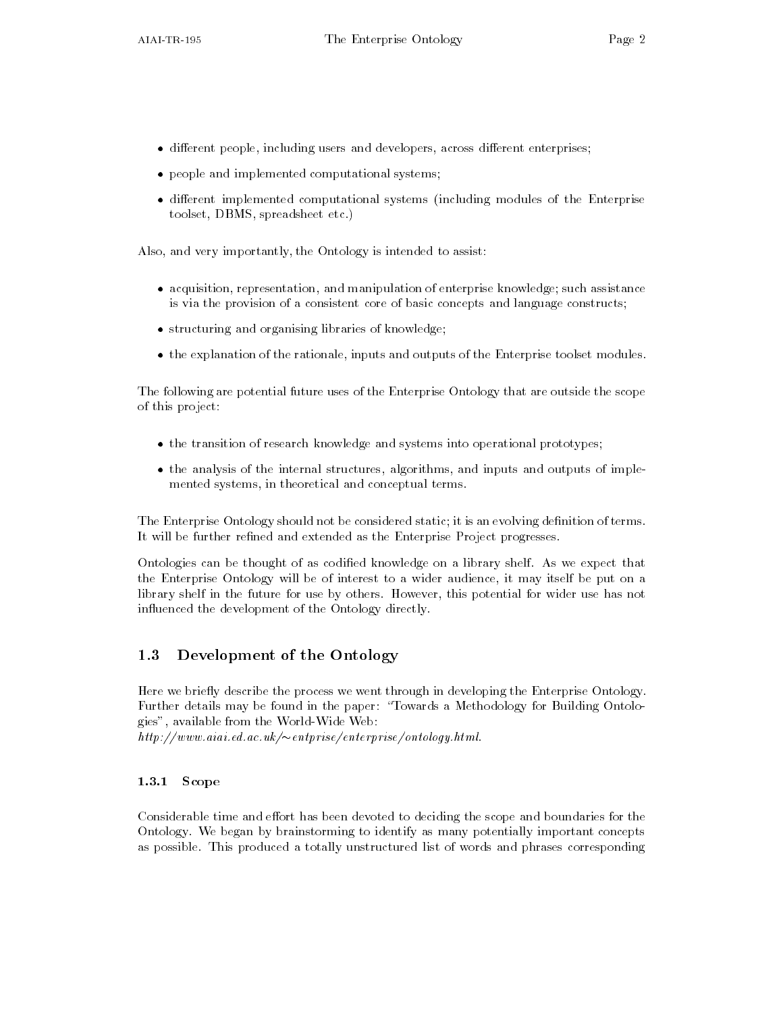- $\bullet$  different people, including users and developers, across different enterprises;
- $\bullet\,$  people and implemented computational systems;  $\,$
- $\bullet$  different implemented computational systems (including modules of the Enterprise  $\hspace{0.1mm}$ toolset, DBMS, spreadsheet etc.)

Also, and very importantly, the Ontology is intended to assist:

- $\bullet$  acquisition, representation, and manipulation of enterprise knowledge; such assistance is via the provision of a consistent core of basic concepts and language constructs
- $\bullet\,$  structuring and organising libraries of knowledge;  $\,$
- $\bullet$  the explanation of the rationale, inputs and outputs of the Enterprise toolset modules.

The following are potential future uses of the Enterprise Ontology that are outside the scope of this project

- $\bullet$  the transition of research knowledge and systems into operational prototypes;
- $\bullet$  the analysis of the internal structures, algorithms, and inputs and outputs of implemented systems, in theoretical and conceptual terms.

The Enterprise Ontology should not be considered static; it is an evolving definition of terms. It will be further refined and extended as the Enterprise Project progresses.

Ontologies can be thought of as codified knowledge on a library shelf. As we expect that the Enterprise Ontology will be of interest to a wider audience it may itself be put on a library shelf in the future for use by others. However, this potential for wider use has not influenced the development of the Ontology directly.

## 1.3 Development of the Ontology

Here we briefly describe the process we went through in developing the Enterprise Ontology. Further details may be found in the paper: "Towards a Methodology for Building Ontologies", available from the World-Wide Web:

 $\mu$ , and  $\mu$  and  $\mu$  and  $\mu$  are  $\mu$  and  $\mu$  are  $\mu$  and  $\mu$  and  $\mu$  and  $\mu$  and  $\mu$  and  $\mu$  and  $\mu$  and  $\mu$  and  $\mu$  and  $\mu$  and  $\mu$  and  $\mu$  and  $\mu$  and  $\mu$  and  $\mu$  and  $\mu$  and  $\mu$  and  $\mu$  and  $\mu$ 

### 1.3.1 Scope

Considerable time and effort has been devoted to deciding the scope and boundaries for the Ontology We began by brainstorming to identify as many potentially important concepts as possible. This produced a totally unstructured list of words and phrases corresponding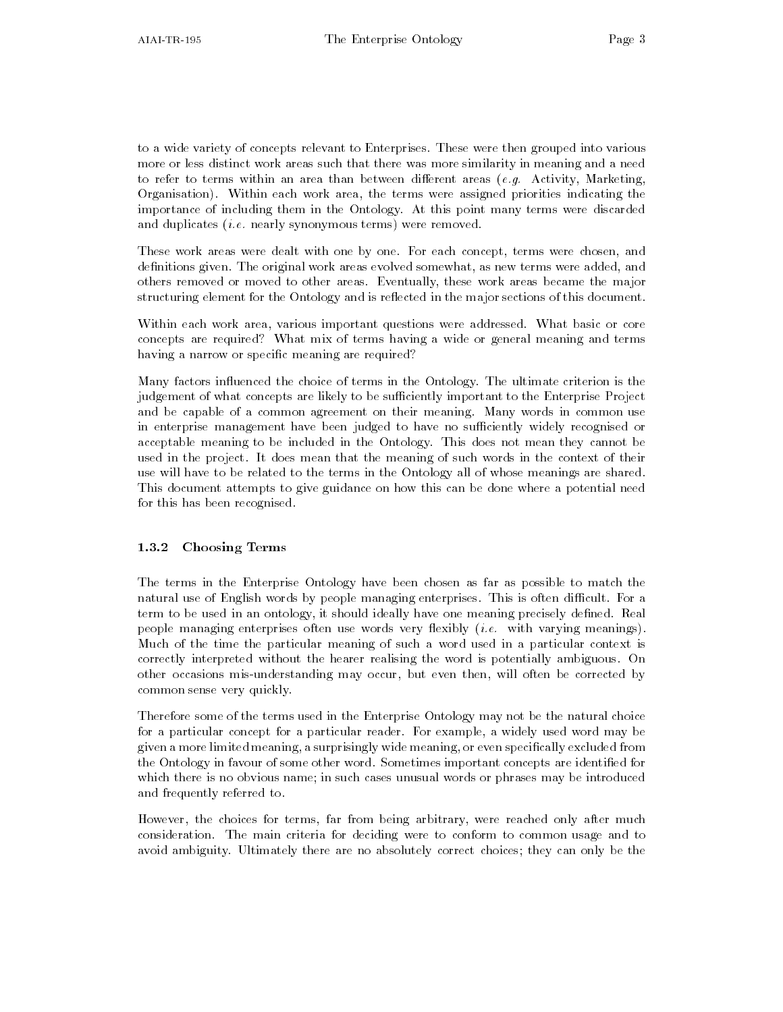to a wide variety of concepts relevant to Enterprises These were then grouped into various more or less distinct work areas such that there was more similarity in meaning and a need to terms to terms within an area thank with an anti-time areas (i.g. terms), measuring,  $\sim$ Organisation). Within each work area, the terms were assigned priorities indicating the importance of including them in the Ontology At this point many terms were discarded and duplicates i-e- nearly synonymous terms were removed

These work areas were dealt with one by one. For each concept, terms were chosen, and definitions given. The original work areas evolved somewhat, as new terms were added, and others removed or moved to other areas Eventually these work areas became the major structuring element for the Ontology and is reflected in the major sections of this document.

Within each work area, various important questions were addressed. What basic or core concepts are required? What mix of terms having a wide or general meaning and terms having a narrow or specific meaning are required?

Many factors influenced the choice of terms in the Ontology. The ultimate criterion is the judgement of what concepts are likely to be sufficiently important to the Enterprise Project and be capable of a common agreement on their meaning. Many words in common use in enterprise management have been judged to have no sufficiently widely recognised or acceptable meaning to be included in the Ontology This does not mean they cannot be used in the project. It does mean that the meaning of such words in the context of their use will have to be related to the terms in the Ontology all of whose meanings are shared. This document attempts to give guidance on how this can be done where a potential need for this has been recognised

#### 1.3.2 Choosing Terms

The terms in the Enterprise Ontology have been chosen as far as possible to match the natural use of English words by people managing enterprises. This is often difficult. For a term to be used in an ontology, it should ideally have one meaning precisely defined. Real people managing enterprises often use words very exibly i-e- with varying meanings Much of the time the particular meaning of suchaword used in a particular context is correctly interpreted without the hearer realising the word is potentially ambiguous On other occasions mis-understanding may occur, but even then, will often be corrected by common sense very quickly

Therefore some of the terms used in the Enterprise Ontology may not be the natural choice for a particular concept for a particular reader. For example, a widely used word may be given a more limited meaning, a surprisingly wide meaning, or even specifically excluded from the Ontology in favour of some other word. Sometimes important concepts are identified for which there is no obvious name; in such cases unusual words or phrases may be introduced and frequently referred to

However, the choices for terms, far from being arbitrary, were reached only after much consideration. The main criteria for deciding were to conform to common usage and to avoid ambiguity. Ultimately there are no absolutely correct choices; they can only be the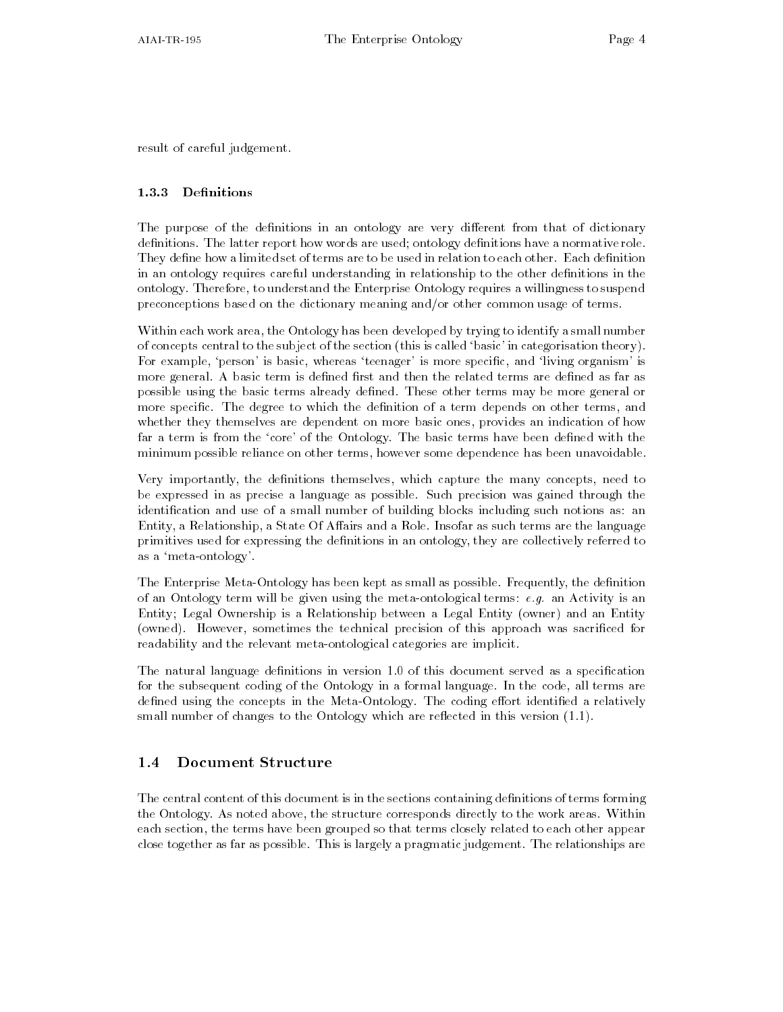result of careful judgement

#### 1.3.3 Definitions

The purpose of the definitions in an ontology are very different from that of dictionary definitions. The latter report how words are used; ontology definitions have a normative role. They define how a limited set of terms are to be used in relation to each other. Each definition in an ontology requires careful understanding in relationship to the other definitions in the ontology Therefore to understand the Enterprise Ontology requires a willingness to suspend preconceptions based on the dictionary meaning and/or other common usage of terms.

Within each work area, the Ontology has been developed by trying to identify a small number of concepts central to the subject of the section (this is called 'basic' in categorisation theory). For example, 'person' is basic, whereas 'teenager' is more specific, and 'living organism' is more general. A basic term is defined first and then the related terms are defined as far as possible using the basic terms already dened These other terms may be more general or more specific. The degree to which the definition of a term depends on other terms, and whether they themselves are dependent on more basic ones, provides an indication of how far a term is from the 'core' of the Ontology. The basic terms have been defined with the minimum possible reliance on other terms however some dependence has been unavoidable

Very importantly, the definitions themselves, which capture the many concepts, need to be expressed in as precise a language as possible Such precision was gained through the identification and use of a small number of building blocks including such notions as: an Entity, a Relationship, a State Of Affairs and a Role. Insofar as such terms are the language primitives used for expressing the definitions in an ontology, they are collectively referred to as a 'meta-ontology'.

The Enterprise Meta-Ontology has been kept as small as possible. Frequently, the definition of an Ontology term will be given using the metaontological terms e-g- an Activity is an Entity; Legal Ownership is a Relationship between a Legal Entity (owner) and an Entity (owned). However, sometimes the technical precision of this approach was sacrificed for readability and the relevant meta-ontological categories are implicit.

The natural language denitions in version - of this document served as a specication for the subsequent coding of the Ontology in a formal language. In the code, all terms are defined using the concepts in the Meta-Ontology. The coding effort identified a relatively small number of the  $\pi$  are  $\pi$  the Ontology which are referred in this version  $\tau$ 

#### Document Structure  $1.4$

The central content of this document is in the sections containing definitions of terms forming the Ontology. As noted above, the structure corresponds directly to the work areas. Within each section, the terms have been grouped so that terms closely related to each other appear close together as far as possible. This is largely a pragmatic judgement. The relationships are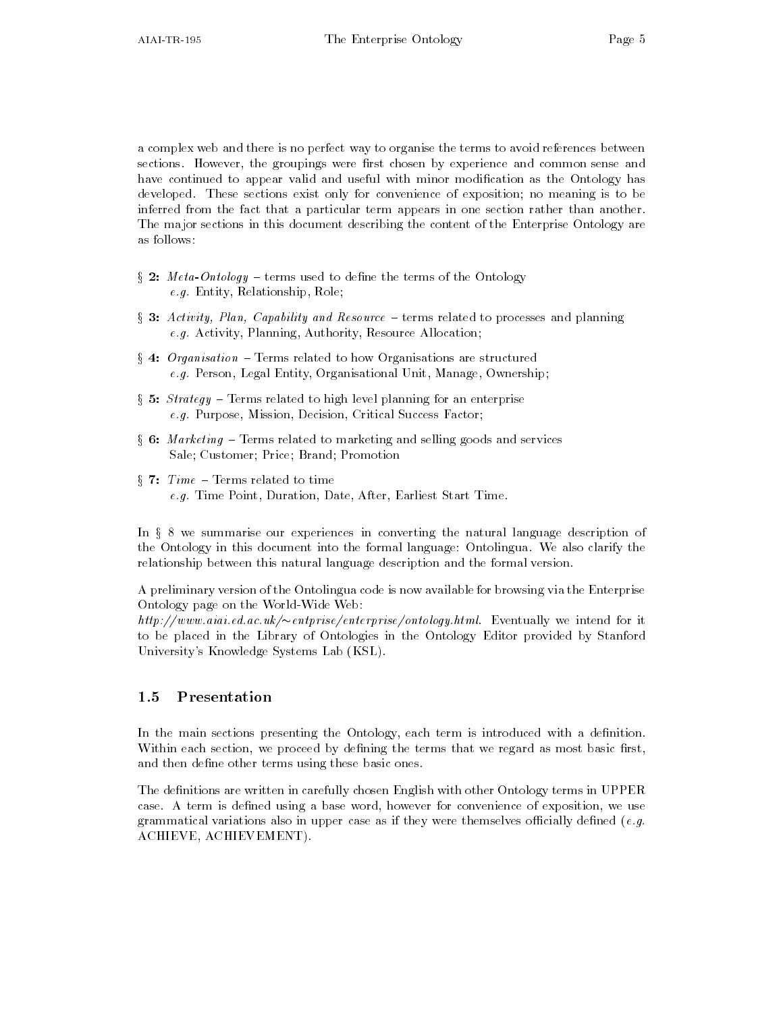a complex web and there is no perfect way to organise the terms to avoid references between sections. However, the groupings were first chosen by experience and common sense and have continued to appear valid and useful with minor modification as the Ontology has developed. These sections exist only for convenience of exposition; no meaning is to be inferred from the fact that a particular term appears in one section rather than another The major sections in this document describing the content of the Enterprise Ontology are as follows

- $\S$  2:  $Meta-Ontology$  terms used to define the terms of the Ontology e-g-manuscript Relationship Relationship Relationship Relationship Relationship Relationship Relationship Rela
- $\S$  3: Activity, Plan, Capability and Resource terms related to processes and planning e-g- Activity Planning Authority Resource Allocation
- $\S$  4: Organisation Terms related to how Organisations are structured e-g- Person Legal Entity Organisational Unit Manage Ownership
- $\S$  5: *Strategy* Terms related to high level planning for an enterprise e-g- Purpose Mission Decision Critical Success Factor
- $\S$  6: Marketing Terms related to marketing and selling goods and services Sale; Customer; Price; Brand; Promotion
- $§ 7: Time Terms related to time$ e-g- Time Point Duration Date After Earliest Start Time

In § 8 we summarise our experiences in converting the natural language description of the Ontology in this document into the formal language: Ontolingua. We also clarify the relationship between this natural language description and the formal version

A preliminary version of the Ontolingua code is now available for browsing via the Enterprise Ontology page on the World-Wide Web:

 $\mu(\mu p)/\mu w$ ww.atat.ea.ac.uk/ $\sim$ entprise/enterprise/ontology.html Eventually we intend for it to be placed in the Library of Ontologies in the Ontology Editor provided by Stanford University's Knowledge Systems Lab (KSL).

### 1.5 Presentation

In the main sections presenting the Ontology, each term is introduced with a definition. Within each section, we proceed by defining the terms that we regard as most basic first, and then define other terms using these basic ones.

The definitions are written in carefully chosen English with other Ontology terms in UPPER case. A term is defined using a base word, however for convenience of exposition, we use grammatical variations also in upper case as if they were themselves ocially dened e-g-ACHIEVE, ACHIEVEMENT).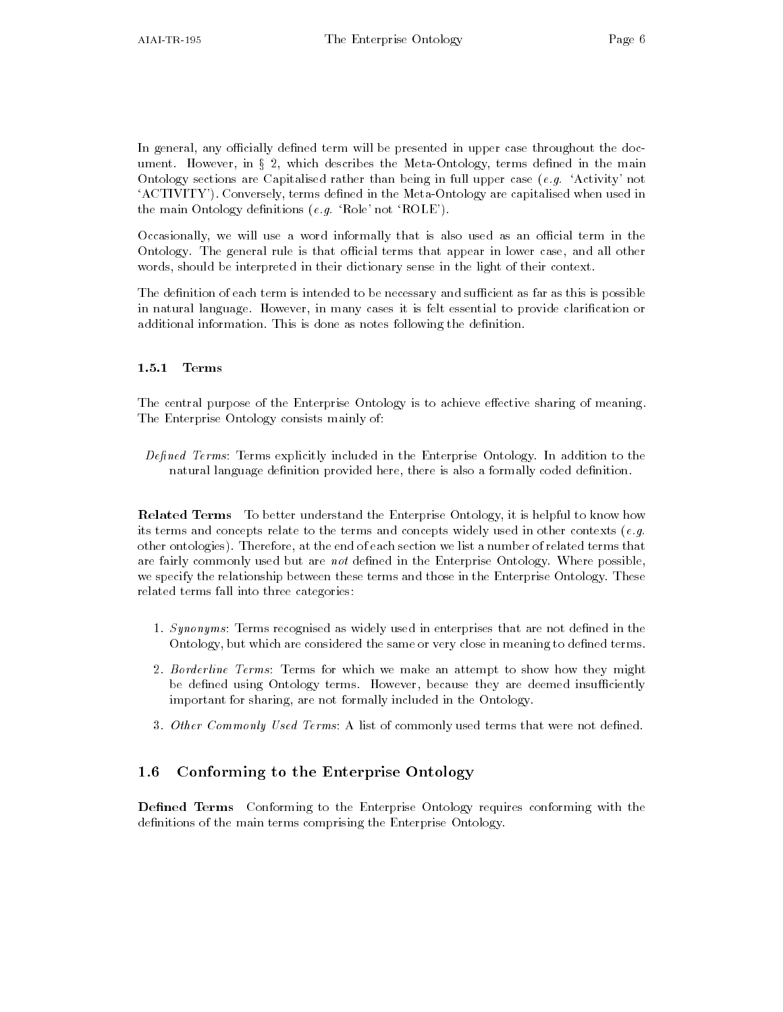In general, any officially defined term will be presented in upper case throughout the document. However, in  $\S 2$ , which describes the Meta-Ontology, terms defined in the main Ontology sections are Capitalised rather than being in full upper case e-g- Activity not 'ACTIVITY'). Conversely, terms defined in the Meta-Ontology are capitalised when used in the main Ontology denitions e-g- Role not ROLE

Occasionally, we will use a word informally that is also used as an official term in the Ontology. The general rule is that official terms that appear in lower case, and all other words, should be interpreted in their dictionary sense in the light of their context.

The definition of each term is intended to be necessary and sufficient as far as this is possible in natural language. However, in many cases it is felt essential to provide clarification or additional information. This is done as notes following the definition.

#### $1.5.1$ **Terms**

The central purpose of the Enterprise Ontology is to achieve effective sharing of meaning. The Enterprise Ontology consists mainly of

Defined Terms: Terms explicitly included in the Enterprise Ontology. In addition to the natural language definition provided here, there is also a formally coded definition.

Related Terms To better understand the Enterprise Ontology it is helpful to know how its terms and concepts relate to the terms and concepts widely used in other contexts e-gother ontologies). Therefore, at the end of each section we list a number of related terms that are fairly commonly used but are not defined in the Enterprise Ontology. Where possible, we specify the relationship between these terms and those in the Enterprise Ontology These related terms fall into three categories

- Synonyms Terms recognised as widely used in enterprises that are not dened in the Ontology, but which are considered the same or very close in meaning to defined terms.
- 2. Borderline Terms: Terms for which we make an attempt to show how they might be defined using Ontology terms. However, because they are deemed insufficiently important for sharing, are not formally included in the Ontology.
- 3. Other Commonly Used Terms: A list of commonly used terms that were not defined.

#### $1.6$ Conforming to the Enterprise Ontology

Defined Terms Conforming to the Enterprise Ontology requires conforming with the definitions of the main terms comprising the Enterprise Ontology.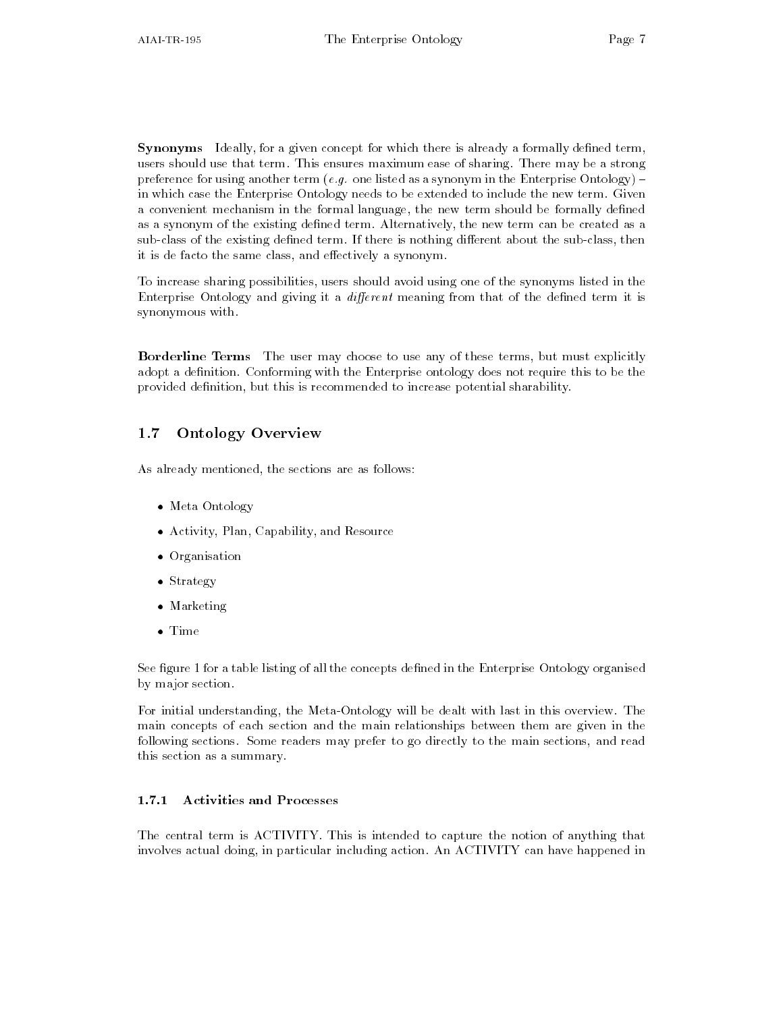Synonyms Ideally, for a given concept for which there is already a formally defined term, users should use that term. This ensures maximum ease of sharing. There may be a strong preference for using another term e-g- one listed as a synonym in the Enterprise Ontology in which case the Enterprise Ontology needs to be extended to include the new term. Given a convenient mechanism in the formal language, the new term should be formally defined as a synonym of the existing defined term. Alternatively, the new term can be created as a sub-class of the existing defined term. If there is nothing different about the sub-class, then it is de facto the same class, and effectively a synonym.

To increase sharing possibilities, users should avoid using one of the synonyms listed in the Enterprise Ontology and giving it a *different* meaning from that of the defined term it is synonymous with

**Borderline Terms** The user may choose to use any of these terms, but must explicitly adopt a definition. Conforming with the Enterprise ontology does not require this to be the provided definition, but this is recommended to increase potential sharability.

#### $1.7$ Ontology Overview

As already mentioned, the sections are as follows:

- Meta Ontology
- $\bullet$  Activity, Plan, Capability, and Resource
- $\bullet$  -Organisation –
- $\bullet$  Strategy  $\hspace{0.1em}$
- Marketing
- Time

See gure - for a table listing of all the concepts dened in the Enterprise Ontology organised by major section

For initial understanding, the Meta-Ontology will be dealt with last in this overview. The main concepts of each section and the main relationships between them are given in the following sections. Some readers may prefer to go directly to the main sections, and read this section as a summary

#### $1.7.1$   Activities and Processes

The central term is ACTIVITY. This is intended to capture the notion of anything that involves actual doing in particular including action An ACTIVITY can have happened in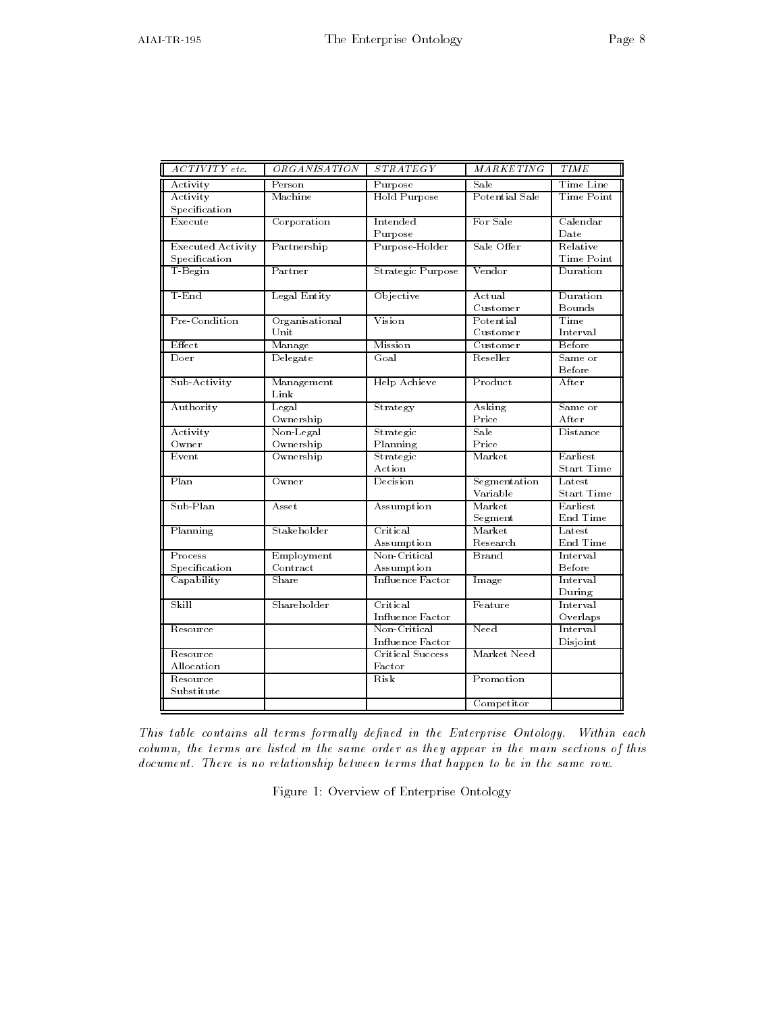| ACTIVITY etc.            | <i>ORGANISATION</i>     | <i>STRATEGY</i>         | <i>MARKETING</i> | <b>TIME</b>       |
|--------------------------|-------------------------|-------------------------|------------------|-------------------|
| Activity                 | $\overline{\rm Person}$ | Purpose                 | Sale             | Time Line         |
| Activity                 | Machine                 | Hold Purpose            | Potential Sale   | Time Point        |
| Specification            |                         |                         |                  |                   |
| Execute                  | Corporation             | Intended                | For Sale         | Calendar          |
|                          |                         | Purpose                 |                  | Date              |
| <b>Executed Activity</b> | Partnership             | Purpose-Holder          | Sale Offer       | Relative          |
| Specification            |                         |                         |                  | Time Point        |
| T-Begin                  | Partner                 | Strategic Purpose       | Vendor           | Duration          |
|                          |                         |                         |                  |                   |
| T-End                    | Legal Entity            | Objective               | Actual           | Duration          |
|                          |                         |                         | $C$ ustomer      | Bounds            |
| Pre-Condition            | Organisational          | Vision                  | Potential        | Time              |
|                          | Unit                    |                         | Customer         | Interval          |
| Effect                   | Manage                  | Mission                 | $C$ ustomer      | Before            |
| Doer                     | Delegate                | Goal                    | Reseller         | Same or           |
|                          |                         |                         |                  | Before            |
| Sub-Activity             | Management              | Help Achieve            | Product          | After             |
|                          | Link                    |                         |                  |                   |
| Authority                | Legal                   | Strategy                | Asking           | Same or           |
|                          | Ownership               |                         | Price            | After             |
| Activity                 | Non-Legal               | Strategic               | Sale             | Distance          |
| Owner                    | Ownership               | Planning                | Price            |                   |
| Event                    | Ownership               | Strategic               | Market           | Earliest          |
|                          |                         | Action                  |                  | <b>Start Time</b> |
| Plan                     | Owner                   | Decision                | Segmentation     | ${\rm L}$ atest   |
|                          |                         |                         | Variable         | <b>Start Time</b> |
| Sub-Plan                 | Asset                   | Assumption              | Market           | Earliest          |
|                          |                         |                         | Segment          | End Time          |
| Planning                 | Stakeholder             | Critical                | Market           | Latest            |
|                          |                         | Assumption              | Research         | End Time          |
| Process                  | Employment              | Non-Critical            | Brand            | Interval          |
| Specification            | Contract                | Assumption              |                  | Before            |
| Capability               | $_{\rm Share}$          | Influence Factor        | Image            | Interval          |
|                          |                         |                         |                  | During            |
| Skill                    | Shareholder             | Critical                | Feature          | Interval          |
|                          |                         | <b>Influence Factor</b> |                  | Overlaps          |
| Resource                 |                         | Non-Critical            | Need             | Interval          |
|                          |                         | Influence Factor        |                  | Disjoint          |
| Resource                 |                         | Critical Success        | Market Need      |                   |
| Allocation               |                         | Factor                  |                  |                   |
| Resource                 |                         | Risk                    | Promotion        |                   |
| Substitute               |                         |                         |                  |                   |
|                          |                         |                         | Competitor       |                   |

This table contains al l terms formal ly dened in the Enterprise Ontology- Within each column, the terms are listed in the same order as they appear in the main sections of this document-between terms that happen terms that happen terms that happen terms that happen terms that happen terms that happen terms that happen terms that happen terms that happen terms that happen terms that happen terms

Figure - Overview of Enterprise Ontology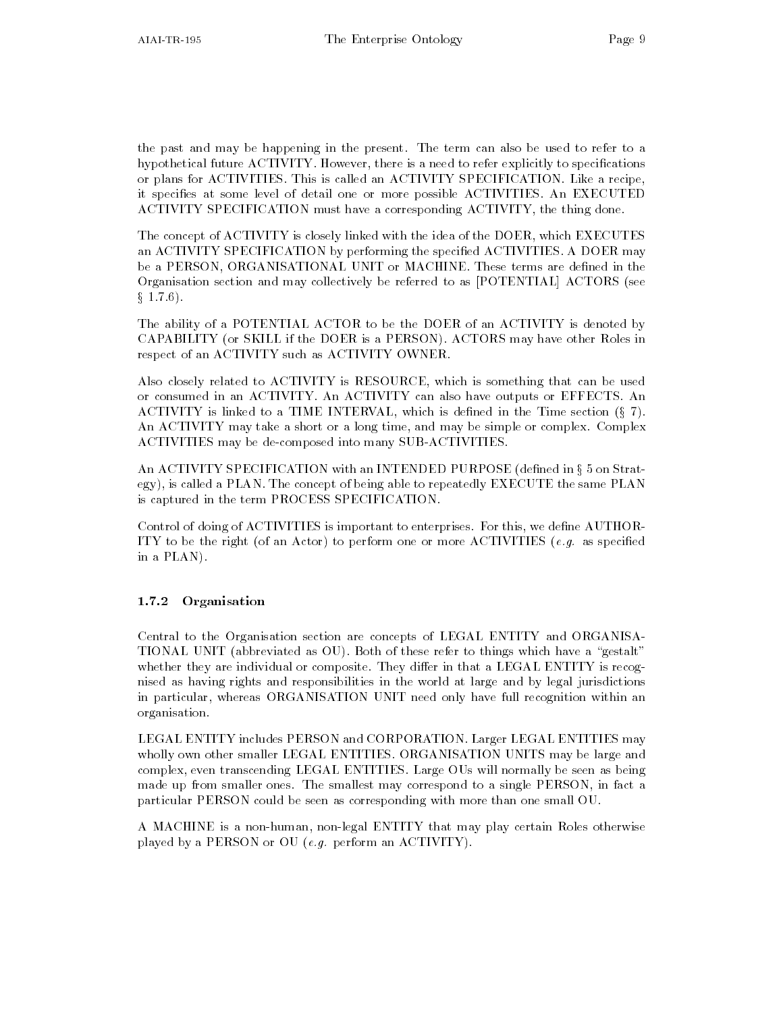the past and may be happening in the present. The term can also be used to refer to a hypothetical future ACTIVITY. However, there is a need to refer explicitly to specifications or plans for ACTIVITIES. This is called an ACTIVITY SPECIFICATION. Like a recipe, it specifies at some level of detail one or more possible ACTIVITIES. An EXECUTED ACTIVITY SPECIFICATION must have a corresponding ACTIVITY, the thing done.

The concept of ACTIVITY is closely linked with the idea of the DOER which EXECUTES an ACTIVITY SPECIFICATION by performing the specified ACTIVITIES. A DOER may be a PERSON, ORGANISATIONAL UNIT or MACHINE. These terms are defined in the Organisation section and may collectively be referred to as [POTENTIAL] ACTORS (see  $\S~1.7.6$ ).

The ability of a POTENTIAL ACTOR to be the DOER of an ACTIVITY is denoted by CAPABILITY (or SKILL if the DOER is a PERSON). ACTORS may have other Roles in respect of an ACTIVITY such as ACTIVITY OWNER

Also closely related to ACTIVITY is RESOURCE, which is something that can be used or consumed in an ACTIVITY An ACTIVITY can also have outputs or EFFECTS An ACTIVITY is linked to a TIME INTERVAL, which is defined in the Time section  $(\S 7)$ . An ACTIVITY may take a short or a long time, and may be simple or complex. Complex ACTIVITIES may be de-composed into many SUB-ACTIVITIES.

An ACTIVITY SPECIFICATION with an INTENDED PURPOSE (defined in § 5 on Strategy), is called a PLAN. The concept of being able to repeatedly EXECUTE the same PLAN is captured in the term PROCESS SPECIFICATION

Control of doing of ACTIVITIES is important to enterprises. For this, we define AUTHOR-ITY to be the right of an Actor to perform one or more ACTIVITIES e-g- as specied in a PLAN

#### 1.7.2 Organisation

Central to the Organisation section are concepts of LEGAL ENTITY and ORGANISA TIONAL UNIT (abbreviated as OU). Both of these refer to things which have a "gestalt" whether they are individual or composite. They differ in that a LEGAL ENTITY is recognised as having rights and responsibilities in the world at large and by legal jurisdictions in particular, whereas ORGANISATION UNIT need only have full recognition within an organisation

LEGAL ENTITY includes PERSON and CORPORATION Larger LEGAL ENTITIES may wholly own other smaller LEGAL ENTITIES. ORGANISATION UNITS may be large and complex, even transcending LEGAL ENTITIES. Large OUs will normally be seen as being made up from smaller ones. The smallest may correspond to a single PERSON, in fact a particular PERSON could be seen as corresponding with more than one small OU

A MACHINE is a non-human, non-legal ENTITY that may play certain Roles otherwise played by a PERSON or OU e-g- perform an ACTIVITY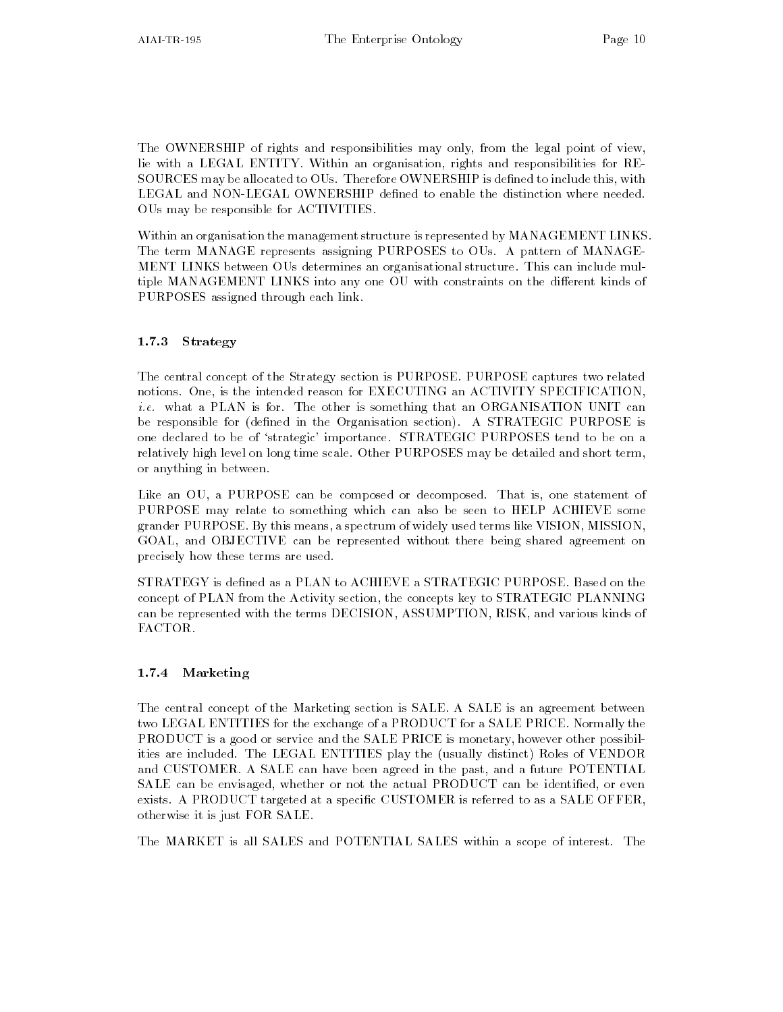The OWNERSHIP of rights and responsibilities may only from the legal point of view lie with a LEGAL ENTITY. Within an organisation, rights and responsibilities for RE-SOURCES may be allocated to OUs. Therefore OWNERSHIP is defined to include this, with LEGAL and NON-LEGAL OWNERSHIP defined to enable the distinction where needed. OUs may be responsible for ACTIVITIES

Within an organisation the management structure is represented by MANAGEMENT LINKS The term MANAGE represents assigning PURPOSES to OUs A pattern of MANAGE MENT LINKS between OUs determines an organisational structure This can include mul tiple MANAGEMENT LINKS into any one OU with constraints on the different kinds of PURPOSES assigned through each link

### 1.7.3 Strategy

The central concept of the Strategy section is PURPOSE. PURPOSE captures two related notions. One, is the intended reason for EXECUTING an ACTIVITY SPECIFICATION, i-e- what a PLAN is for The other is something that an ORGANISATION UNIT can be responsible for (defined in the Organisation section). A STRATEGIC PURPOSE is one declared to be of strategic importance STRATEGIC PURPOSES tend to be on a relatively high level on long time scale Other PURPOSES may be detailed and short term or anything in between

Like an OU, a PURPOSE can be composed or decomposed. That is, one statement of PURPOSE may relate to something which can also be seen to HELP ACHIEVE some grander PURPOSE. By this means, a spectrum of widely used terms like VISION, MISSION, GOAL, and OBJECTIVE can be represented without there being shared agreement on precisely how these terms are used

STRATEGY is defined as a PLAN to ACHIEVE a STRATEGIC PURPOSE. Based on the concept of PLAN from the Activity section, the concepts key to STRATEGIC PLANNING can be represented with the terms DECISION ASSUMPTION RISK and various kinds of FACTOR.

### 1.7.4 Marketing

The central concept of the Marketing section is SALE. A SALE is an agreement between two LEGAL ENTITIES for the exchange of a PRODUCT for a SALE PRICE Normally the PRODUCT is a good or service and the SALE PRICE is monetary, however other possibilities are included. The LEGAL ENTITIES play the (usually distinct) Roles of VENDOR and CUSTOMER. A SALE can have been agreed in the past, and a future POTENTIAL SALE can be envisaged, whether or not the actual PRODUCT can be identified, or even exists. A PRODUCT targeted at a specific CUSTOMER is referred to as a SALE OFFER, otherwise it is just FOR SALE

The MARKET is all SALES and POTENTIAL SALES within a scope of interest. The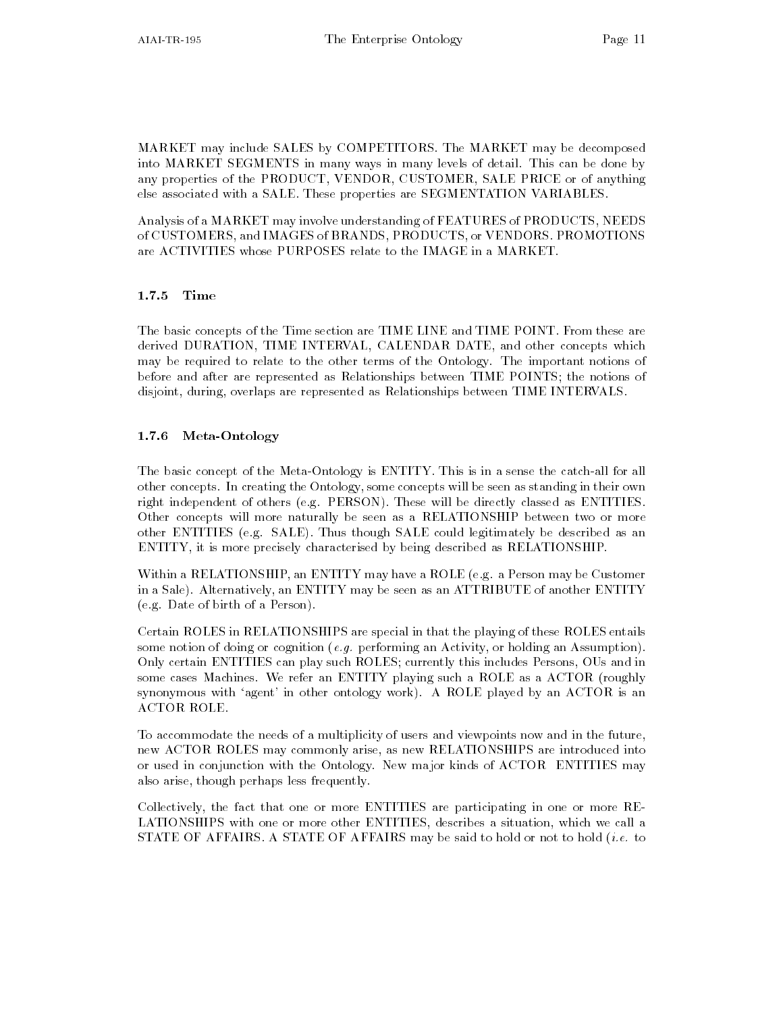MARKET may include SALES by COMPETITORS The MARKET may be decomposed into MARKET SEGMENTS in many ways in many levels of detail This can be done by any properties of the PRODUCT, VENDOR, CUSTOMER, SALE PRICE or of anything else associated with a SALE. These properties are SEGMENTATION VARIABLES.

Analysis of a MARKET may involve understanding of FEATURES of PRODUCTS NEEDS of CUSTOMERS and IMAGES of BRANDS PRODUCTS or VENDORS PROMOTIONS are ACTIVITIES whose PURPOSES relate to the IMAGE in a MARKET

### 1.7.5 Time

The basic concepts of the Time section are TIME LINE and TIME POINT From these are derived DURATION, TIME INTERVAL, CALENDAR DATE, and other concepts which may be required to relate to the other terms of the Ontology The important notions of before and after are represented as Relationships between TIME POINTS; the notions of disjoint, during, overlaps are represented as Relationships between TIME INTERVALS.

### 1.7.6 Meta-Ontology

The basic concept of the Meta-Ontology is ENTITY. This is in a sense the catch-all for all other concepts In creating the Ontology some concepts will be seen as standing in their own right independent of others (e.g. PERSON). These will be directly classed as ENTITIES. Other concepts will more naturally be seen as a RELATIONSHIP between two or more other ENTITIES (e.g. SALE). Thus though SALE could legitimately be described as an ENTITY it is more precisely characterised by being described as RELATIONSHIP

Within a RELATIONSHIP, an ENTITY may have a ROLE (e.g. a Person may be Customer in a Sale). Alternatively, an ENTITY may be seen as an ATTRIBUTE of another ENTITY (e.g. Date of birth of a Person).

Certain ROLES in RELATIONSHIPS are special in that the playing of these ROLES entails some notion of doing or cognition e-g- performing an Activity or holding an Assumption Only certain ENTITIES can play such ROLES; currently this includes Persons, OUs and in some cases Machines. We refer an ENTITY playing such a ROLE as a ACTOR (roughly synonymous with 'agent' in other ontology work). A ROLE played by an ACTOR is an ACTOR ROLE

To accommodate the needs of a multiplicity of users and viewpoints now and in the future new ACTOR ROLES may commonly arise as new RELATIONSHIPS are introduced into or used in conjunction with the Ontology New major kinds of ACTOR ENTITIES may also arise, though perhaps less frequently.

Collectively the fact that one or more ENTITIES are participating in one or more RE LATIONSHIPS with one or more other ENTITIES, describes a situation, which we call a , allegs a statement is a greater of the side of the said to hold of hold in the said  $\{1,2,3,4,5\}$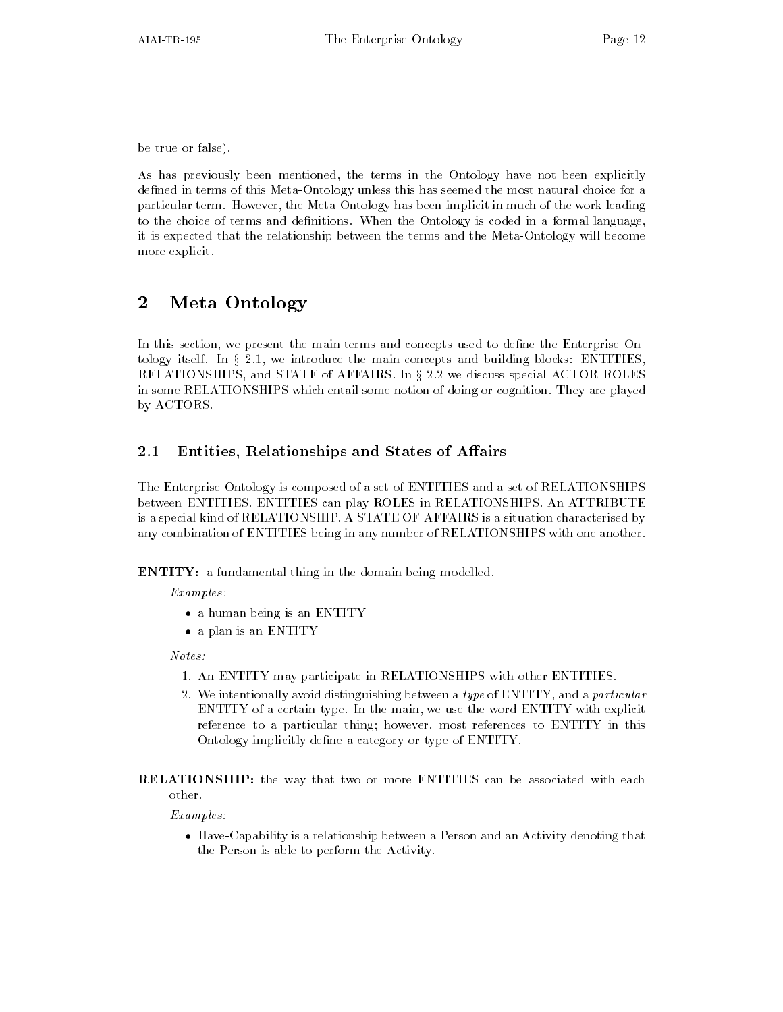be true or false

As has previously been mentioned, the terms in the Ontology have not been explicitly defined in terms of this Meta-Ontology unless this has seemed the most natural choice for a particular term. However, the Meta-Ontology has been implicit in much of the work leading to the choice of terms and definitions. When the Ontology is coded in a formal language, it is expected that the relationship between the terms and the Meta-Ontology will become more explicit

#### $\overline{2}$ Meta Ontology

In this section, we present the main terms and concepts used to define the Enterprise Ontology itself. In  $\S 2.1$ , we introduce the main concepts and building blocks: ENTITIES, RELATIONSHIPS, and STATE of AFFAIRS. In § 2.2 we discuss special ACTOR ROLES in some RELATIONSHIPS which entail some notion of doing or cognition They are played by ACTORS

#### $2.1$ Entities Relationships and States of A airs

The Enterprise Ontology is composed of a set of ENTITIES and a set of RELATIONSHIPS between ENTITIES ENTITIES can play ROLES in RELATIONSHIPS An ATTRIBUTE is a special kind of RELATIONSHIP A STATE OF AFFAIRS is a situation characterised by any combination of ENTITIES being in any number of RELATIONSHIPS with one another

**ENTITY:** a fundamental thing in the domain being modelled.

Examples:

- $\bullet$  a human being is an ENIIIY
- $\bullet$  a plan is an ENIIIY

 $Notes:$ 

- An ENTITY may participate in RELATIONSHIPS with our participate in RELATIONSHIPS with our participate in RELATIONSHIPS with our participate in RELATIONSHIPS with our participate in RELATIONSHIPS with our participate in R
- 2. We intentionally avoid distinguishing between a type of ENTITY, and a particular ENTITY of a certain type. In the main, we use the word ENTITY with explicit reference to a particular thing; however, most references to ENTITY in this Ontology implicitly define a category or type of ENTITY.

**RELATIONSHIP**: the way that two or more ENTITIES can be associated with each other

Examples:

 $\bullet$  -flave-Capability is a relationship between a Person and an Activity denoting that the Person is able to perform the Activity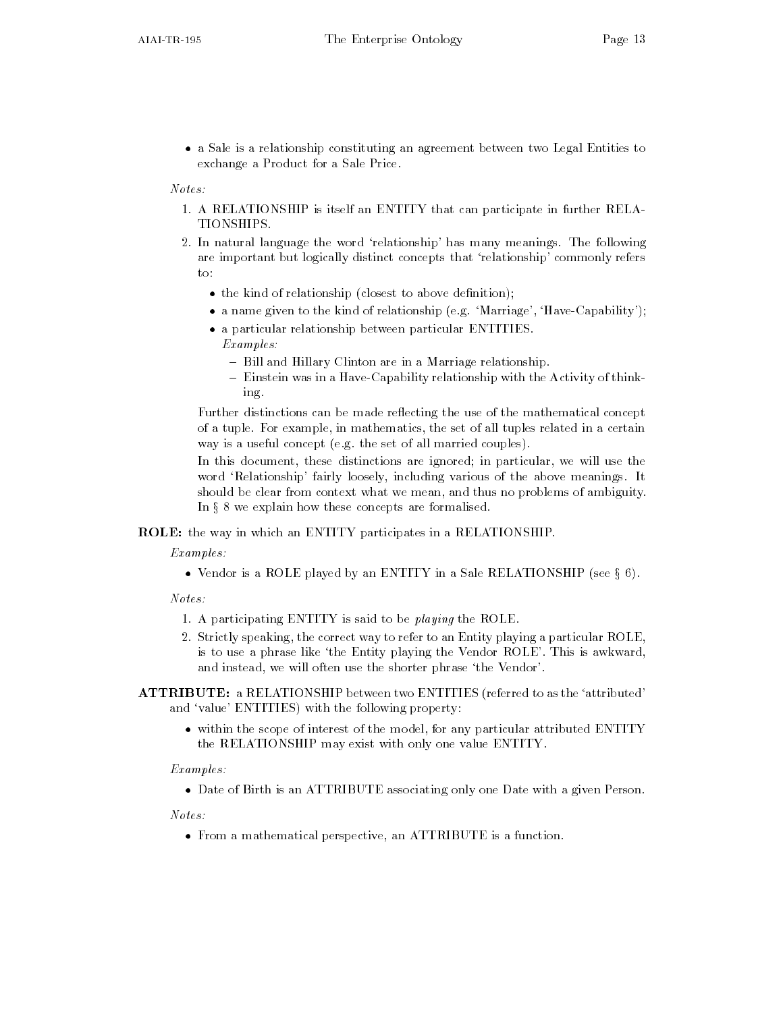$\bullet$  a Sale is a relationship constituting an agreement between two Legal Entities to  $$ exchange a Product for a Sale Price

 $Notes:$ 

- A RELATIONSHIP is itself an ENTITY that can participate in further RELA TIONSHIPS.
- 2. In natural language the word 'relationship' has many meanings. The following are important but logically distinct concepts that 'relationship' commonly refers  $to$ :
	- $\bullet$  the kind of relationship (closest to above definition);  $\hspace{0.1mm}$
	- $\bullet$  a name given to the kind of relationship (e.g. -Marriage , Have-Capability );  $\bullet$
	- $\bullet$  a particular relationship between particular EN IIIIES.

Examples

- Bill and Hillary Clinton are in a Marriage relationship.
- Einstein was in a Have-Capability relationship with the Activity of thinking

Further distinctions can be made reflecting the use of the mathematical concept of a tuple. For example, in mathematics, the set of all tuples related in a certain way is a useful concept (e.g. the set of all married couples).

In this document, these distinctions are ignored; in particular, we will use the word 'Relationship' fairly loosely, including various of the above meanings. It should be clear from context what we mean, and thus no problems of ambiguity. In  $\S 8$  we explain how these concepts are formalised.

ROLE: the way in which an ENTITY participates in a RELATIONSHIP.

Examples:

• Vendor is a ROLE played by an ENTITY in a Sale RELATIONSHIP (see  $\S$  6).

- a participating entity is said to be playing the ROLE.
- 2. Strictly speaking, the correct way to refer to an Entity playing a particular ROLE, is to use a phrase like 'the Entity playing the Vendor ROLE'. This is awkward, and instead, we will often use the shorter phrase 'the Vendor'.

ATTRIBUTE: a RELATIONSHIP between two ENTITIES (referred to as the 'attributed' and 'value' ENTITIES) with the following property:

 $\bullet$  within the scope of interest of the model, for any particular attributed ENTITY the RELATIONSHIP may exist with only one value ENTITY

Examples:

 $\bullet$  Date of Birth is an ATTRIBUTE associating only one Date with a given Person.

Notes

 $\bullet$  from a mathematical perspective, an ATTRIBUTE is a function.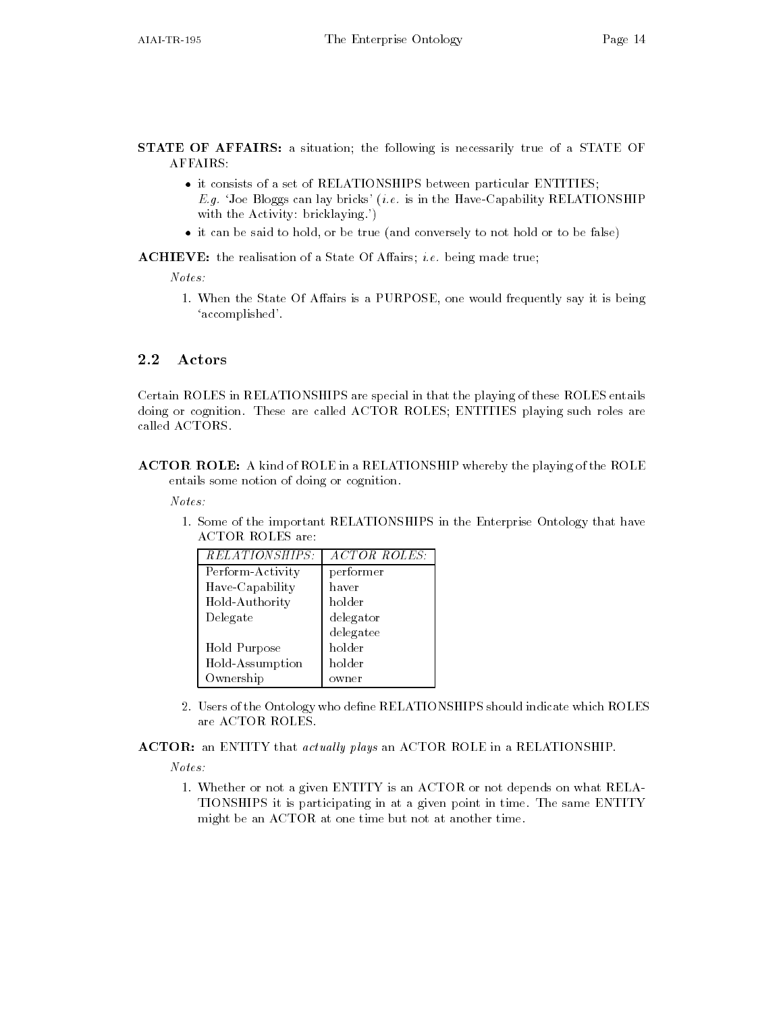STATE OF AFFAIRS: a situation; the following is necessarily true of a STATE OF AFFAIRS

- $\bullet$  it consists of a set of KELATIONSHIPS between particular ENTITIES; e-,, Joe Bloggs can in the Have Capability Relationship Relationship Relationship Relationship Relationship with the Activity: bricklaying.')
- $\bullet$  it can be said to hold, or be true (and conversely to not hold or to be false)  $-$

Achieve the realisation of a State Of Aairs i-dependent of  $A$  and  $A$  are a State Of Aairs i-dependent of  $A$ 

 $Notes:$ 

- When the State Of Aairs is a PURPOSE one would frequently say it is being 'accomplished'.

### 2.2 Actors

Certain ROLES in RELATIONSHIPS are special in that the playing of these ROLES entails doing or cognition. These are called ACTOR ROLES; ENTITIES playing such roles are called ACTORS.

ACTOR ROLE: A kind of ROLE in a RELATIONSHIP whereby the playing of the ROLE entails some notion of doing or cognition

 $Notes:$ 

- Some of the important RELATIONSHIPS in the Enterprise Ontology that have **ACTOR ROLES** are:

| <i>RELATIONSHIPS:</i> | ACTOR ROLES: |
|-----------------------|--------------|
| Perform-Activity      | performer    |
| Have-Capability       | haver        |
| Hold-Authority        | holder       |
| Delegate              | delegator    |
|                       | delegatee    |
| Hold Purpose          | holder       |
| Hold-Assumption       | holder       |
| Ownership             | owner        |

- 2. Users of the Ontology who define RELATIONSHIPS should indicate which ROLES are ACTOR ROLES
- ACTOR: an ENTITY that actually plays an ACTOR ROLE in a RELATIONSHIP.

 $Notes:$ 

- whether or not a given Entitle is an ACTOR or not depends on what Relative TIONSHIPS it is participating in at a given point in time The same ENTITY might be an ACTOR at one time but not at another time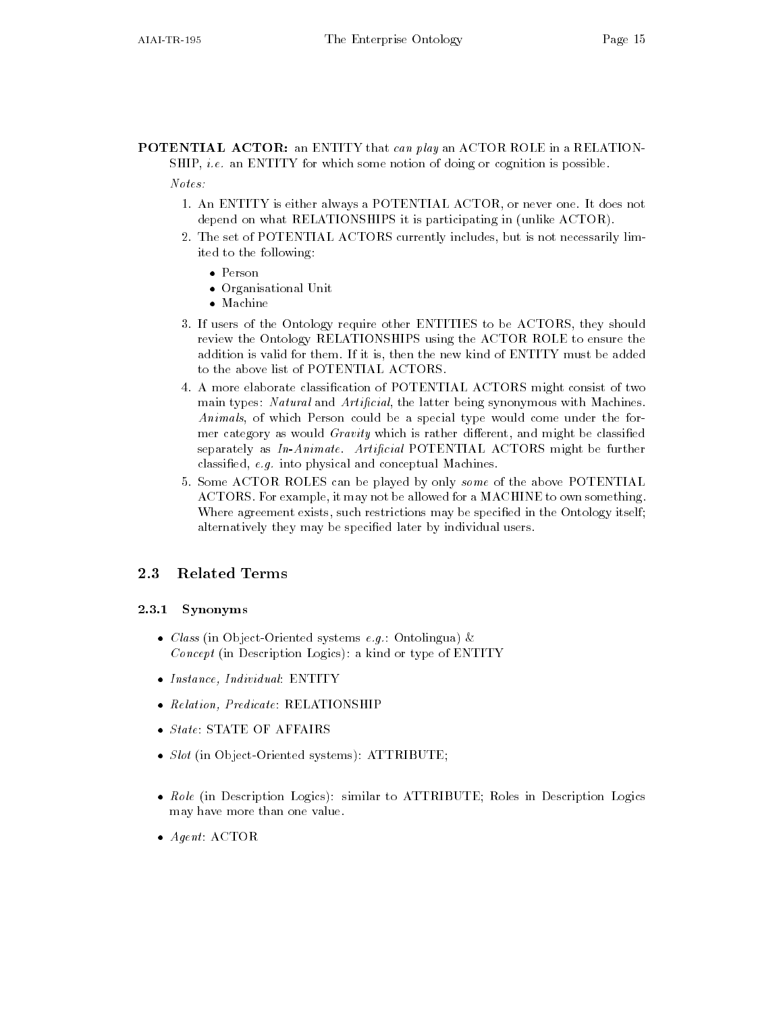**POTENTIAL ACTOR:** an ENTITY that can play an ACTOR ROLE in a RELATIONe-let include the common common common or an entity of cognition is possible to

- An ENTITY is either always a POTENTIAL ACTOR or never one It does not depend on what RELATIONSHIPS it is participating in (unlike ACTOR).
- 2. The set of POTENTIAL ACTORS currently includes, but is not necessarily limited to the following
	- $\bullet$  Person
	- Organisational Unit
	- $\bullet$  Machine
- If users of the Ontology require other ENTITIES to be ACTORS they should review the Ontology RELATIONSHIPS using the ACTOR ROLE to ensure the addition is valid for them If it is then the new kind of ENTITY must be added to the above list of POTENTIAL ACTORS
- A more elaborate classication of POTENTIAL ACTORS might consist of two main types: Natural and Artificial, the latter being synonymous with Machines. Animals, of which Person could be a special type would come under the former category as would *Gravity* which is rather different, and might be classified separately as  $In-Animate$ . Artificial POTENTIAL ACTORS might be further classied e-g- into physical and conceptual Machines
- 5. Some ACTOR ROLES can be played by only some of the above POTENTIAL ACTORS. For example, it may not be allowed for a MACHINE to own something. Where agreement exists, such restrictions may be specified in the Ontology itself; alternatively they may be specified later by individual users.

#### 2.3.1  Synonyms

- $\bullet$  Class (in Object-Oriented systems e.g.: Ontolingua)  $\propto$  $Concept$  (in Description Logics): a kind or type of ENTITY
- Instance, Individual: ENIIIY
- $\bullet$  Relation, Predicate: RELATIONSHIP
- $\bullet$  *State*: STATE OF AFFAIRS
- $\bullet$  5lot (in Object-Oriented systems):  $\text{ALIRIBULE}$ ;
- $\bullet$  *Role* (in Description Logics): similar to  $\mathrm{ALIRIBUL}$ ; Roles in Description Logics may have more than one value
- $\bullet$  Agent ACTOR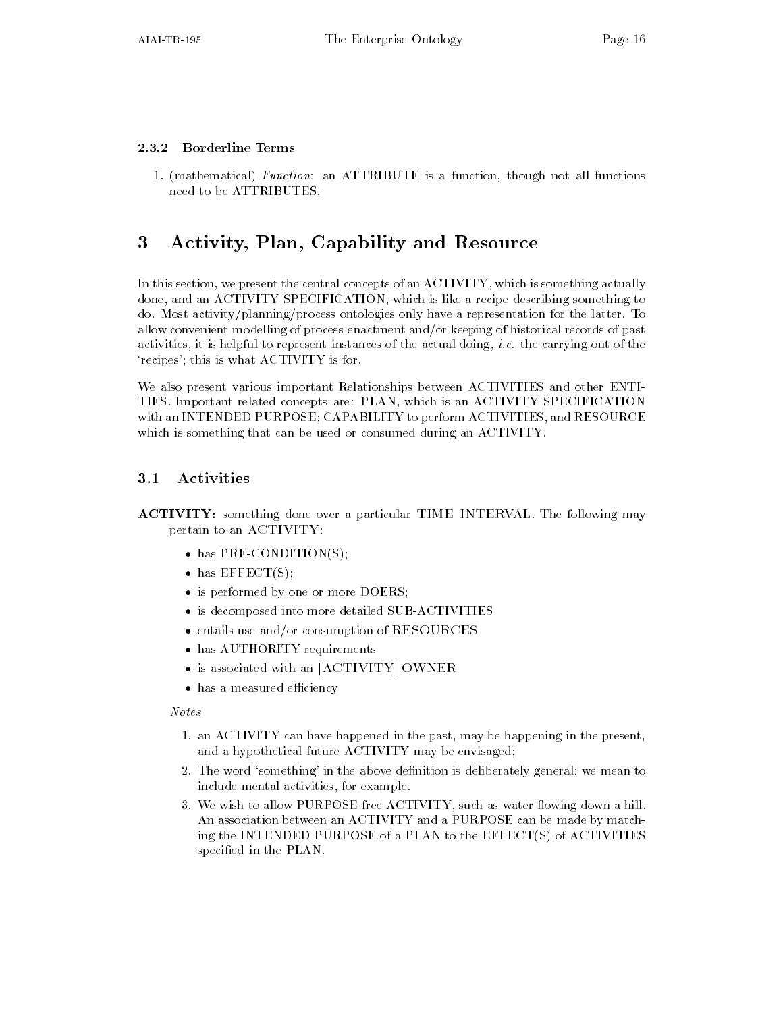#### Borderline Terms

- mathematical Function an ATTRIBUTE is a function though not all functions need to be ATTRIBUTES

#### 3 Activity, Plan, Capability and Resource

In this section, we present the central concepts of an ACTIVITY, which is something actually done, and an ACTIVITY SPECIFICATION, which is like a recipe describing something to do. Most activity/planning/process ontologies only have a representation for the latter. To allow convenient modelling of process enactment and/or keeping of historical records of past activities in the carrying is represented instances of the actual doing i-carrying i-di-di-'recipes'; this is what ACTIVITY is for.

We also present various important Relationships between ACTIVITIES and other ENTI TIES Important related concepts are PLAN which is an ACTIVITY SPECIFICATION with an INTENDED PURPOSE; CAPABILITY to perform ACTIVITIES, and RESOURCE which is something that can be used or consumed during an ACTIVITY

#### $3.1$ Activities

ACTIVITY: something done over a particular TIME INTERVAL. The following may pertain to an ACTIVITY

- has PRE-CONDITION(5);
- $\bullet$  has EFFECT(5);
- $\bullet$  is performed by one or more DULKS;
- $\bullet$  is decomposed into more detailed SUB-ACTIVITIES
- $\bullet$  entails use and/or consumption of RESOURCES
- $\bullet$  has AUIHORIIY requirements  $-$
- $\bullet$  is associated with an  $|{\rm ACIIVII}|\ {\rm OWhEK}$
- $\bullet\,$  has a measured efficiency  $\hspace{0.1mm}$

#### Notes

- an ACTIVITY can have happened in the past may be happening in the present and a hypothetical future ACTIVITY may be envisaged
- 2. The word 'something' in the above definition is deliberately general; we mean to include mental activities, for example.
- 3. We wish to allow PURPOSE-free ACTIVITY, such as water flowing down a hill. An association between an ACTIVITY and a PURPOSE can be made by match ing the INTENDED PURPOSE of a PLAN to the EFFECT(S) of ACTIVITIES specified in the PLAN.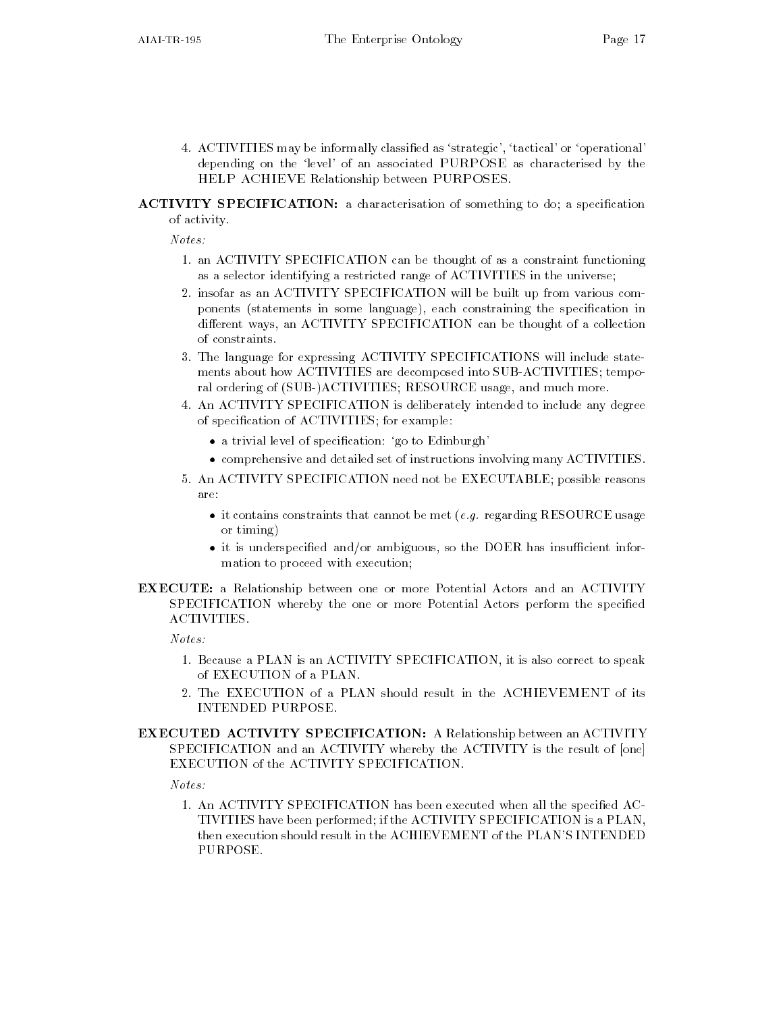4. ACTIVITIES may be informally classified as 'strategic', 'tactical' or 'operational' depending on the 'level' of an associated PURPOSE as characterised by the HELP ACHIEVE Relationship between PURPOSES

### ACTIVITY SPECIFICATION: a characterisation of something to do; a specification of activity

 $Notes:$ 

- an ACTIVITY SPECIFICATION can be thought of as a constraint functioning as a selector identifying a restricted range of ACTIVITIES in the universe
- insofar as an ACTIVITY SPECIFICATION will be built up from various com ponents (statements in some language), each constraining the specification in different ways, an ACTIVITY SPECIFICATION can be thought of a collection of constraints
- The language for expressing ACTIVITY SPECIFICATIONS will include state ments about how ACTIVITIES are decomposed into SUB-ACTIVITIES; temporal ordering of (SUB-)ACTIVITIES; RESOURCE usage, and much more.
- An ACTIVITY SPECIFICATION is deliberately intended to include any degree of specification of ACTIVITIES; for example:
	- $\bullet$  a trivial level of specification: go to Edinburgh  $\hspace{0.1mm}$
	- $\bullet$  comprehensive and detailed set of instructions involving many ACTIVITIES.
- 5. An ACTIVITY SPECIFICATION need not be EXECUTABLE; possible reasons are:
	- $\bullet$  it contains constraints that cannot be met (*e.g.* regarding <code>KESOURCE</code> usage or  $t_{\text{iming}}$ or time the second property of the second property of the second property of the second property of the second property of the second property of the second property of the second property of the second property of the sec
	- $\bullet$  it is underspecified and/or ambiguous, so the DOER has insufficient information to proceed with execution
- **EXECUTE:** a Relationship between one or more Potential Actors and an ACTIVITY SPECIFICATION whereby the one or more Potential Actors perform the specified **ACTIVITIES.**

 $Notes:$ 

- Because a PLAN is an ACTIVITY SPECIFICATION it is also correct to speak
- 2. The EXECUTION of a PLAN should result in the ACHIEVEMENT of its **INTENDED PURPOSE.**
- EXECUTED ACTIVITY SPECIFICATION: A Relationship between an ACTIVITY SPECIFICATION and an ACTIVITY whereby the ACTIVITY is the result of [one] EXECUTION of the ACTIVITY SPECIFICATION

 $Notes:$ 

- An Activity specification has been executed when all the specification has been executed when all the specification  $\mathcal{A}^{\text{max}}$ TIVITIES have been performed if the ACTIVITY SPECIFICATION is a PLAN then execution should result in the ACHIEVEMENT of the PLANS INTENDED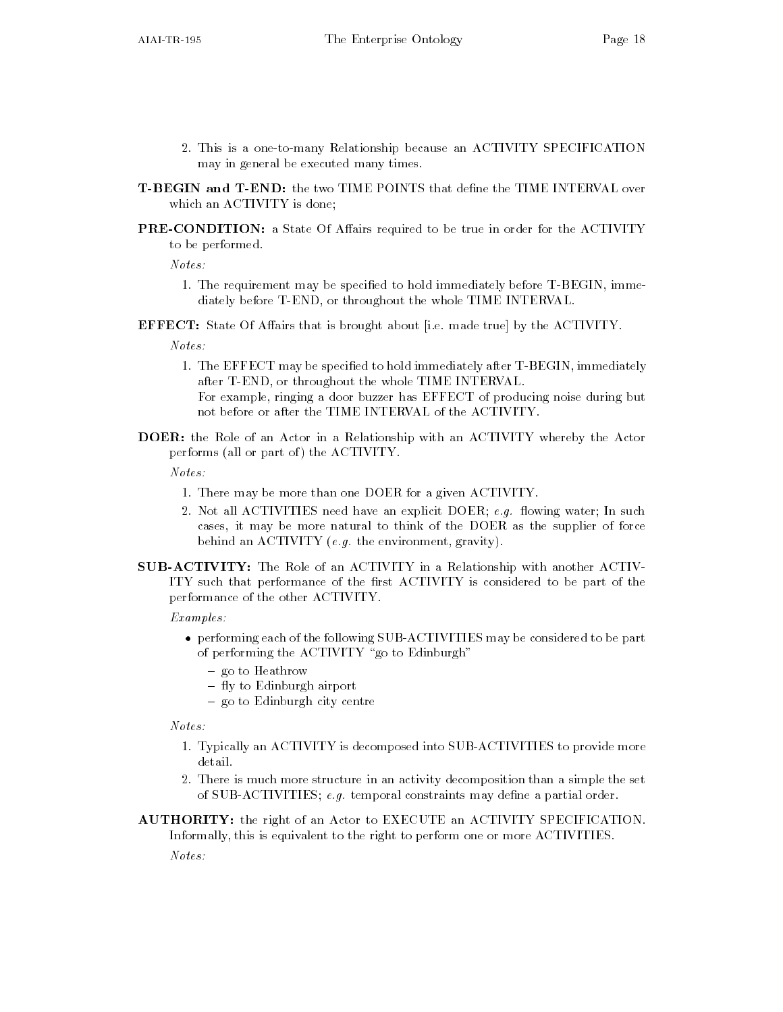- 2. This is a one-to-many Relationship because an ACTIVITY SPECIFICATION may in general be executed many times
- T-BEGIN and T-END: the two TIME POINTS that define the TIME INTERVAL over which an ACTIVITY is done
- **PRE-CONDITION:** a State Of Affairs required to be true in order for the ACTIVITY to be performed

 $Notes:$ 

- The requirement may be specied to hold immediately before TBEGIN imme diately before T-END, or throughout the whole TIME INTERVAL.
- **EFFECT:** State Of Affairs that is brought about [i.e. made true] by the ACTIVITY.

 $Notes:$ 

- The EFFECT may be specied to hold immediately after TBEGIN immediately after T-END, or throughout the whole TIME INTERVAL.
	- For example, ringing a door buzzer has EFFECT of producing noise during but not before or after the TIME INTERVAL of the ACTIVITY
- DOER: the Role of an Actor in a Relationship with an ACTIVITY whereby the Actor performs (all or part of) the ACTIVITY.

Notes

- There may be more than one DOER for a given ACTIVITY
- Not all ACTIVITIES need have an explicit DOER e-g- owing water In such cases it may be more natural to think of the DOER as the supplier of force behind an Activity e-the environment gravity e-the environment gravity e-the environment gravity e-the environment gravity e-the environment gravity e-the environment gravity e-the environment gravity e-the environment gra
- SUB-ACTIVITY: The Role of an ACTIVITY in a Relationship with another ACTIV-ITY such that performance of the first ACTIVITY is considered to be part of the performance of the other ACTIVITY

Examples

- $\bullet$  performing each of the following SUB-ACTIVITIES may be considered to be part  $$ of performing the ACTIVITY "go to Edinburgh"
	- go to Heathrow
	- $-$  fly to Edinburgh airport
	- go to Edinburgh city centre

 $Notes:$ 

- Typically an ACTIVITY is decomposed into SUBACTIVITIES to provide more detail.
- There is much more structure in an activity decomposition than a simple the set of SUBACTIVITIES e-g- temporal constraints may dene a partial order
- AUTHORITY: the right of an Actor to EXECUTE an ACTIVITY SPECIFICATION. Informally, this is equivalent to the right to perform one or more ACTIVITIES.

 $Notes:$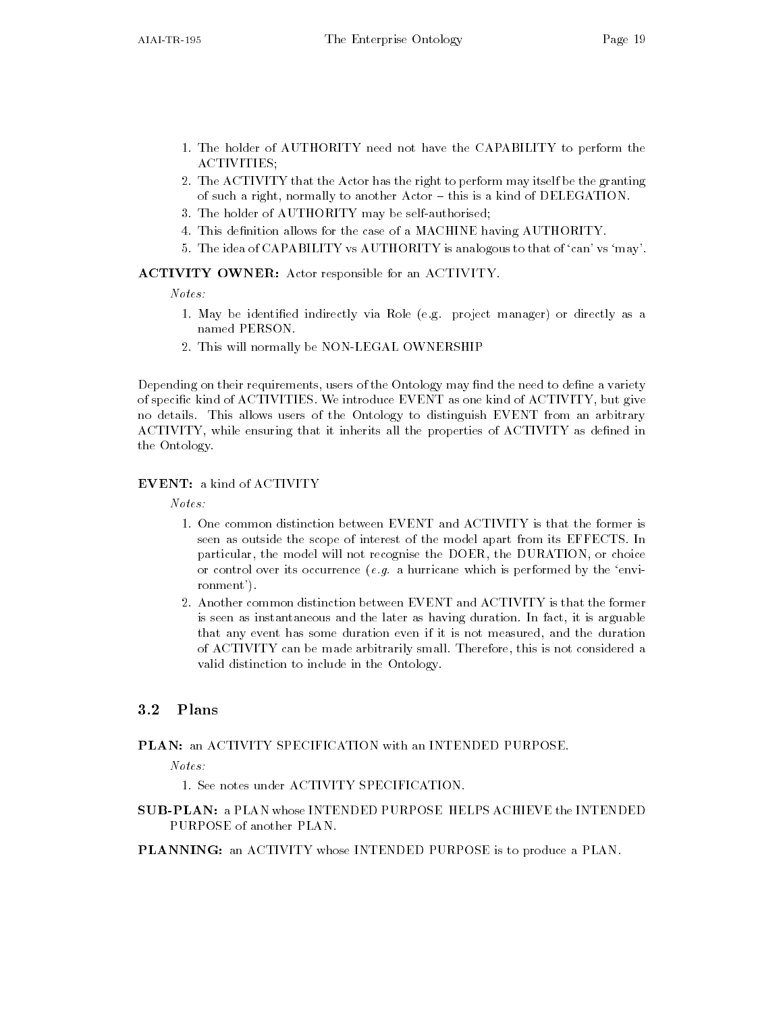- The holder of AUTHORITY need not have the CAPABILITY to perform the ACTIVITIES
- 2. The ACTIVITY that the Actor has the right to perform may itself be the granting of such a right, normally to another Actor - this is a kind of DELEGATION.
- 3. The holder of AUTHORITY may be self-authorised:
- 4. This definition allows for the case of a MACHINE having AUTHORITY.
- 5. The idea of CAPABILITY vs AUTHORITY is analogous to that of 'can' vs 'may'.

#### ACTIVITY OWNER: Actor responsible for an ACTIVITY.

Notes

- May be identied indirectly via Role eg project manager or directly as a named PERSON
- 2. This will normally be NON-LEGAL OWNERSHIP

Depending on their requirements, users of the Ontology may find the need to define a variety of specific kind of ACTIVITIES. We introduce EVENT as one kind of ACTIVITY, but give no details This allows users of the Ontology to distinguish EVENT from an arbitrary ACTIVITY while ensuring that it inherits all the properties of ACTIVITY as dened in the Ontology

#### **EVENT:** a kind of ACTIVITY

 $Notes:$ 

- seen as outside the scope of interest of the model apart from its EFFECTS In particular, the model will not recognise the DOER, the DURATION, or choice or control over its occurrence (alg) in minimum complete performed by the environment of the environment of th ronment').
- Another common distinction between EVENT and ACTIVITY is that the former is seen as instantaneous and the later as having duration. In fact, it is arguable that any event has some duration even if it is not measured, and the duration of ACTIVITY can be made arbitrarily small. Therefore, this is not considered a valid distinction to include in the Ontology

#### $3.2$ Plans

#### PLAN: an ACTIVITY SPECIFICATION with an INTENDED PURPOSE.

 $Notes:$ 

- 
- **SUB-PLAN: a PLAN whose INTENDED PURPOSE HELPS ACHIEVE the INTENDED** PURPOSE of another PLAN.

PLANNING: an ACTIVITY whose INTENDED PURPOSE is to produce a PLAN.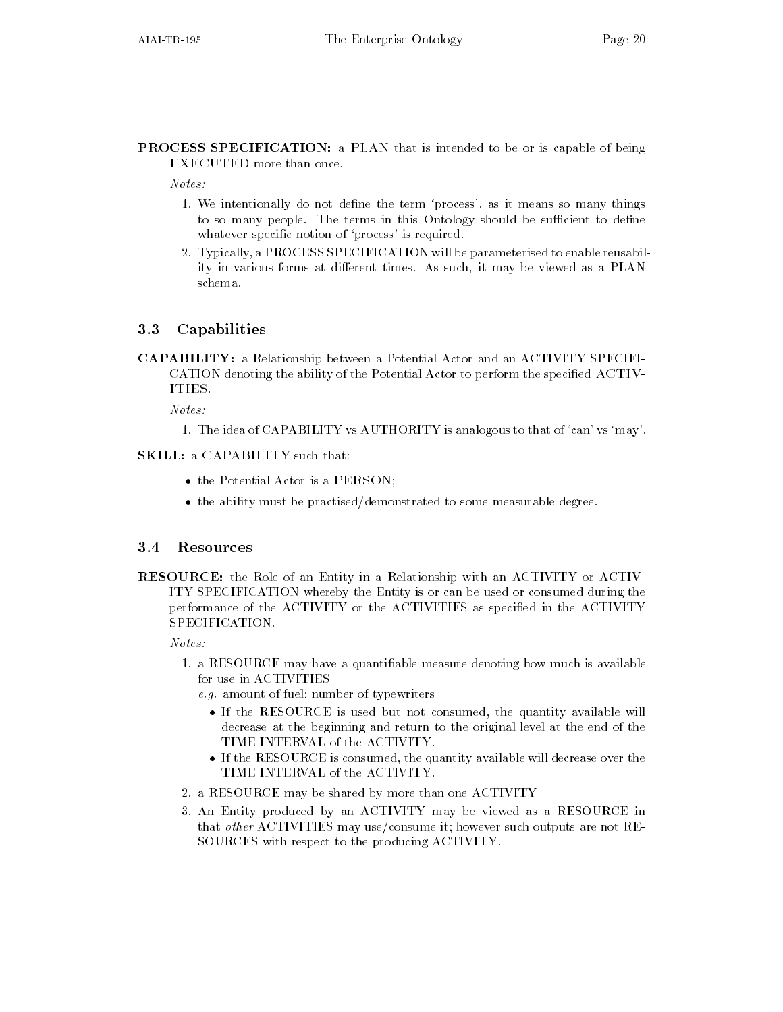**PROCESS SPECIFICATION:** a PLAN that is intended to be or is capable of being EXECUTED more than once

- We intentionally do not dene the term process as it means so many things to so many people. The terms in this Ontology should be sufficient to define whatever specific notion of 'process' is required.
- 2. Typically, a PROCESS SPECIFICATION will be parameterised to enable reusability in various forms at different times. As such, it may be viewed as a PLAN schema

### Capabilities

CAPABILITY a Relationship between a Potential Actor and an ACTIVITY SPECIFI CATION denoting the ability of the Potential Actor to perform the specified ACTIV-ITIES.

Notes

- The idea of CAPABILITY vs AUTHORITY is analogous to that of can vs may

#### SKILL: a CAPABILITY such that:

- $\bullet$  the Potential Actor is a PERSON;  $\phantom{mm}$
- $\bullet$  the ability must be practised/demonstrated to some measurable degree.

#### $3.4$ Resources

RESOURCE: the Role of an Entity in a Relationship with an ACTIVITY or ACTIV-ITY SPECIFICATION whereby the Entity is or can be used or consumed during the performance of the ACTIVITY or the ACTIVITIES as specified in the ACTIVITY SPECIFICATION.

 $Notes:$ 

- a RESOURCE may have a quantiable measure denoting how much is available for use in ACTIVITIES
	- e-g-mount of fuel number of the species of the function
		- $\bullet$  If the KESOUKCE is used but not consumed, the quantity available will decrease at the beginning and return to the original level at the end of the TIME INTERVAL of the ACTIVITY
		- $\bullet$  If the RESOURCE is consumed, the quantity available will decrease over the  $\phantom{a}$ TIME INTERVAL of the ACTIVITY
- a RESOURCE may be shared by more than one ACTIVITY
- An Entity produced by an ACTIVITY may be viewed as a RESOURCE in that other ACTIVITIES may use/consume it; however such outputs are not RE-SOURCES with respect to the producing ACTIVITY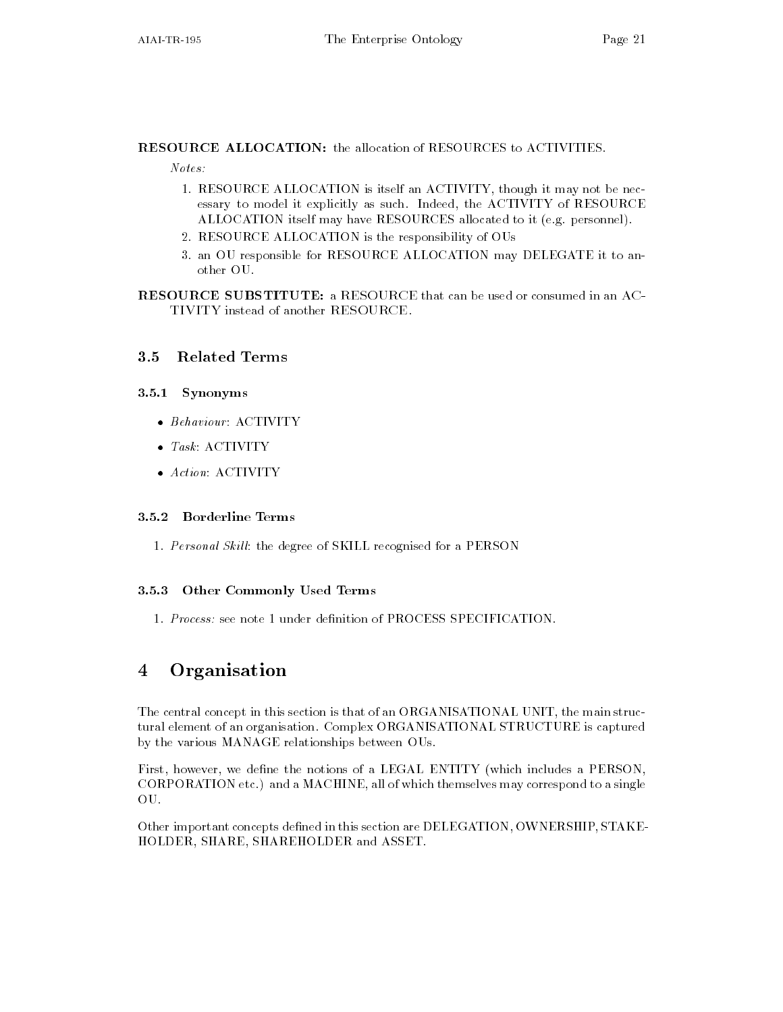RESOURCE ALLOCATION: the allocation of RESOURCES to ACTIVITIES.

Notes

- RESOURCE ALLOCATION is itself an ACTIVITY though it may not be nec essary to model it explicitly as such. Indeed, the ACTIVITY of RESOURCE ALLOCATION itself may have RESOURCES allocated to it (e.g. personnel).
- RESOURCE ALLOCATION is the responsibility of OUs
- an OU responsible for RESOURCE ALLOCATION may DELEGATE it to an other OU.

RESOURCE SUBSTITUTE: a RESOURCE that can be used or consumed in an AC-TIVITY instead of another RESOURCE

#### 3.5 **Related Terms**

### 3.5.1 Synonyms

- $\bullet$  Behaviour: AUIIVIIY
- $\bullet$  1ask: AUIIVIIY
- $\bullet$  Action: ACIIVIIY

- Personal Skil l the degree of SKILL recognised for a PERSON

### 3.5.3 Other Commonly Used Terms

#### Organisation 4

The central concept in this section is that of an ORGANISATIONAL UNIT, the main structural element of an organisation Complex ORGANISATIONAL STRUCTURE is captured by the various MANAGE relationships between OUs

First, however, we define the notions of a LEGAL ENTITY (which includes a PERSON, CORPORATION etc.) and a MACHINE, all of which themselves may correspond to a single OU

Other important concepts defined in this section are DELEGATION, OWNERSHIP, STAKE-HOLDER, SHARE, SHAREHOLDER and ASSET.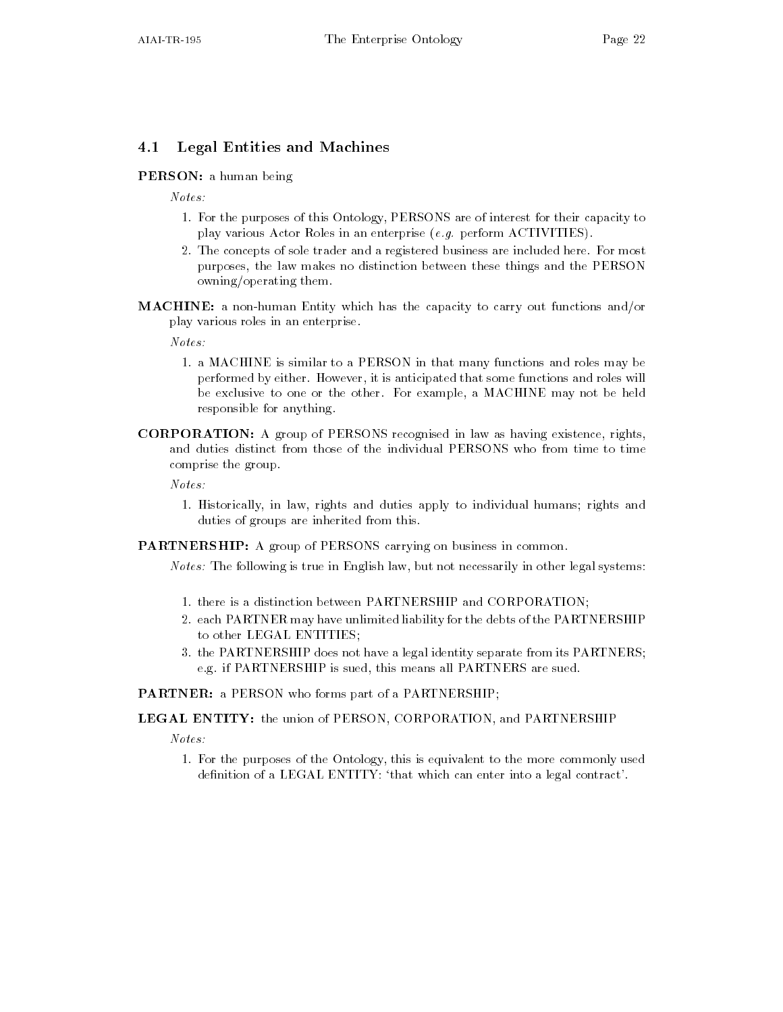## 4.1 Legal Entities and Machines

### PERSON: a human being

 $Notes:$ 

- For the purposes of this Ontology PERSONS are of interest for their capacity to play various Actor Roles in an enterprise e-g- perform ACTIVITIES
- 2. The concepts of sole trader and a registered business are included here. For most purposes, the law makes no distinction between these things and the PERSON owning/operating them.
- **MACHINE:** a non-human Entity which has the capacity to carry out functions and/or play various roles in an enterprise

 $Notes:$ 

- a machine is similar to a PERSON in the many functions and roles many bear  $\mu$ performed by either. However, it is anticipated that some functions and roles will be exclusive to one or the other. For example, a MACHINE may not be held responsible for anything
- CORPORATION: A group of PERSONS recognised in law as having existence, rights, and duties distinct from those of the individual PERSONS who from time to time comprise the group

Notes

- Historically in law rights and duties apply to individual humans rights and duties of groups are inherited from this

PARTNERSHIP: A group of PERSONS carrying on business in common.

 $Notes:$  The following is true in English law, but not necessarily in other legal systems:

- there is a distinction between PARTNERSHIP and CORPORATION
- 2. each PARTNER may have unlimited liability for the debts of the PARTNERSHIP to other LEGAL ENTITIES
- 3. the PARTNERSHIP does not have a legal identity separate from its PARTNERS; e.g. if PARTNERSHIP is sued, this means all PARTNERS are sued.

PARTNER: a PERSON who forms part of a PARTNERSHIP;

LEGAL ENTITY: the union of PERSON, CORPORATION, and PARTNERSHIP

Notes

- For the purposes of the Ontology this is equivalent to the more commonly used definition of a LEGAL ENTITY: 'that which can enter into a legal contract'.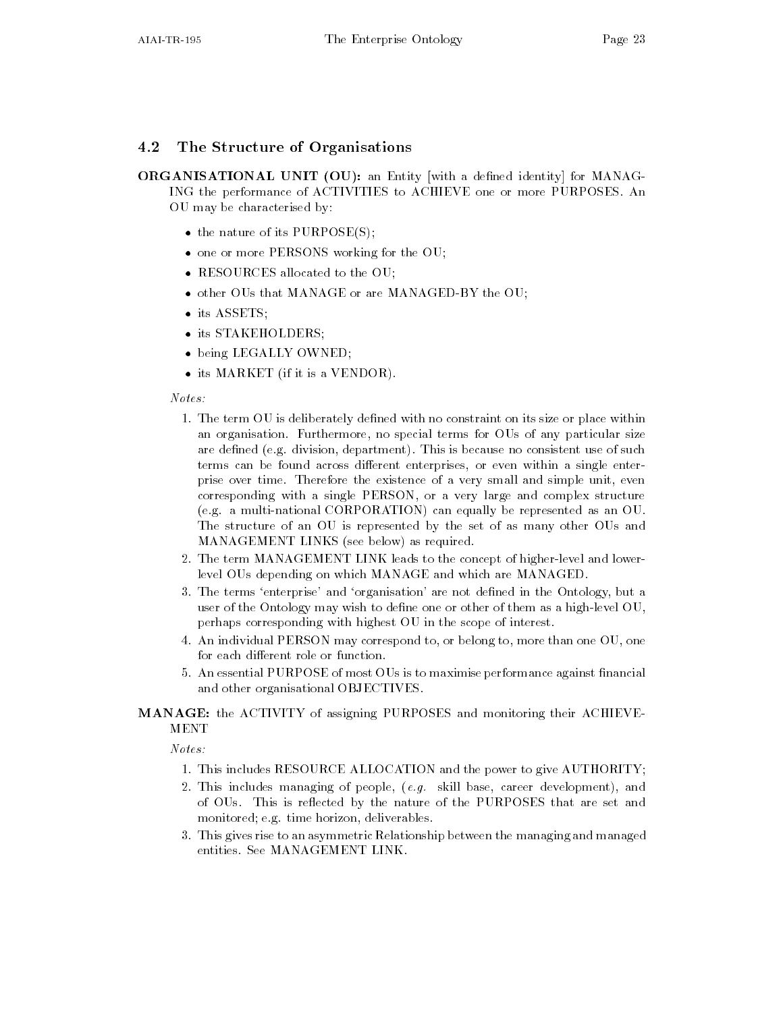### 4.2 The Structure of Organisations

ORGANISATIONAL UNIT (OU): an Entity with a defined identity for MANAG-ING the performance of ACTIVITIES to ACHIEVE one or more PURPOSES An OU may be characterised by

- $\bullet$  the nature of its PURPOSE(S);
- $\bullet\,$  one or more PERSONS working for the OU;  $\,$
- $\bullet$  -KESOURCES allocated to the OU;  $\phantom{1}$
- $\bullet$  other OUs that MANAGE or are MANAGED-BY the OU;
- $\bullet$  its ASSETS;
- Its STAKEHOLDERS;
- being LEGALLY OWNED;
- $\bullet$  its MARREI (if it is a VENDOR).  $\hspace{0.1em}$

### $Notes:$

- The term OU is deliberately dened with no constraint on its size or place within an organisation. Furthermore, no special terms for OUs of any particular size are defined (e.g. division, department). This is because no consistent use of such terms can be found across different enterprises, or even within a single enterprise over time Therefore the existence of a very small and simple unit even corresponding with a single PERSON, or a very large and complex structure (e.g. a multi-national CORPORATION) can equally be represented as an OU. The structure of an OU is represented by the set of as many other OUs and MANAGEMENT LINKS (see below) as required.
- 2. The term MANAGEMENT LINK leads to the concept of higher-level and lowerlevel OUs depending on which MANAGE and which are MANAGED
- 3. The terms 'enterprise' and 'organisation' are not defined in the Ontology, but a user of the Ontology may wish to define one or other of them as a high-level  $OU$ . perhaps corresponding with highest OU in the scope of interest
- 4. An individual PERSON may correspond to, or belong to, more than one OU, one for each different role or function.
- 5. An essential PURPOSE of most OUs is to maximise performance against financial and other organisational OBJECTIVES

# MANAGE: the ACTIVITY of assigning PURPOSES and monitoring their ACHIEVE-

- This includes RESOURCE ALLOCATION and the power to give AUTHORITY AND THE power to give AUTHORITY AND THE power to give AUTHORITY AND THE POWER TO GIve AUTHORITY AND THE POWER TO GIve AUTHORITY AND THE POWER TO GIve AUTH
- This includes managing of people e-g- skill base career development and of OUs. This is reflected by the nature of the PURPOSES that are set and monitored; e.g. time horizon, deliverables.
- This gives rise to an asymmetric Relationship between the managing and managed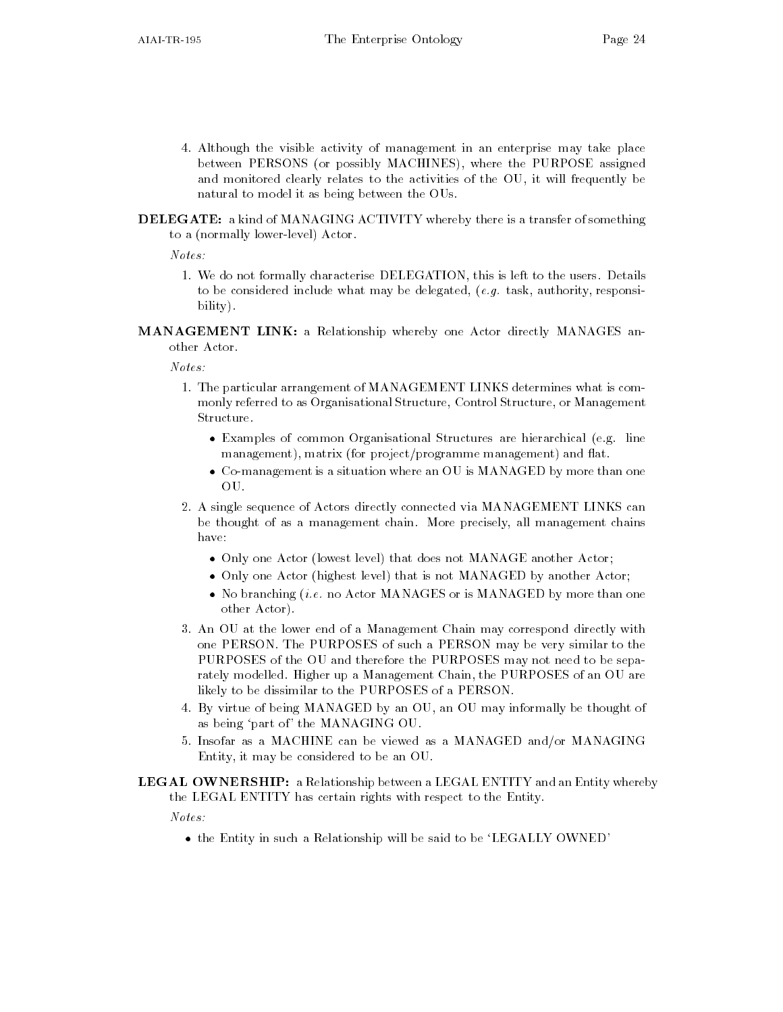- Although the visible activity of management in an enterprise may take place between PERSONS (or possibly MACHINES), where the PURPOSE assigned and monitored clearly relates to the activities of the OU it will frequently be natural to model it as being between the OUs
- DELEGATE: a kind of MANAGING ACTIVITY whereby there is a transfer of something to a (normally lower-level) Actor.

Notes

- We do not formally characterise DELEGATION this is left to the users Details to be considered in considered in task and the definition of  $\mathbf{r}_i$ bility).
- MANAGEMENT LINK: a Relationship whereby one Actor directly MANAGES another Actor.

 $Notes:$ 

- The particular arrangement of MANAGEMENT LINKS determines what is com monly referred to as Organisational Structure, Control Structure, or Management Structure.
	- $\bullet$  Examples of common Organisational Structures are hierarchical (e.g. line  $$ management), matrix (for project/programme management) and flat.
	- $\bullet\,$  Co-management is a situation where an OU is MANAGED by more than one  $\,$ OU.
- 2. A single sequence of Actors directly connected via MANAGEMENT LINKS can be thought of as a management chain. More precisely, all management chains have:
	- $\bullet$  Unly one Actor (lowest level) that does not MANAGE another Actor;
	- $\bullet$  Unly one Actor (highest level) that is not MANAGED by another Actor;
	- $\bullet$  No branching (*i.e.* no Actor MANAGES or is MANAGED by more than one other Actor
- An OU at the lower end of a Management Chain may correspond directly with one PERSON The PURPOSES of such a PERSON may be very similar to the PURPOSES of the OU and therefore the PURPOSES may not need to be sepa rately modelled. Higher up a Management Chain, the PURPOSES of an OU are likely to be dissimilar to the PURPOSES of a PERSON
- By virtue of being MANAGED by an OU an OU may informally be thought of as being 'part of' the MANAGING OU.
- 5. Insofar as a MACHINE can be viewed as a MANAGED and/or MANAGING Entity, it may be considered to be an OU.
- LEGAL OWNERSHIP: a Relationship between a LEGAL ENTITY and an Entity whereby the LEGAL ENTITY has certain rights with respect to the Entity

 $Notes:$ 

 $\bullet$  the Entity in such a Kelationship will be said to be LEGALLY OWNED.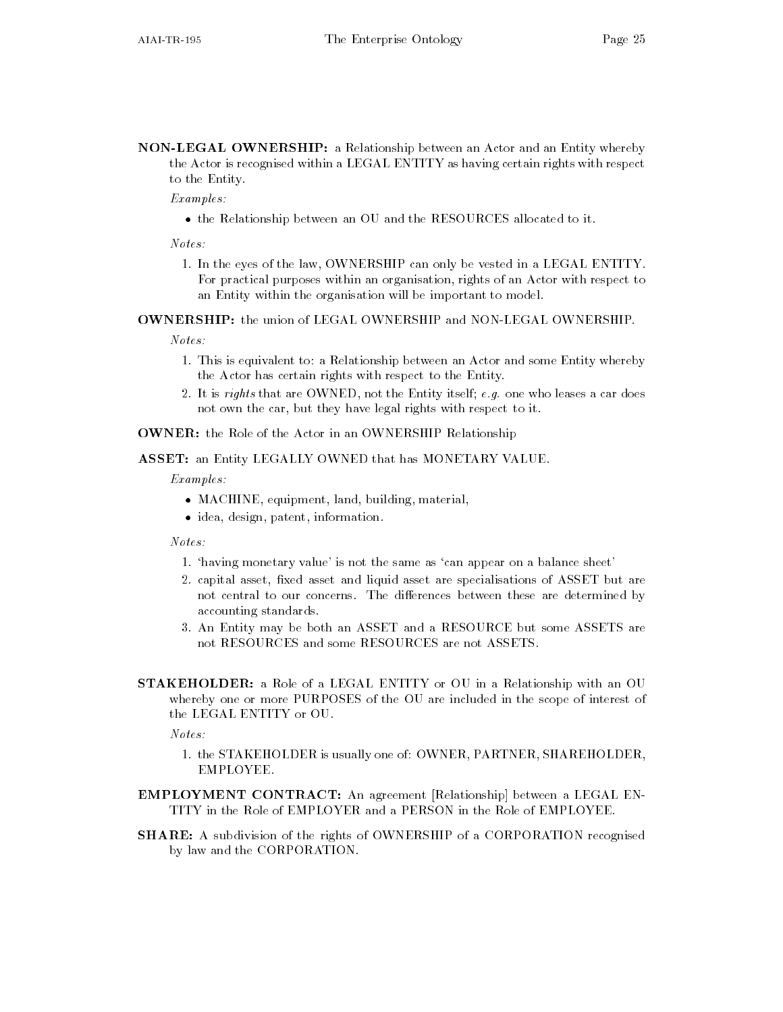NON-LEGAL OWNERSHIP: a Relationship between an Actor and an Entity whereby the Actor is recognised within a LEGAL ENTITY as having certain rights with respect to the Entity

Examples

 $\bullet$  the Relationship between an OU and the RESOURCES allocated to it.

 $Notes:$ 

- In the eyes of the law OWNERSHIP can only be vested in a LEGAL ENTITY For practical purposes within an organisation, rights of an Actor with respect to an Entity within the organisation will be important to model

**OWNERSHIP:** the union of LEGAL OWNERSHIP and NON-LEGAL OWNERSHIP.

 $Notes:$ 

- This is equivalent to a Relationship between an Actor and some Entity where Entity where Entity where Entity whereby the Actor has certain rights with respect to the Entity
- on are organic that it is represented that the Entity itself ergo cars who leases a car does not own the car, but they have legal rights with respect to it.

OWNER: the Role of the Actor in an OWNERSHIP Relationship

ASSET: an Entity LEGALLY OWNED that has MONETARY VALUE.

Examples

- $\bullet$  MACHINE, equipment, land, building, material,  $\hspace{0.1mm}$
- $\bullet$  idea, design, patent, information.  $\hspace{0.1mm}$

 $Notes:$ 

- having monetary value is not the same as can appear on a balance sheet
- 2. capital asset, fixed asset and liquid asset are specialisations of ASSET but are not central to our concerns. The differences between these are determined by accounting standards
- An Entity may be both an ASSET and a RESOURCE but some ASSETS are not RESOURCES and some RESOURCES are not ASSETS
- **STAKEHOLDER:** a Role of a LEGAL ENTITY or OU in a Relationship with an OU whereby one or more PURPOSES of the OU are included in the scope of interest of the LEGAL ENTITY or OU

Notes

- the STAKEHOLDER is usually one of OWNER PARTNER SHAREHOLDER EMPLOYEE
- EMPLOYMENT CONTRACT: An agreement [Relationship] between a LEGAL EN-TITY in the Role of EMPLOYER and a PERSON in the Role of EMPLOYEE.
- SHARE: A subdivision of the rights of OWNERSHIP of a CORPORATION recognised by law and the CORPORATION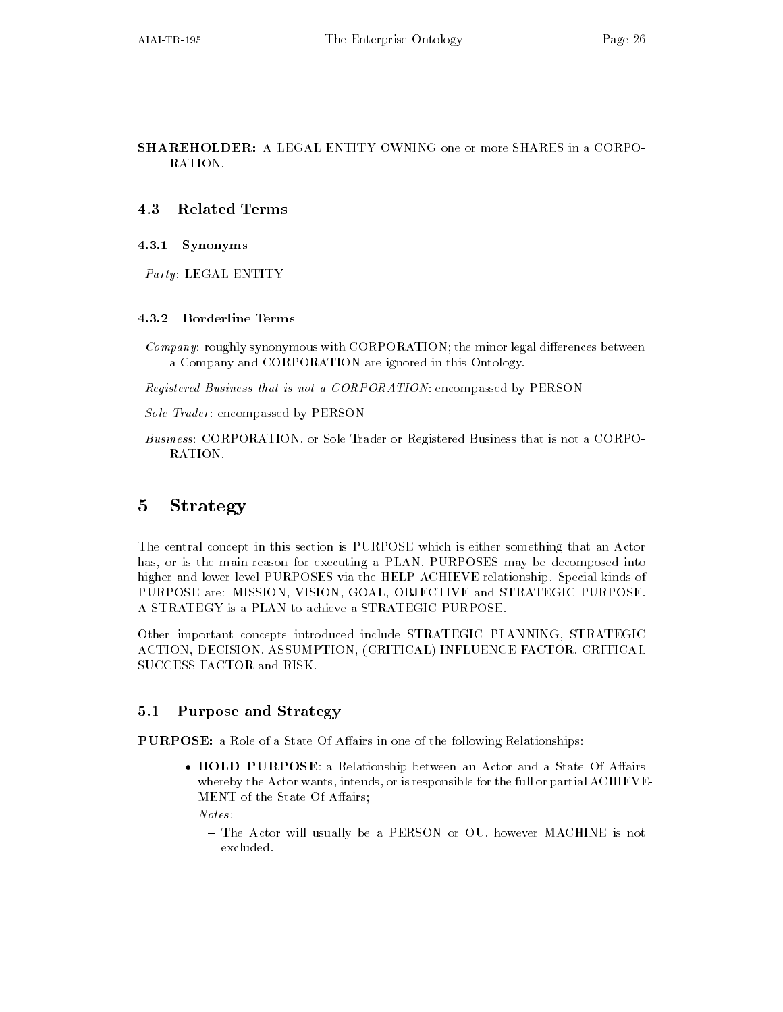SHAREHOLDER: A LEGAL ENTITY OWNING one or more SHARES in a CORPO-RATION

### Related Terms

### 4.3.1 Synonyms

Party: LEGAL ENTITY

*Company*: roughly synonymous with CORPORATION; the minor legal differences between a Company and CORPORATION are ignored in this Ontology

Registered Business that is not a CORPORATION: encompassed by PERSON

Sole Trader: encompassed by PERSON

Business: CORPORATION, or Sole Trader or Registered Business that is not a CORPO-RATION.

## 5 Strategy

The central concept in this section is PURPOSE which is either something that an Actor has, or is the main reason for executing a PLAN. PURPOSES may be decomposed into higher and lower level PURPOSES via the HELP ACHIEVE relationship. Special kinds of PURPOSE are: MISSION, VISION, GOAL, OBJECTIVE and STRATEGIC PURPOSE. A STRATEGY is a PLAN to achieve a STRATEGIC PURPOSE

Other important concepts introduced include STRATEGIC PLANNING, STRATEGIC ACTION, DECISION, ASSUMPTION, (CRITICAL) INFLUENCE FACTOR, CRITICAL SUCCESS FACTOR and RISK

## 5.1 Purpose and Strategy

**PURPOSE:** a Role of a State Of Affairs in one of the following Relationships:

 $\bullet$  HULD PURPUSE: a Kelationship between an Actor and a State Of Affairs whereby the Actor wants, intends, or is responsible for the full or partial ACHIEVE-MENT of the State Of Affairs;

 $Notes:$ 

- The Actor will usually be a PERSON or OU, however MACHINE is not excluded.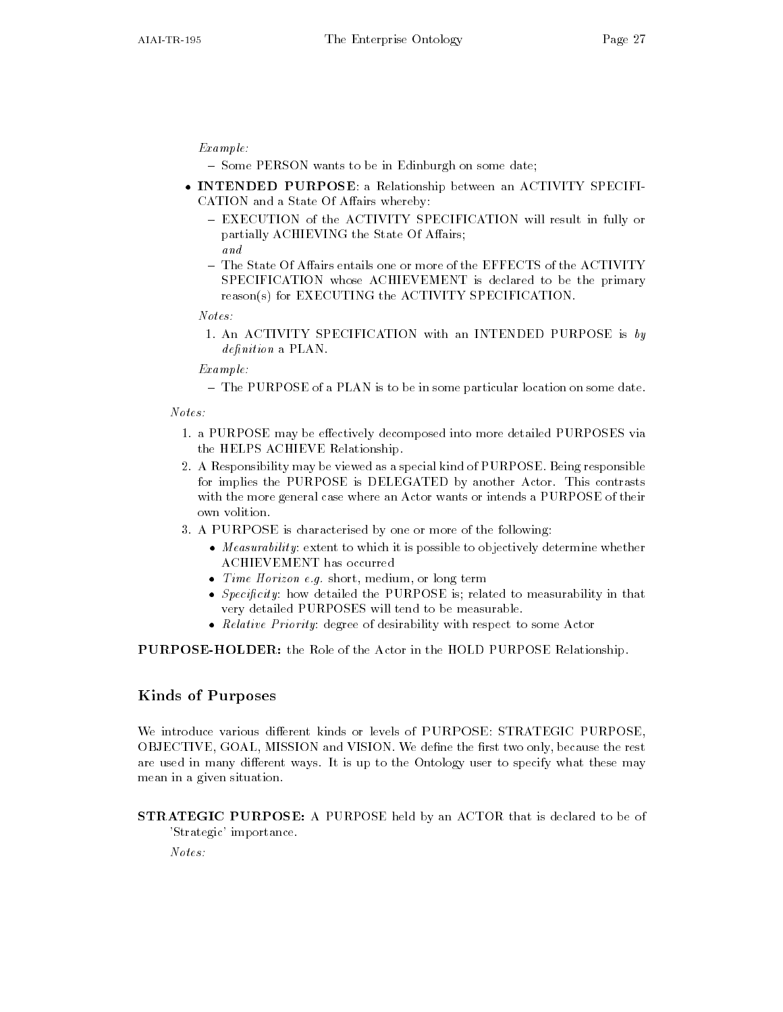#### Example

 $-$  Some PERSON wants to be in Edinburgh on some date:

- INTENDED PURPOSE a Relationship between an ACTIVITY SPECIFI CATION and a State Of Affairs whereby:
	- EXECUTION of the ACTIVITY SPECIFICATION will result in fully or partially ACHIEVING the State Of Affairs; and
	- The State Of Affairs entails one or more of the EFFECTS of the ACTIVITY SPECIFICATION whose ACHIEVEMENT is declared to be the primary  $reason(s)$  for EXECUTING the ACTIVITY SPECIFICATION.

#### $Notes:$

- An Activity specification with an International Section with an International Section with an International Section with an International Section with an International Section with an International Section with an Intern  $definition$  a  $PLAN$ .

#### Example

- The PURPOSE of a PLAN is to be in some particular location on some date.

- a purpose may be extracted into more post more detail detailed purposed into more and more and the HELPS ACHIEVE Relationship
- 2. A Responsibility may be viewed as a special kind of PURPOSE. Being responsible for implies the PURPOSE is DELEGATED by another Actor. This contrasts with the more general case where an Actor wants or intends a PURPOSE of their own volition
- A PURPOSE is characterised by one or more of the following
	- $\bullet$  -*Measurability*: extent to which it is possible to objectively determine whether ACHIEVEMENT has occurred
	- $\bullet$  lime Horizon e.q. short, medium, or long term
	- $\bullet$  *Specificity*: how detailed the PURPOSE is, related to measurability in that very detailed PURPOSES will tend to be measurable
	- $\bullet$  -*Kelative Priority*: degree of desirability with respect to some Actor  $\hspace{0.1mm}$

**PURPOSE-HOLDER:** the Role of the Actor in the HOLD PURPOSE Relationship.

### Kinds of Purposes

We introduce various different kinds or levels of PURPOSE: STRATEGIC PURPOSE, OBJECTIVE, GOAL, MISSION and VISION. We define the first two only, because the rest are used in many different ways. It is up to the Ontology user to specify what these may mean in a given situation

STRATEGIC PURPOSE A PURPOSE held by an ACTOR that is declared to be of 'Strategic' importance.

Notes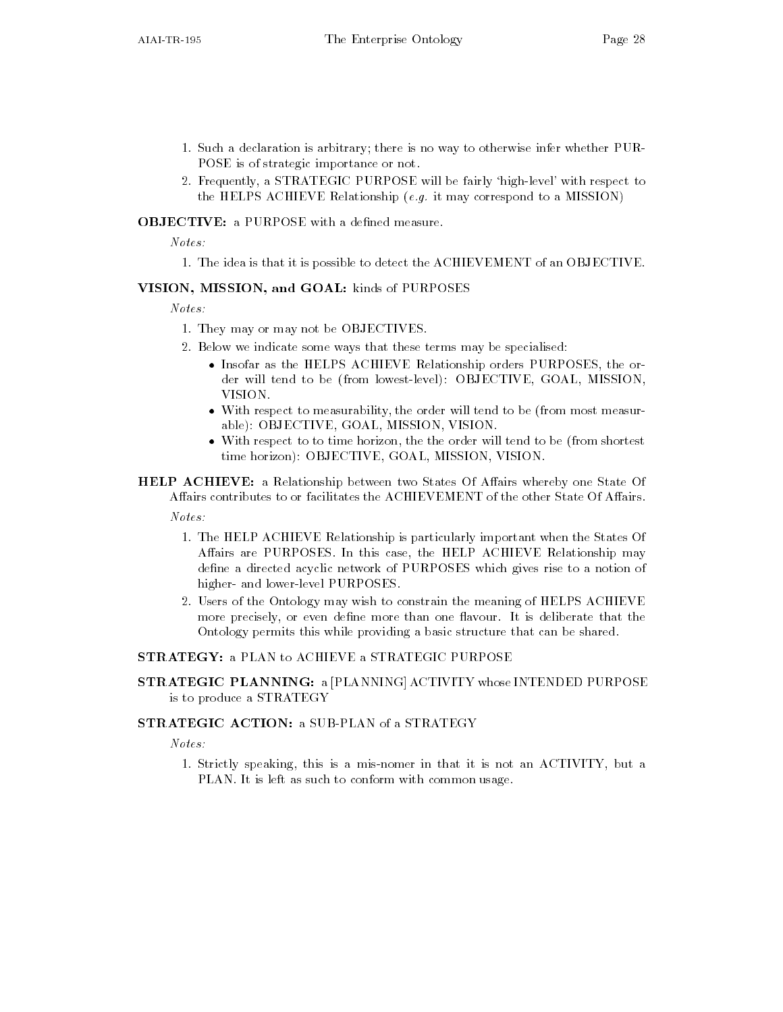- such a declaration is arbitrary there is no way to otherwise infer where  $\sim$ POSE is of strategic importance or not
- 2. Frequently, a STRATEGIC PURPOSE will be fairly 'high-level' with respect to the Helps a figures , it accounts have properly to a may consider the modern to a model of  $\mathcal{C}$

 $Notes:$ 

- The idea is that it is possible to detect the ACHIEVEMENT of an OBJECTIVE

### VISION, MISSION, and GOAL: kinds of PURPOSES

 $Notes:$ 

- They may or may not be OBJECTIVES
- 2. Below we indicate some ways that these terms may be specialised:
	- $\bullet$  -Insofar as the HELPS ACHIEVE Relationship orders PURPOSES, the order will tend to be (from lowest-level): OBJECTIVE, GOAL, MISSION, VISION
	- $\bullet$  -With respect to measurability, the order will tend to be (from most measurable): OBJECTIVE GOAL MISSION VISION.
	- $\bullet$  -With respect to to time horizon, the the order will tend to be (from shortest  $$ time horizon): OBJECTIVE, GOAL, MISSION, VISION.
- **HELP ACHIEVE:** a Relationship between two States Of Affairs whereby one State Of Affairs contributes to or facilitates the ACHIEVEMENT of the other State Of Affairs.

 $Notes:$ 

- The HELP ACHIEVE Relationship is particularly important when the States Of Affairs are PURPOSES. In this case, the HELP ACHIEVE Relationship may define a directed acyclic network of PURPOSES which gives rise to a notion of higher- and lower-level PURPOSES.
- 2. Users of the Ontology may wish to constrain the meaning of HELPS ACHIEVE more precisely, or even define more than one flavour. It is deliberate that the Ontology permits this while providing a basic structure that can be shared

#### STRATEGY: a PLAN to ACHIEVE a STRATEGIC PURPOSE

STRATEGIC PLANNING: a [PLANNING] ACTIVITY whose INTENDED PURPOSE is to produce a STRATEGY

### **STRATEGIC ACTION: a SUB-PLAN of a STRATEGY**

Notes

- Strictly speaking this is a misnomer in that it is not an ACTIVITY but a PLAN. It is left as such to conform with common usage.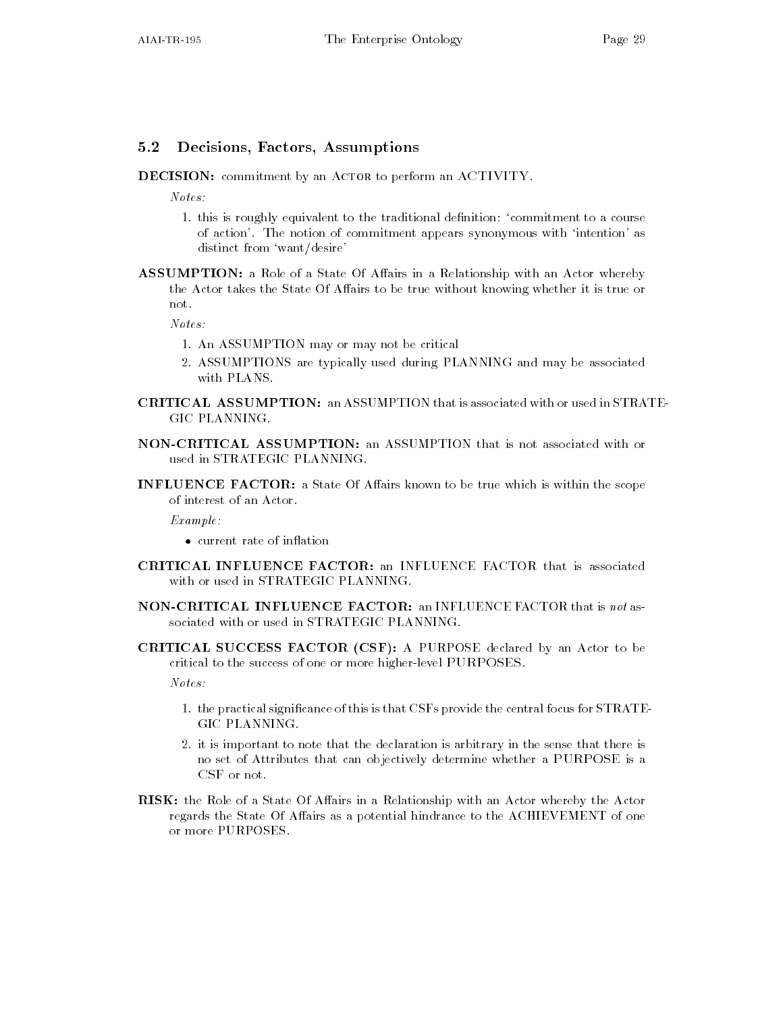### 5.2 Decisions, Factors, Assumptions

DECISION: commitment by an ACTOR to perform an ACTIVITY.

 $Notes:$ 

- this is roughly equivalent to this is roughly equivalent to the traditional denition commitment to a course of of action'. The notion of commitment appears synonymous with 'intention' as distinct from 'want/desire'
- ASSUMPTION: a Role of a State Of Affairs in a Relationship with an Actor whereby the Actor takes the State Of Affairs to be true without knowing whether it is true or not

Notes

- An ASSUMPTION may or may not be critical
- ASSUMPTIONS are typically used during PLANNING and may be associated with PLANS
- **CRITICAL ASSUMPTION:** an ASSUMPTION that is associated with or used in STRATE-GIC PLANNING.
- NON-CRITICAL ASSUMPTION: an ASSUMPTION that is not associated with or used in STRATEGIC PLANNING
- INFLUENCE FACTOR: a State Of Affairs known to be true which is within the scope of interest of an Actor

 $Example:$ 

- current rate of inflation
- CRITICAL INFLUENCE FACTOR an INFLUENCE FACTOR that is associated
- NON-CRITICAL INFLUENCE FACTOR: an INFLUENCE FACTOR that is not associated with or used in STRATEGIC PLANNING
- CRITICAL SUCCESS FACTOR (CSF): A PURPOSE declared by an Actor to be critical to the success of one or more higher-level PURPOSES.

 $Notes:$ 

- the practical signicance of this is that CSFs provide the central focus for STRATE GIC PLANNING
- 2. it is important to note that the declaration is arbitrary in the sense that there is no set of Attributes that can objectively determine whether a PURPOSE is a
- RISK: the Role of a State Of Affairs in a Relationship with an Actor whereby the Actor regards the State Of Affairs as a potential hindrance to the ACHIEVEMENT of one or more PURPOSES.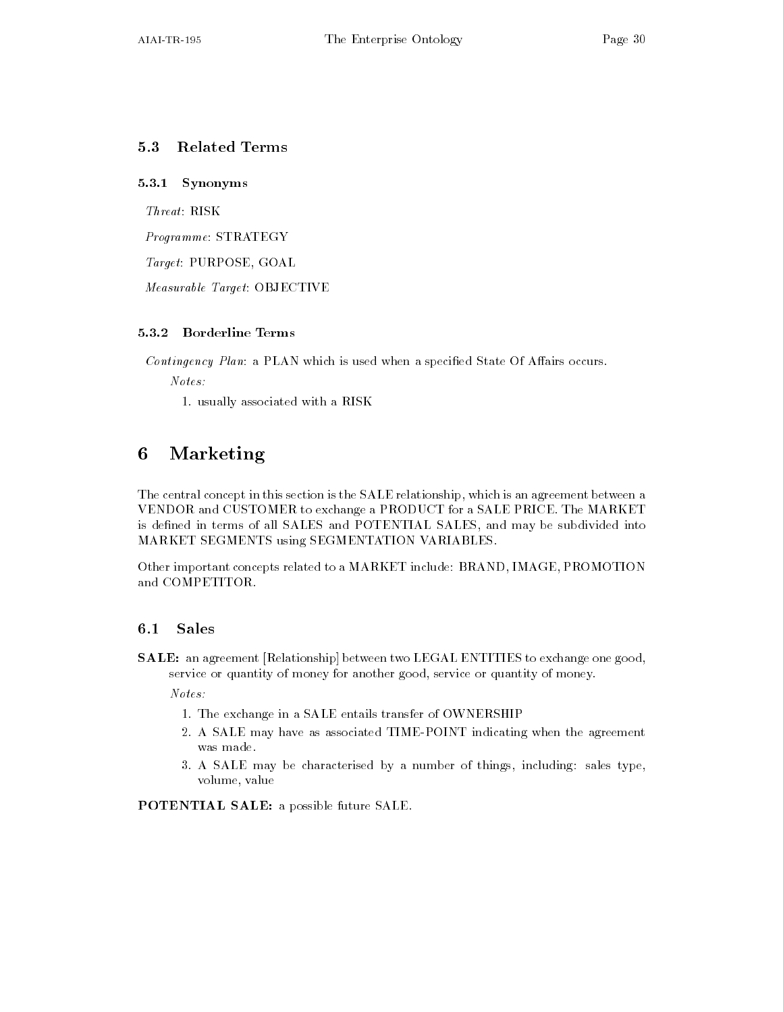## 5.3 Related Terms

### 5.3.1 Synonyms

 $Thread$ : RISK

 $Programme: \, \text{STRATEGY}$ 

 $Target: PURPOSE, GOAL$ 

Measurable Target: OBJECTIVE

Contingency Plan: a PLAN which is used when a specified State Of Affairs occurs.

Notes

- usually associated with a RISK

#### Marketing 6

The central concept in this section is the SALE relationship which is an agreement between a VENDOR and CUSTOMER to exchange a PRODUCT for a SALE PRICE The MARKET is defined in terms of all SALES and POTENTIAL SALES, and may be subdivided into MARKET SEGMENTS using SEGMENTATION VARIABLES

Other important concepts related to a MARKET include: BRAND, IMAGE, PROMOTION and COMPETITOR

#### $6.1$ **Sales**

SALE: an agreement [Relationship] between two LEGAL ENTITIES to exchange one good, service or quantity of money for another good, service or quantity of money.

Notes

- The exchange in a SALE entails transfer of OWNERSHIP entails transfer of OWNERSHIP entails transfer of OWNERSHIP entails transfer of OWNERSHIP entails transfer of OWNERSHIP entails the entails of OWNERSHIP entails the en
- 2. A SALE may have as associated TIME-POINT indicating when the agreement was made.
- 3. A SALE may be characterised by a number of things, including: sales type, volume, value

POTENTIAL SALE: a possible future SALE.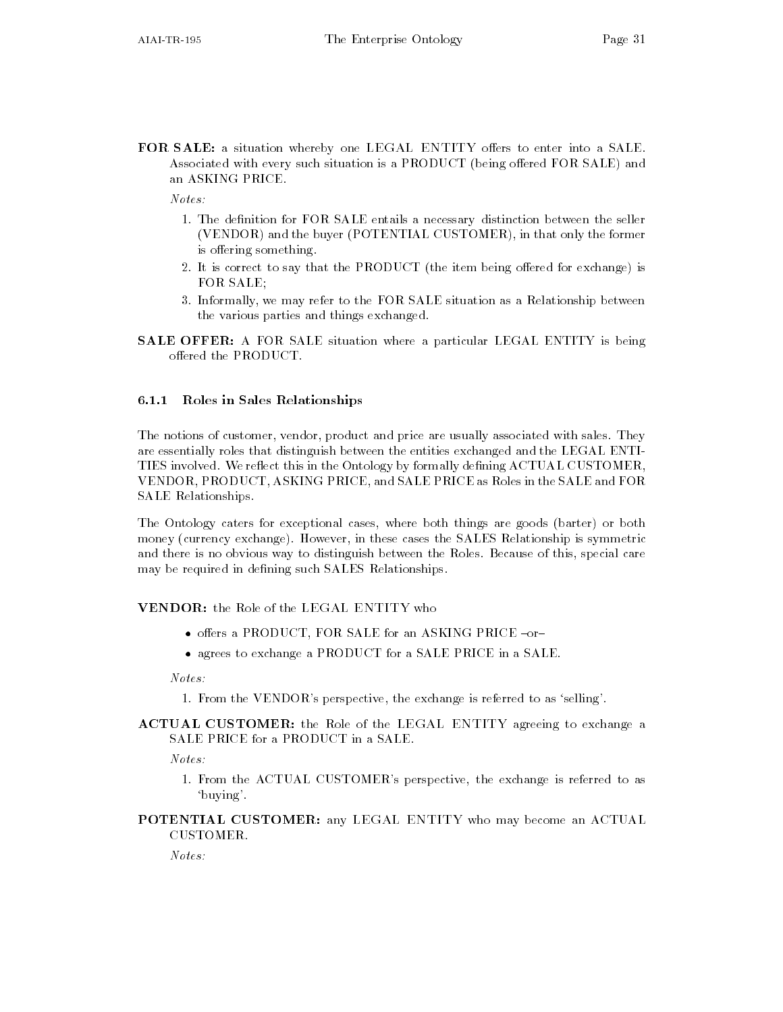FOR SALE: a situation whereby one LEGAL ENTITY offers to enter into a SALE. Associated with every such situation is a PRODUCT (being offered FOR SALE) and an ASKING PRICE

- The denition for FOR SALE entails a necessary distinction between the seller seller seller seller seller sell (VENDOR) and the buyer (POTENTIAL CUSTOMER), in that only the former is offering something.
- 2. It is correct to say that the PRODUCT (the item being offered for exchange) is FOR SALE
- Informally we may refer to the FOR SALE situation as a Relationship between the various parties and things exchanged
- **SALE OFFER:** A FOR SALE situation where a particular LEGAL ENTITY is being offered the PRODUCT.

#### 6.1.1 Roles in Sales Relationships

The notions of customer, vendor, product and price are usually associated with sales. They are essentially roles that distinguish between the entities exchanged and the LEGAL ENTI TIES involved. We reflect this in the Ontology by formally defining ACTUAL CUSTOMER, VENDOR PRODUCT ASKING PRICE and SALE PRICE as Roles in the SALE and FOR SALE Relationships

The Ontology caters for exceptional cases, where both things are goods (barter) or both money (currency exchange). However, in these cases the SALES Relationship is symmetric and there is no obvious way to distinguish between the Roles Because of this special care may be required in defining such SALES Relationships.

### VENDOR: the Role of the LEGAL ENTITY who

- $\bullet$  offers a PRODUCT, FOR SALE for an ASKING PRICE -or-
- $\bullet$  agrees to exchange a PRODUCT for a SALE PRICE in a SALE.

 $Notes:$ 

- From the VENDORs perspective the exchange is referred to as selling
- ACTUAL CUSTOMER: the Role of the LEGAL ENTITY agreeing to exchange a SALE PRICE for a PRODUCT in a SALE

- From the ACTUAL CUSTOMERs perspective the exchange is referred to as 'buying'.
- POTENTIAL CUSTOMER: any LEGAL ENTITY who may become an ACTUAL CUSTOMER.

 $Notes:$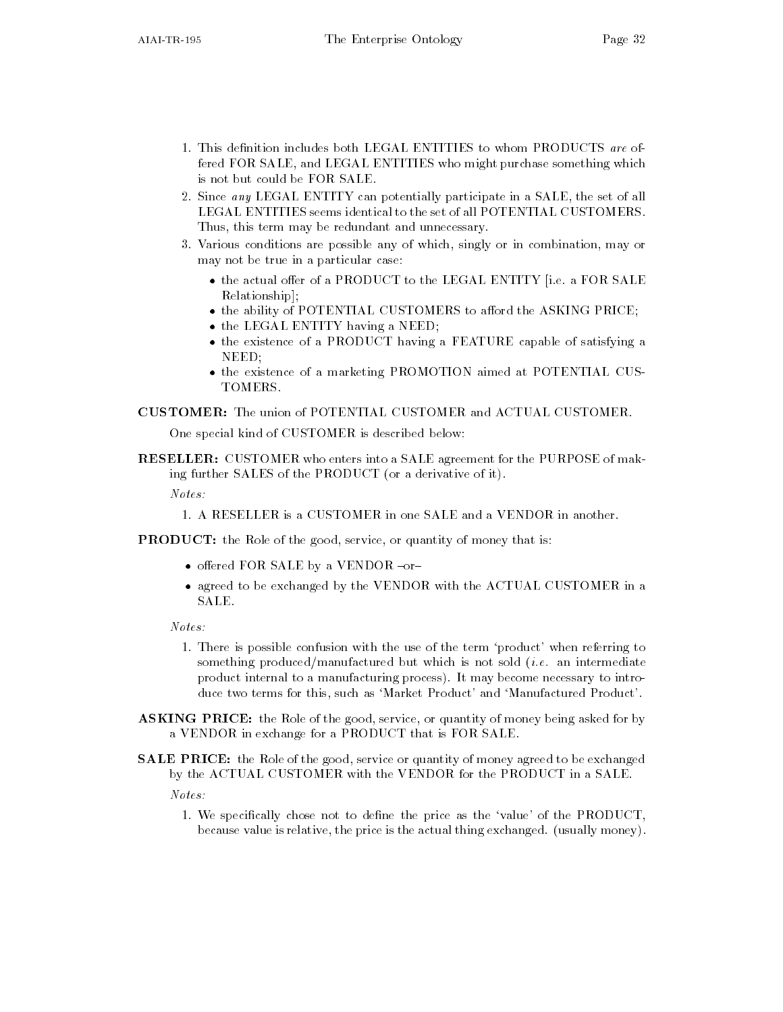- fered FOR SALE, and LEGAL ENTITIES who might purchase something which is not but could be FOR SALE
- 2. Since any LEGAL ENTITY can potentially participate in a SALE, the set of all LEGAL ENTITIES seems identical to the set of all POTENTIAL CUSTOMERS Thus, this term may be redundant and unnecessary.
- 3. Various conditions are possible any of which, singly or in combination, may or may not be true in a particular case
	- $\bullet$  the actual offer of a PRODUCT to the LEGAL ENTITY [i.e. a FOR SALE Relationship
	- $\bullet$  the ability of PUTENTIAL CUSTOMERS to afford the ASKING PRICE;  $\hspace{0.1mm}$
	- $\bullet$  the LEGAL ENTITY having a NEED;
	- $\bullet$  the existence of a PRODUCT having a FEATURE capable of satisfying a NEED
	- $\bullet$  the existence of a marketing PROMOTION aimed at POTENTIAL CUS-TOMERS

One special kind of CUSTOMER is described below

**RESELLER:** CUSTOMER who enters into a SALE agreement for the PURPOSE of making further SALES of the PRODUCT (or a derivative of it).

 $Notes:$ 

**PRODUCT:** the Role of the good, service, or quantity of money that is:

- $\bullet$  offered FOR SALE by a VENDOR  $\lnot$ or $\lnot$
- $\bullet$  agreed to be exchanged by the VENDOR with the ACTUAL CUSTOMER in a SALE

 $Notes:$ 

- There is possible confusion with the use of the term product when referring to something produced, manufactured but which is not sold intermediately intermediately product internal to a manufacturing process It may become necessary to intro duce two terms for this, such as 'Market Product' and 'Manufactured Product'.
- ASKING PRICE: the Role of the good, service, or quantity of money being asked for by a VENDOR in exchange for a PRODUCT that is FOR SALE
- SALE PRICE: the Role of the good, service or quantity of money agreed to be exchanged by the ACTUAL CUSTOMER with the VENDOR for the PRODUCT in a SALE

Notes

- We specically chose not to dene the price as the value of the PRODUCT because value is relative, the price is the actual thing exchanged. (usually money).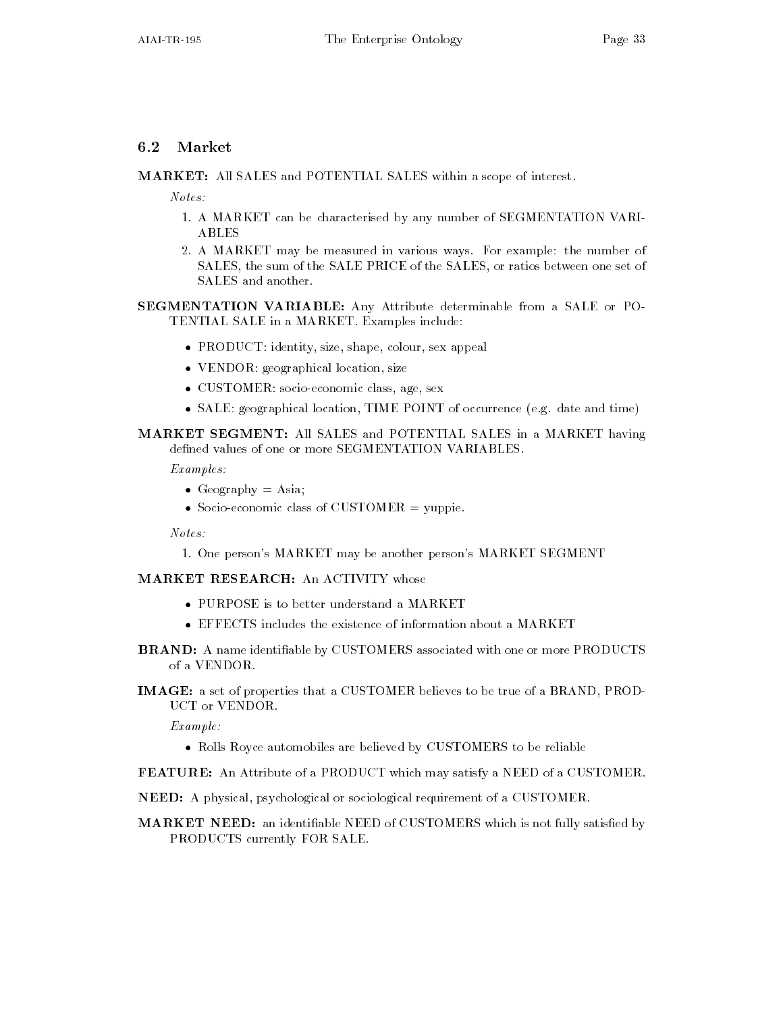### $6.2$

MARKET: All SALES and POTENTIAL SALES within a scope of interest.

 $Notes:$ 

- A MARKET can be characterised by any number of SEGMENTATION VARI ABLES
- 2. A MARKET may be measured in various ways. For example: the number of SALES, the sum of the SALE PRICE of the SALES, or ratios between one set of SALES and another

SEGMENTATION VARIABLE: Any Attribute determinable from a SALE or PO-TENTIAL SALE in a MARKET. Examples include:

- $\bullet$  PRODUCT: identity, size, shape, colour, sex appeal
- $\bullet\,$  <code>VENDOR:</code> geographical location, size  $\,$
- CUSTOMER: socio-economic class, age, sex
- $\bullet$  SALE: geographical location, TIME POINT of occurrence (e.g. date and time)  $-$

### MARKET SEGMENT: All SALES and POTENTIAL SALES in a MARKET having defined values of one or more SEGMENTATION VARIABLES.

Examples

- $\bullet$  Geography  $=\text{Asia}$
- $\bullet$  Socio-economic class of UUSTOMER  $=$  yuppie.

Notes

- One persons MARKET may be another persons MARKET SEGMENT

### **MARKET RESEARCH: An ACTIVITY whose**

- PURPOSE is to better understand a MARKET
- $\bullet$  LFFLUIS includes the existence of information about a MAKKLI
- BRAND: A name identifiable by CUSTOMERS associated with one or more PRODUCTS of a VENDOR
- IMAGE: a set of properties that a CUSTOMER believes to be true of a BRAND, PROD-**UCT or VENDOR**

 $Example:$ 

- $\bullet$  Kolls Koyce automobiles are believed by CUSTOMERS to be reliable
- FEATURE: An Attribute of a PRODUCT which may satisfy a NEED of a CUSTOMER.
- NEED: A physical, psychological or sociological requirement of a CUSTOMER.
- MARKET NEED: an identifiable NEED of CUSTOMERS which is not fully satisfied by PRODUCTS currently FOR SALE.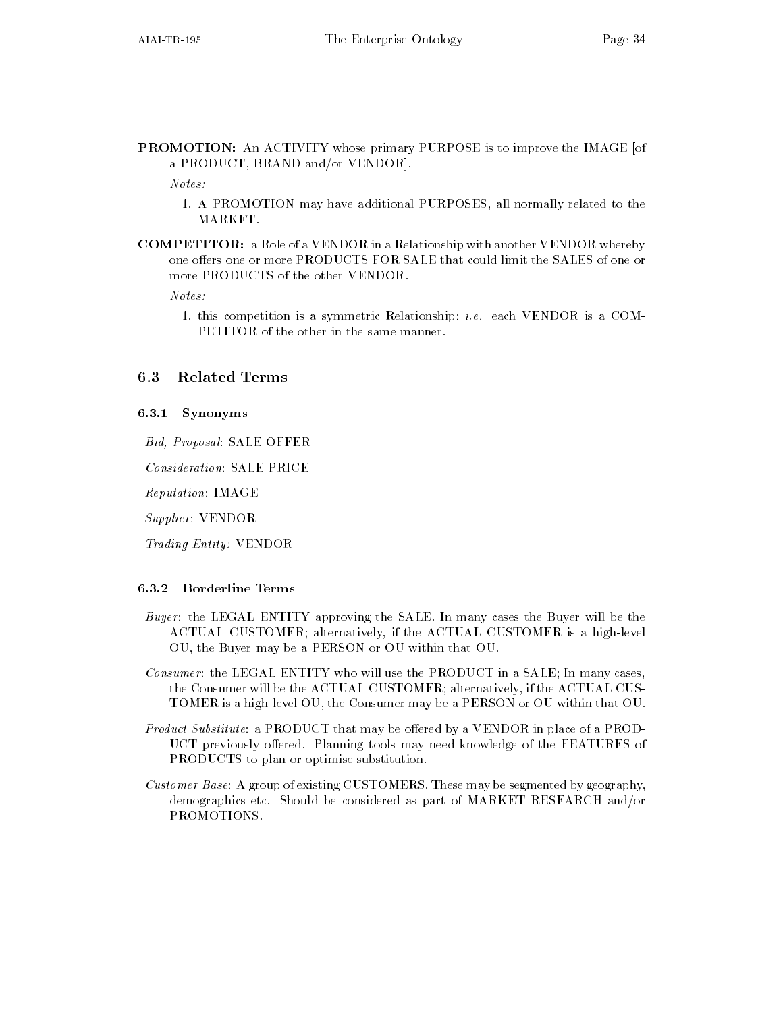**PROMOTION:** An ACTIVITY whose primary PURPOSE is to improve the IMAGE [of a PRODUCT, BRAND and/or VENDOR].

Notes

- A PROMOTION may have additional PURPOSES all normally related to the MARKET
- **COMPETITOR:** a Role of a VENDOR in a Relationship with another VENDOR whereby one offers one or more PRODUCTS FOR SALE that could limit the SALES of one or more PRODUCTS of the other VENDOR

Notes

- this competition is a symmetric Relationship i-e- each VENDOR is a COM PETITOR of the other in the same manner

#### **Related Terms**  $6.3$

#### 6.3.1 Synonyms

Bid, Proposal: SALE OFFER

Consideration: SALE PRICE

Reputation: IMAGE

Supplier: VENDOR

Trading Entity: VENDOR

#### 6.3.2 Borderline Terms

- Buyer: the LEGAL ENTITY approving the SALE. In many cases the Buyer will be the ACTUAL CUSTOMER; alternatively, if the ACTUAL CUSTOMER is a high-level OU, the Buyer may be a PERSON or OU within that OU.
- Consumer: the LEGAL ENTITY who will use the PRODUCT in a SALE; In many cases, the Consumer will be the ACTUAL CUSTOMER; alternatively, if the ACTUAL CUS-TOMER is a high-level OU, the Consumer may be a PERSON or OU within that OU.
- Product Substitute: a PRODUCT that may be offered by a VENDOR in place of a PROD-UCT previously offered. Planning tools may need knowledge of the FEATURES of PRODUCTS to plan or optimise substitution
- Customer Base: A group of existing CUSTOMERS. These may be segmented by geography, demographics etc. Should be considered as part of MARKET RESEARCH and/or PROMOTIONS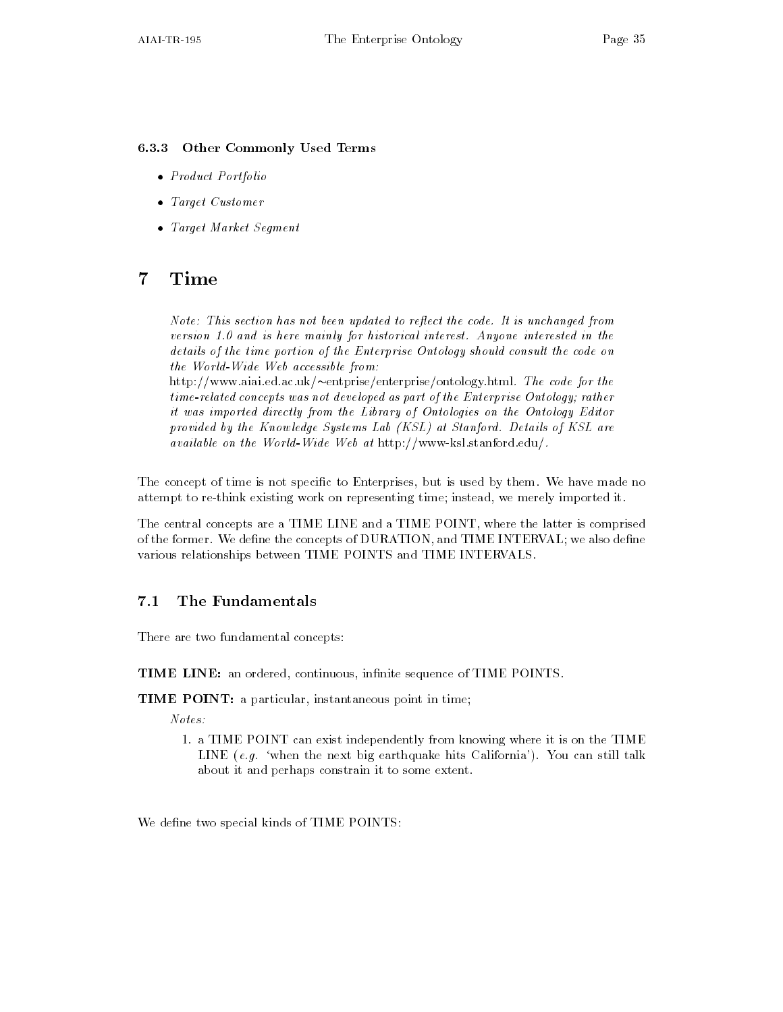#### 6.3.3 Other Commonly Used Terms

- Product Portfolio
- $\bullet$  larget Customer  $\hspace{0.1mm}$
- $\bullet$  -target Market Segment -

#### $\overline{7}$ Time

Note This section has not been updated to reect the code- It is unchanged from version - and is here mainly for historical interest- Anyone interested in the details of the time portion of the Enterprise Ontology should consult the code on the World-Wide Web accessible from:

 $\min\{1/n\}$  www.aiai.ed.ac.uk/ $\sim$ entprise/enterprise/ontology.ntml. The code for the timerelated concepts was not developed as part of the Enterprise Ontology rather it was imported directly from the Library of Ontologies on the Ontology Editor provided by the Kinows at Systems And (Kinawa) at Stanford- At Stanford- at Stanfordavailable on the World-Wide Web at http://www-ksl.stanford.edu/.

The concept of time is not specific to Enterprises, but is used by them. We have made no attempt to re-think existing work on representing time; instead, we merely imported it.

The central concepts are a TIME LINE and a TIME POINT where the latter is comprised of the former. We define the concepts of DURATION, and TIME INTERVAL; we also define various relationships between TIME POINTS and TIME INTERVALS

#### $7.1$ The Fundamentals

There are two fundamental concepts

TIME LINE: an ordered, continuous, infinite sequence of TIME POINTS.

TIME POINT: a particular, instantaneous point in time;

- a Time Point can exist in the point  $\alpha$  is one that  $\alpha$ alle to the next big earthquake hits California Township and the still talk about it and perhaps constrain it to some extent

We define two special kinds of TIME POINTS: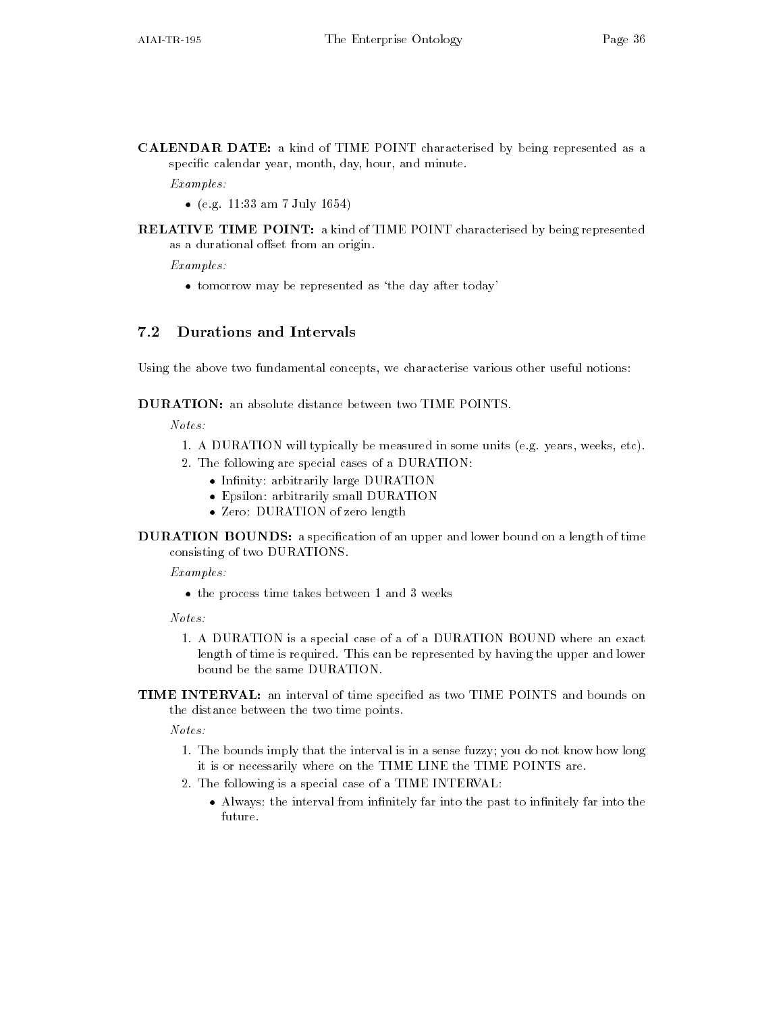CALENDAR DATE: a kind of TIME POINT characterised by being represented as a specific calendar year, month, day, hour, and minute.

Examples

- (e.g. 11:55 am 7 July 1004) –
- **RELATIVE TIME POINT:** a kind of TIME POINT characterised by being represented as a durational offset from an origin.

Examples

 $\bullet$  tomorrow may be represented as the day after today  $-$ 

#### $7.2$ Durations and Intervals

Using the above two fundamental concepts, we characterise various other useful notions:

**DURATION:** an absolute distance between two TIME POINTS.

 $Notes:$ 

- A DURATION will there is present the measured in some units equal the some units except  $\cdots$  ,
- 2. The following are special cases of a DURATION:
	- $\bullet$  Infinity: arbitrarily large  $\texttt{DUKALION}$
	- $\bullet$  Epsilon: arbitrarily small DURATION
	- $\bullet$   $\,$   $L$ ero:  $\,$  DURATION of zero length  $\,$
- DURATION BOUNDS: a specification of an upper and lower bound on a length of time consisting of two DURATIONS

Examples:

 $\bullet$  the process time takes between 1 and 3 weeks  $-$ 

Notes

- A DURATION is a special case of a of a DURATION BOUND where an exact length of time is required. This can be represented by having the upper and lower bound be the same DURATION
- TIME INTERVAL: an interval of time specified as two TIME POINTS and bounds on the distance between the two time points

 $Notes:$ 

- The bounds imply that the interval is in a sense fuzzy you do not know how long it is or necessarily where on the TIME LINE the TIME POINTS are
- 2. The following is a special case of a TIME INTERVAL:
	- $\bullet$  Always: the interval from infinitely far into the past to infinitely far into the future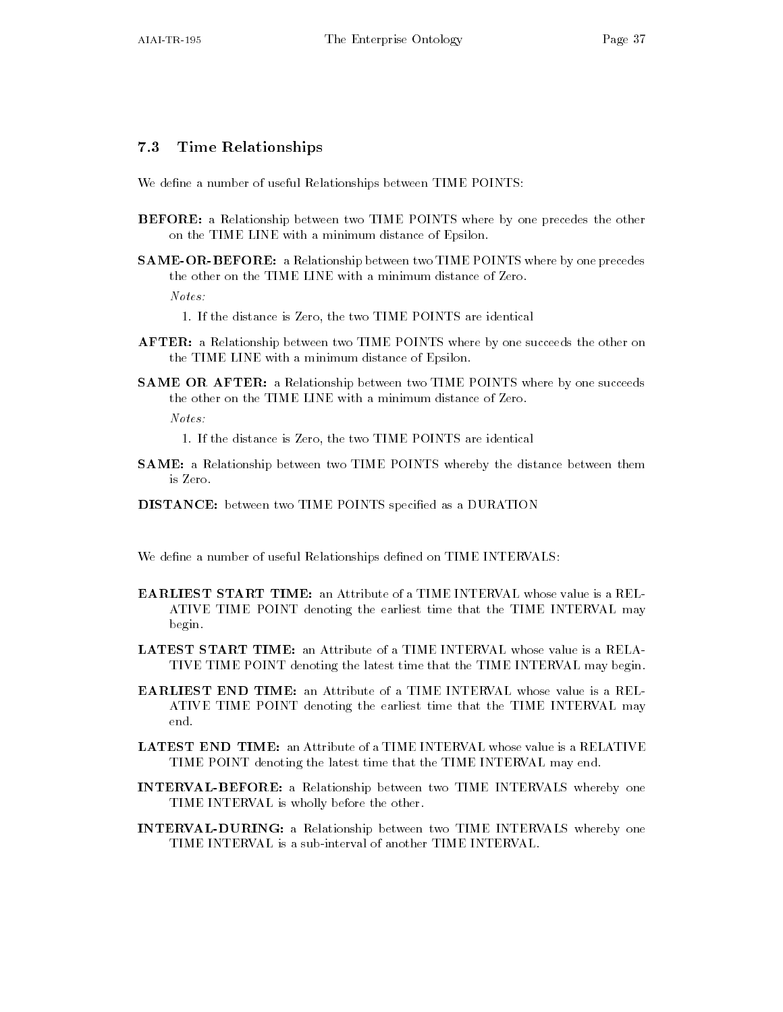### Time Relationships

We define a number of useful Relationships between TIME POINTS:

- **BEFORE:** a Relationship between two TIME POINTS where by one precedes the other on the TIME LINE with a minimum distance of Epsilon
- SAME-OR-BEFORE: a Relationship between two TIME POINTS where by one precedes the other on the TIME LINE with a minimum distance of Zero Notes

- AFTER: a Relationship between two TIME POINTS where by one succeeds the other on the TIME LINE with a minimum distance of Epsilon
- SAME OR AFTER: a Relationship between two TIME POINTS where by one succeeds the other on the TIME LINE with a minimum distance of Zero

 $Notes:$ 

- If the distance is Zero the distance is Zero the two TIME POINTS are identically are identically are identically a

- If the distance is Zero the two TIME POINTS are identical

- SAME: a Relationship between two TIME POINTS whereby the distance between them is Zero
- DISTANCE: between two TIME POINTS specified as a DURATION

We define a number of useful Relationships defined on TIME INTERVALS:

- **EARLIEST START TIME:** an Attribute of a TIME INTERVAL whose value is a REL-ATIVE TIME POINT denoting the earliest time that the TIME INTERVAL may begin
- LATEST START TIME: an Attribute of a TIME INTERVAL whose value is a RELA-TIVE TIME POINT denoting the latest time that the TIME INTERVAL may begin
- **EARLIEST END TIME:** an Attribute of a TIME INTERVAL whose value is a REL-ATIVE TIME POINT denoting the earliest time that the TIME INTERVAL may end.
- LATEST END TIME: an Attribute of a TIME INTERVAL whose value is a RELATIVE TIME POINT denoting the latest time that the TIME INTERVAL may end
- INTERVAL-BEFORE: a Relationship between two TIME INTERVALS whereby one TIME INTERVAL is wholly before the other
- INTERVAL-DURING: a Relationship between two TIME INTERVALS whereby one TIME INTERVAL is a sub-interval of another TIME INTERVAL.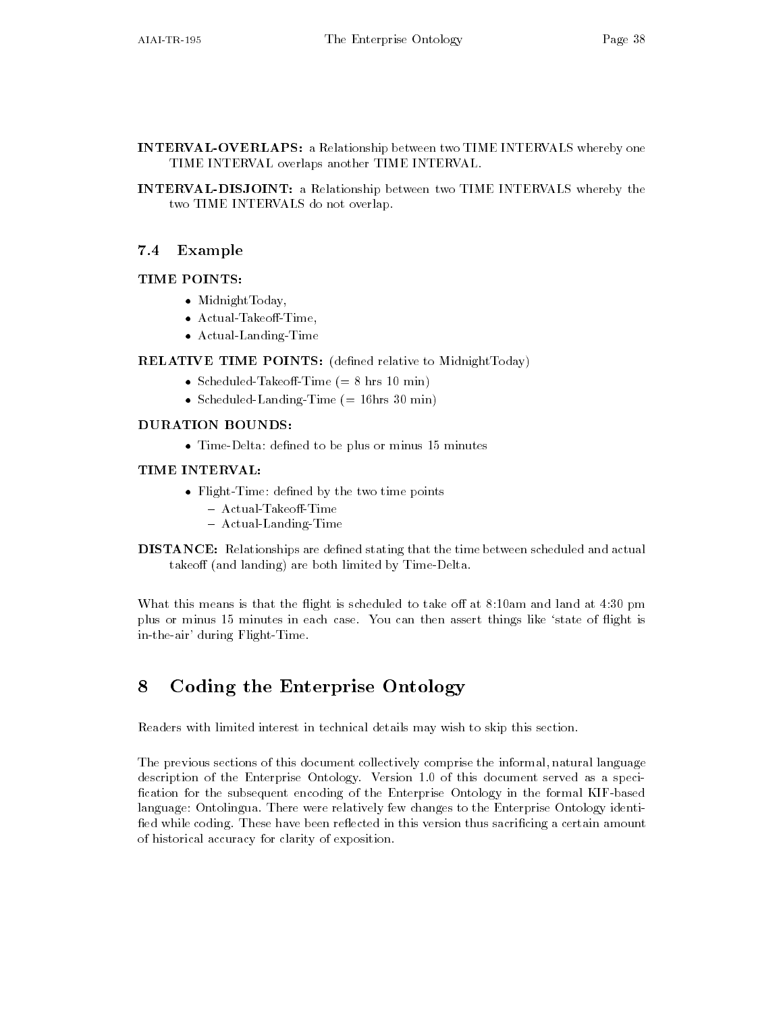- INTERVAL-OVERLAPS: a Relationship between two TIME INTERVALS whereby one TIME INTERVAL overlaps another TIME INTERVAL
- INTERVAL-DISJOINT: a Relationship between two TIME INTERVALS whereby the two TIME INTERVALS do not overlap

#### $7.4$ Example

#### TIME POINTS:

- Midnight Loday,
- Actual- lakeoff-lime,
- $\bullet$  Actual-Landing-lime

**RELATIVE TIME POINTS:** (defined relative to MidnightToday)

- $\bullet$  Scheduled-Takeoff-Time (= 8 hrs IU min)  $-$
- $\bullet$  Scheduled-Landing-Time (= 10hrs 30 min)  $-$

### DURATION BOUNDS

 $\bullet$  lime-Delta: defined to be plus or minus 15 minutes  $-$ 

### TIME INTERVAL

- $\bullet$  <code>Flight-lime: defined by the two time points</code>
	- $-$  Actual-Takeoff-Time
	- $-$  Actual-Landing-Time
- **DISTANCE:** Relationships are defined stating that the time between scheduled and actual takeoff (and landing) are both limited by Time-Delta.

What this means is that the ight is scheduled to take o at -am and land at  pm plus or minus - minutes in each case You can then assert things like state of ight is in-the-air' during Flight-Time.

# Coding the Enterprise Ontology

Readers with limited interest in technical details may wish to skip this section

The previous sections of this document collectively comprise the informal natural language description of the Enterprise Ontology Version - of this document served as a speci fication for the subsequent encoding of the Enterprise Ontology in the formal KIF-based language: Ontolingua. There were relatively few changes to the Enterprise Ontology identified while coding. These have been reflected in this version thus sacrificing a certain amount of historical accuracy for clarity of exposition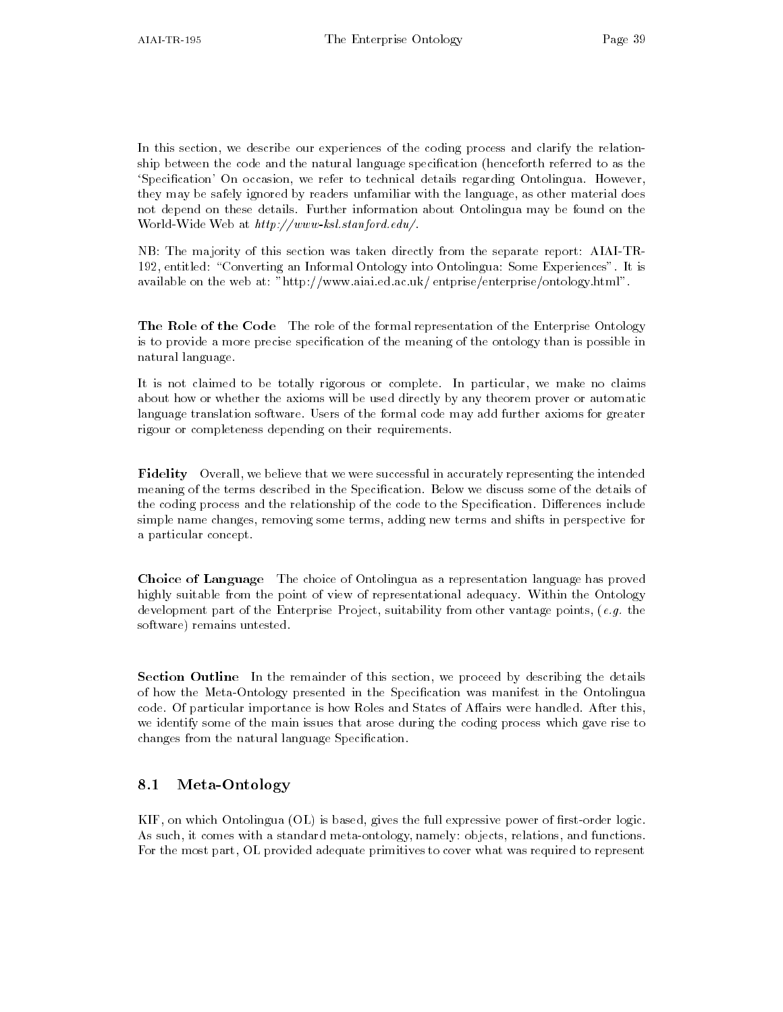In this section, we describe our experiences of the coding process and clarify the relationship between the code and the natural language specification (henceforth referred to as the 'Specification' On occasion, we refer to technical details regarding Ontolingua. However, they may be safely ignored by readers unfamiliar with the language as other material does not depend on these details Further information about Ontolingua may be found on the was at the most contract of the state website the state of the state  $\mathbb{R}^n$  , the state  $\mathbb{R}^n$ 

NB: The majority of this section was taken directly from the separate report: AIAI-TR-- entitled Converting an Informal Ontology into Ontolingua Some Experiences It is available on the web at: "http://www.aiai.ed.ac.uk/entprise/enterprise/ontology.html".

**The Role of the Code** The role of the formal representation of the Enterprise Ontology is to provide a more precise specification of the meaning of the ontology than is possible in natural language

It is not claimed to be totally rigorous or complete. In particular, we make no claims about how or whether the axioms will be used directly by any theorem prover or automatic language translation software. Users of the formal code may add further axioms for greater rigour or completeness depending on their requirements

**Fidelity** Overall, we believe that we were successful in accurately representing the intended meaning of the terms described in the Specification. Below we discuss some of the details of the coding process and the relationship of the code to the Specification. Differences include simple name changes, removing some terms, adding new terms and shifts in perspective for a particular concept

Choice of Language The choice of Ontolingua as a representation language has proved highly suitable from the point of view of representational adequacy. Within the Ontology development part of the Enterprise Project suitability from other vantage points e-mail the e-mail of the e-mail of the e-mail of the e-mail of the e-mail of the e-mail of the e-mail of the e-mail of the e-mail of the e-ma software) remains untested.

Section Outline In the remainder of this section, we proceed by describing the details of how the MetaOntology presented in the Specication was manifest in the Ontolingua code. Of particular importance is how Roles and States of Affairs were handled. After this, we identify some of the main issues that arose during the coding process which gave rise to changes from the natural language Specification.

## 8.1 Meta-Ontology

 $KIF$ , on which Ontolingua (OL) is based, gives the full expressive power of first-order logic. As such, it comes with a standard meta-ontology, namely: objects, relations, and functions. For the most part, OL provided adequate primitives to cover what was required to represent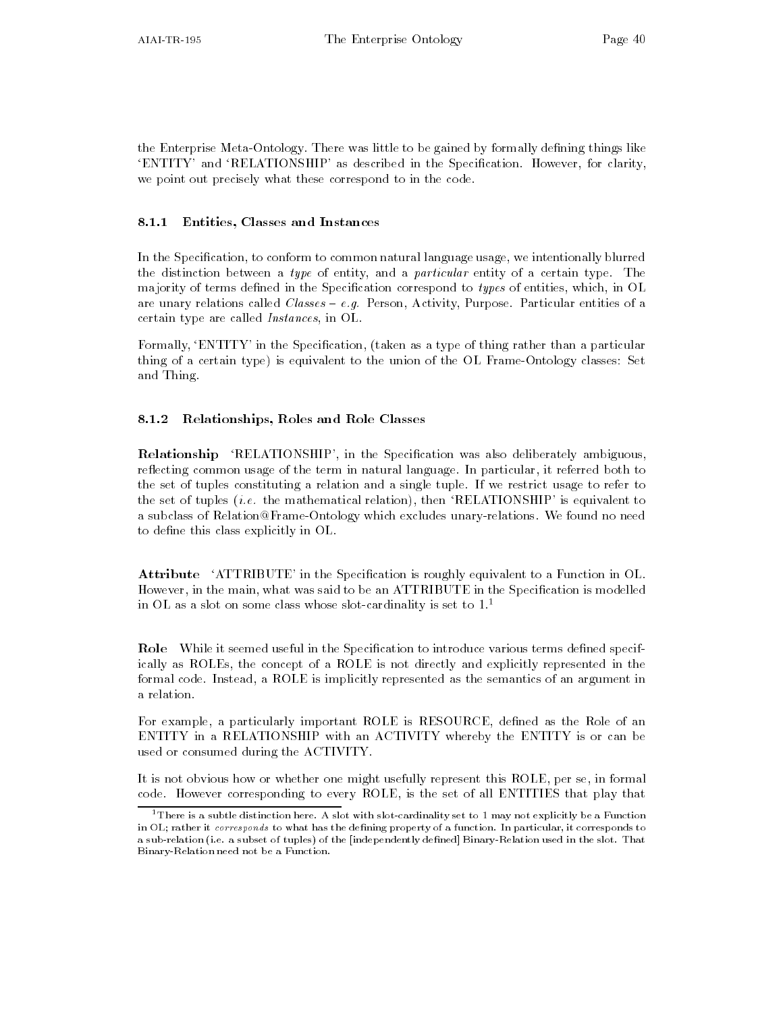the Enterprise Meta-Ontology. There was little to be gained by formally defining things like 'ENTITY' and 'RELATIONSHIP' as described in the Specification. However, for clarity, we point out precisely what these correspond to in the code

#### 8.1.1 Entities, Classes and Instances

In the Specification, to conform to common natural language usage, we intentionally blurred the distinction between a type of entity, and a particular entity of a certain type. The majority of terms defined in the Specification correspond to types of entities, which, in OL are unary relations called Classes e-g- Person Activity Purpose Particular entities of a certain type are called *Instances*, in OL.

Formally, 'ENTITY' in the Specification, (taken as a type of thing rather than a particular thing of a certain type) is equivalent to the union of the OL Frame-Ontology classes: Set and Thing

#### Relationships, Roles and Role Classes

**Relationship** 'RELATIONSHIP', in the Specification was also deliberately ambiguous, reflecting common usage of the term in natural language. In particular, it referred both to the set of tuples constituting a relation and a single tuple If we restrict usage to refer to the set of tuples i-e- the mathematical relation then RELATIONSHIP is equivalent to a subclass of Relation@Frame-Ontology which excludes unary-relations. We found no need to define this class explicitly in OL.

Attribute 'ATTRIBUTE' in the Specification is roughly equivalent to a Function in OL. However, in the main, what was said to be an ATTRIBUTE in the Specification is modelled in OL as a slot on some class whose slot-cardinality is set to  $1.^\circ$ 

Role While it seemed useful in the Specification to introduce various terms defined specifically as ROLEs the concept of a ROLE is not directly and explicitly represented in the formal code. Instead, a ROLE is implicitly represented as the semantics of an argument in a relation

For example, a particularly important ROLE is RESOURCE, defined as the Role of an ENTITY in a RELATIONSHIP with an ACTIVITY whereby the ENTITY is or can be used or consumed during the ACTIVITY

It is not obvious how or whether one might usefully represent this ROLE, per se, in formal code. However corresponding to every ROLE, is the set of all ENTITIES that play that

 $^1$  There is a subtle distinction here. A slot with slot-cardinality set to 1 may not explicitly be a Function in OL; rather it corresponds to what has the defining property of a function. In particular, it corresponds to a subset of the independent of tuples-  $\rho$  as the independently denoming the slot of the slot That is the slo Binary-Relation need not be a Function.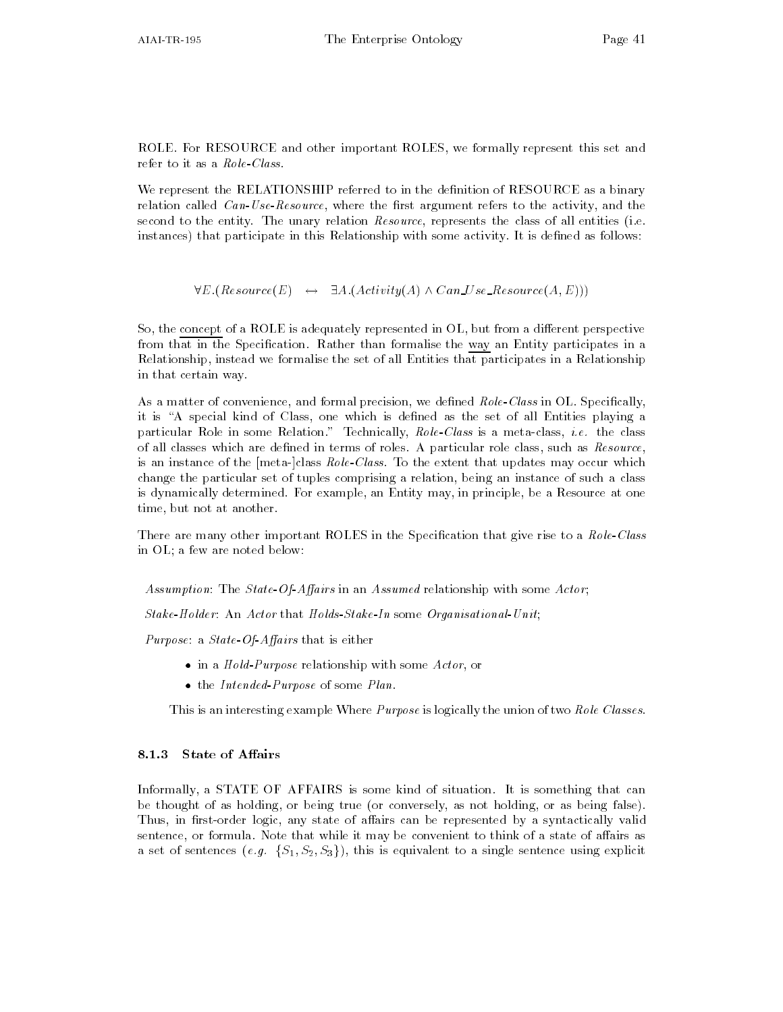ROLE. For RESOURCE and other important ROLES, we formally represent this set and refer to it as a  $\it Role\text{-}\it Class.$ 

We represent the RELATIONSHIP referred to in the definition of RESOURCE as a binary relation called  $Can-Use-Resource$ , where the first argument refers to the activity, and the second to the entity. The unary relation  $Resource$ , represents the class of all entities (i.e. instances) that participate in this Relationship with some activity. It is defined as follows:

 $\forall E \ (Resource(E) \leftrightarrow \exists A \ (Activity(A) \land Can \ Use \_Resource(A, E)))$ 

So, the concept of a ROLE is adequately represented in OL, but from a different perspective from that in the Specification. Rather than formalise the way an Entity participates in a Relationship instead we formalise the set of all Entities that participates in a Relationship in that certain way

As a matter of convenience, and formal precision, we defined Role-Class in OL. Specifically, it is "A special kind of Class, one which is defined as the set of all Entities playing a particular Role in some Relation Technically RoleClass is a metaclass i-e- the class of all classes which are defined in terms of roles. A particular role class, such as  $Resource$ , is an instance of the  $[meta-]$ class  $Role-Class$ . To the extent that updates may occur which change the particular set of tuples comprising a relation being an instance of such a class is dynamically determined. For example, an Entity may, in principle, be a Resource at one time, but not at another.

There are many other important ROLES in the Specification that give rise to a Role-Class in OL; a few are noted below:

Assumption: The State-Of-Affairs in an Assumed relationship with some Actor;

Stake-Holder: An Actor that Holds-Stake-In some Organisational-Unit,

Purpose: a State-Of-Affairs that is either

- $\bullet$  in a *Hold-Purpose* relationship with some  $Action$ , or
- $\bullet$  the Intended-Purpose of some Plan.  $\bullet$

This is an interesting example Where *Purpose* is logically the union of two Role Classes.

Informally a STATE OF AFFAIRS is some kind of situation It is something that can be thought of as holding, or being true (or conversely, as not holding, or as being false). Thus, in first-order logic, any state of affairs can be represented by a syntactically valid sentence, or formula. Note that while it may be convenient to think of a state of affairs as a set of sentences  $(e.g. \{S_1, S_2, S_3\})$ , this is equivalent to a single sentence using explicit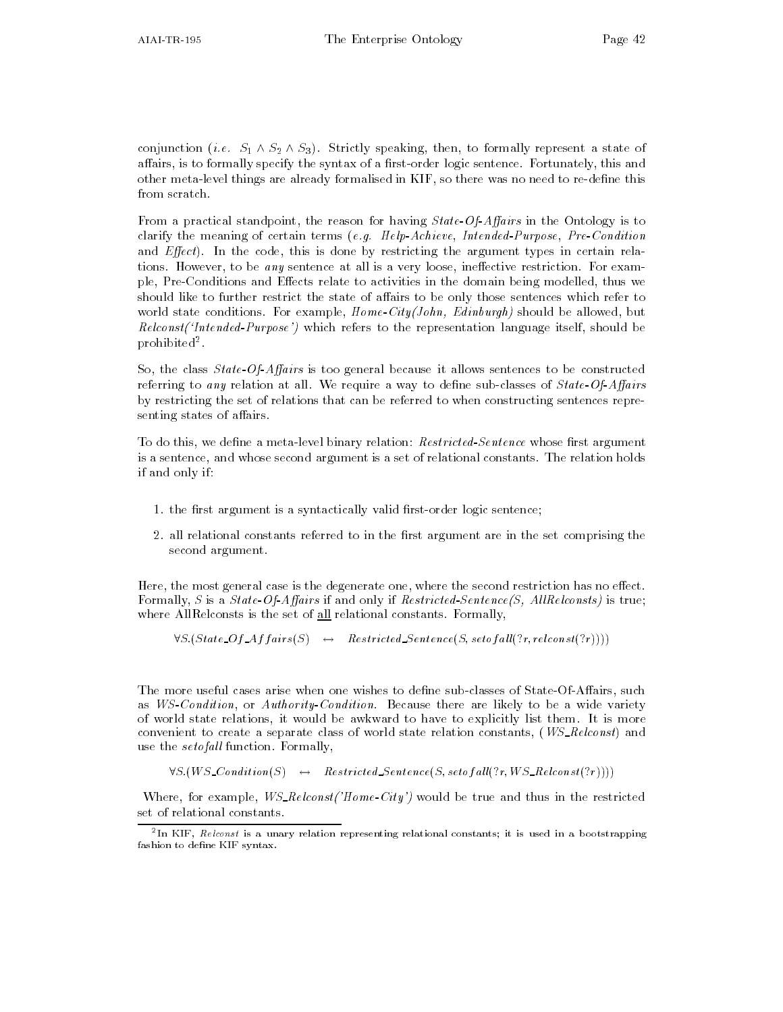conjunction (*i.e.*  $S_1 \wedge S_2 \wedge S_3$ ). Strictly speaking, then, to formally represent a state of affairs, is to formally specify the syntax of a first-order logic sentence. Fortunately, this and other meta-level things are already formalised in KIF, so there was no need to re-define this from scratch.

From a practical standpoint, the reason for having  $State\text{-}Of\text{-}Affairs$  in the Ontology is to clarify the meaning of certain terms (angle malige recondition for precipition for a condition of and  $Effect$ ). In the code, this is done by restricting the argument types in certain relations. However, to be any sentence at all is a very loose, ineffective restriction. For example, Pre-Conditions and Effects relate to activities in the domain being modelled, thus we should like to further restrict the state of affairs to be only those sentences which refer to world state conditions. For example,  $Home-City(John, Edinburgh)$  should be allowed, but  $Reloenst(intended-Purpose')$  which refers to the representation language itself, should be pronibited".

So, the class  $State-Of-Affairs$  is too general because it allows sentences to be constructed referring to any relation at all. We require a way to define sub-classes of  $State-Of-Affairs$ by restricting the set of relations that can be referred to when constructing sentences repre senting states of affairs.

To do this, we define a meta-level binary relation: Restricted-Sentence whose first argument is a sentence, and whose second argument is a set of relational constants. The relation holds if and only if

- the rst argument is a syntactically valid rstorder logic sentence
- 2. all relational constants referred to in the first argument are in the set comprising the second argument

Here, the most general case is the degenerate one, where the second restriction has no effect. Formally, S is a State-Of-Affairs if and only if Restricted-Sentence(S, AllRelconsts) is true; where AllRelconsts is the set of  $all$  relational constants. Formally,

 $\forall S. (State\_Of\_Affairs(S) \rightarrow Restricted. Sentence(S, set of all(?r, relconst(?r))))$ 

The more useful cases arise when one wishes to define sub-classes of State-Of-Affairs, such as *WS-Condition*, or *Authority-Condition*. Because there are likely to be a wide variety of world state relations it would be awkward to have to explicitly list them It is more convenient to create a separate class of world state relation constants,  $(WS\_{\text{rel}const})$  and use the *setofall* function. Formally,

 $\forall S.(WS\_Condition(S) \rightarrow$  Restricted Sentence(S, setof all(?r, WS\_Relconst(?r))))

Where, for example,  $WS\_{Re{const}}/Home\text{-}City'$  would be true and thus in the restricted set of relational constants

In KIF,  $\kappa e i const$  is a unary relation representing relational constants; it is used in a bootstrapping fashion to define KIF syntax.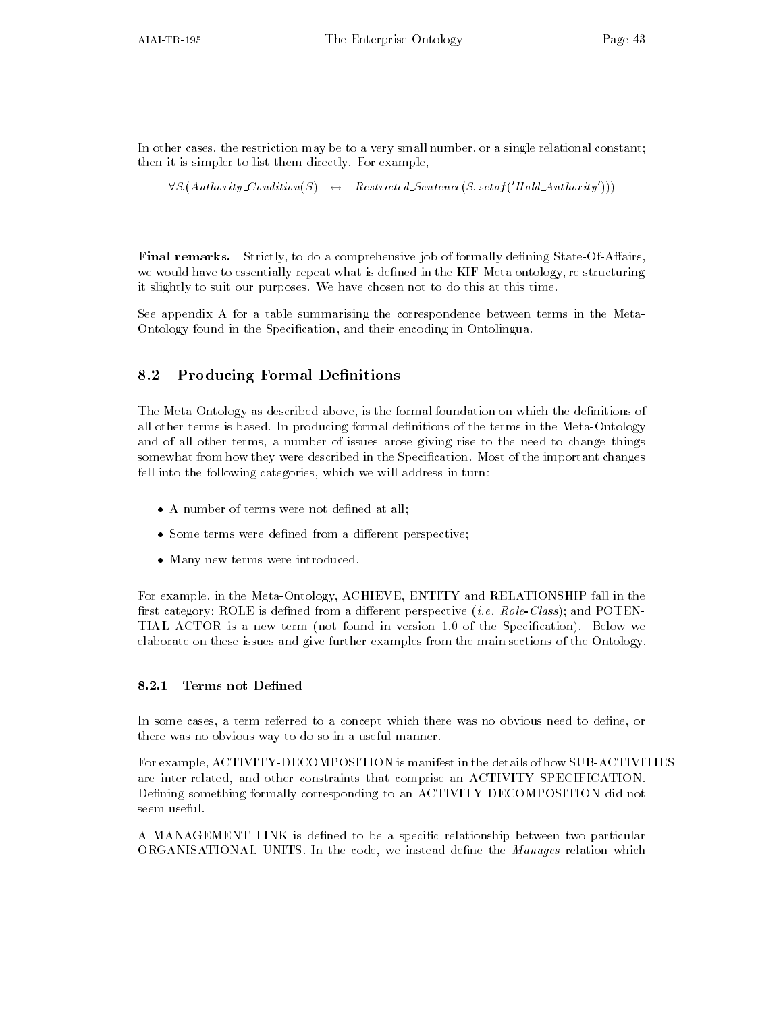In other cases, the restriction may be to a very small number, or a single relational constant; then it is simpler to list them directly. For example,

```
\forall S. (Authority\_Condition(S) \rightarrow Kestricted Sentence(S, setof (Hold_Authority)))
```
**Final remarks.** Strictly, to do a comprehensive job of formally defining State-Of-Affairs, we would have to essentially repeat what is defined in the KIF-Meta ontology, re-structuring it slightly to suit our purposes. We have chosen not to do this at this time.

See appendix A for a table summarising the correspondence between terms in the Meta Ontology found in the Specification, and their encoding in Ontolingua.

## 8.2 Producing Formal Definitions

The Meta-Ontology as described above, is the formal foundation on which the definitions of all other terms is based. In producing formal definitions of the terms in the Meta-Ontology and of all other terms, a number of issues arose giving rise to the need to change things somewhat from how they were described in the Specification. Most of the important changes fell into the following categories, which we will address in turn:

- $\bullet$  A number of terms were not defined at all;
- $\bullet\,$  Some terms were defined from a different perspective;  $\,$
- $\bullet\,$  Many new terms were introduced.  $\,$

For example, in the Meta-Ontology, ACHIEVE, ENTITY and RELATIONSHIP fall in the rst category ROLE is dened from a dierent perspective i-e- RoleClass and POTEN TIAL ACTOR IS A NEW TERM NOTES AND THE SPECIES ARE ALL THE SPECIES AND THE SPECIES AND THE SPECIES AND THE SPECIES AND THE SPECIES AND THE SPECIES AND THE SPECIES AND THE SPECIES AND THE SPECIES AND THE SPECIES AND THE SPE elaborate on these issues and give further examples from the main sections of the Ontology

#### 8.2.1 Terms not Defined

In some cases, a term referred to a concept which there was no obvious need to define, or there was no obvious way to do so in a useful manner

For example, ACTIVITY-DECOMPOSITION is manifest in the details of how SUB-ACTIVITIES are inter-related, and other constraints that comprise an ACTIVITY SPECIFICATION. Defining something formally corresponding to an ACTIVITY DECOMPOSITION did not seem useful

A MANAGEMENT LINK is defined to be a specific relationship between two particular ORGANISATIONAL UNITS. In the code, we instead define the Manages relation which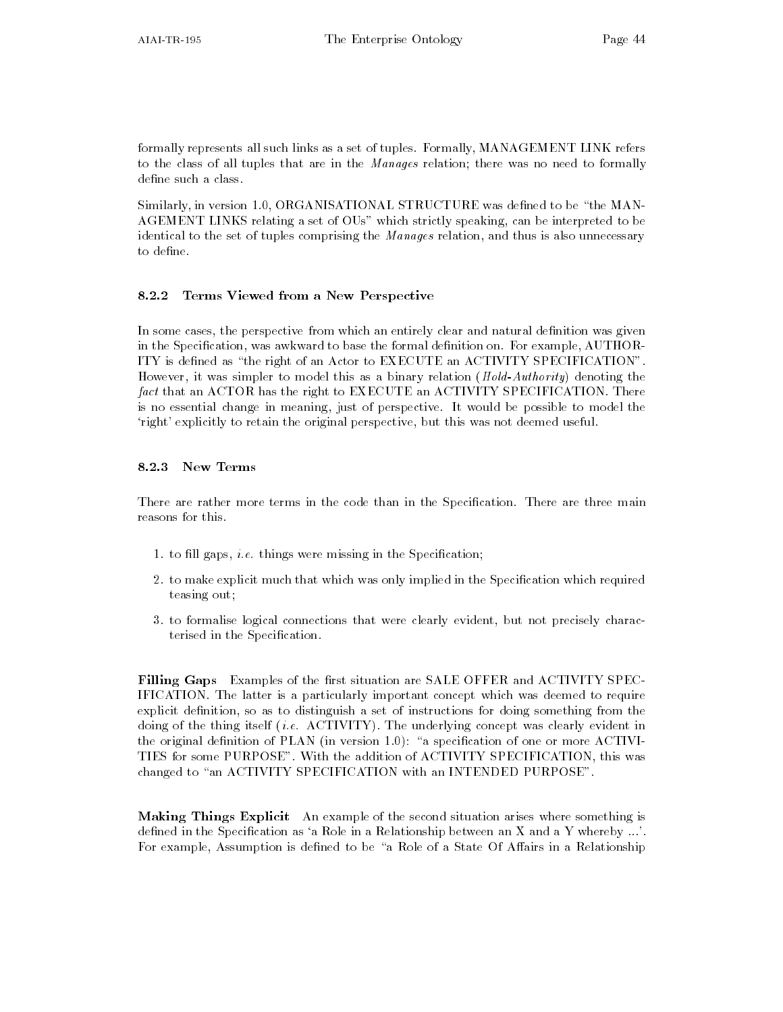formally represents all such links as a set of tuples. Formally, MANAGEMENT LINK refers to the class of all tuples that are in the Manages relation; there was no need to formally define such a class.

Similarly in version - ORGANISATIONAL STRUCTURE was dened to be the MAN AGEMENT LINKS relating a set of OUs" which strictly speaking, can be interpreted to be identical to the set of tuples comprising the *Manages* relation, and thus is also unnecessary to define.

### Terms Viewed from a New Perspective

In some cases, the perspective from which an entirely clear and natural definition was given in the Specification, was awkward to base the formal definition on. For example, AUTHOR-ITY is defined as "the right of an Actor to EXECUTE an ACTIVITY SPECIFICATION". However, it was simpler to model this as a binary relation  $(Hold-Authority)$  denoting the  $fact$  that an ACTOR has the right to EXECUTE an ACTIVITY SPECIFICATION. There is no essential change in meaning just of perspective It would be possible to model the 'right' explicitly to retain the original perspective, but this was not deemed useful.

There are rather more terms in the code than in the Specification. There are three main reasons for this

- e-colored and the colored in the Special in the special colored in the Special Colored in the Special Colored in the Special Colored in the Special Colored in the Special Colored in the Special Colored in the Special Color
- 2. to make explicit much that which was only implied in the Specification which required teasing out
- 3. to formalise logical connections that were clearly evident, but not precisely characterised in the Specification.

Filling Gaps Examples of the first situation are SALE OFFER and ACTIVITY SPEC-IFICATION. The latter is a particularly important concept which was deemed to require explicit definition, so as to distinguish a set of instructions for doing something from the doing of the thing itself i-e- ACTIVITY The underlying concept was clearly evident in the original density of  $P$ TIES for some PURPOSE". With the addition of ACTIVITY SPECIFICATION, this was changed to "an ACTIVITY SPECIFICATION with an INTENDED PURPOSE".

Making Things Explicit An example of the second situation arises where something is defined in the Specification as 'a Role in a Relationship between an X and a Y whereby  $\dots$ '. For example, Assumption is defined to be "a Role of a State Of Affairs in a Relationship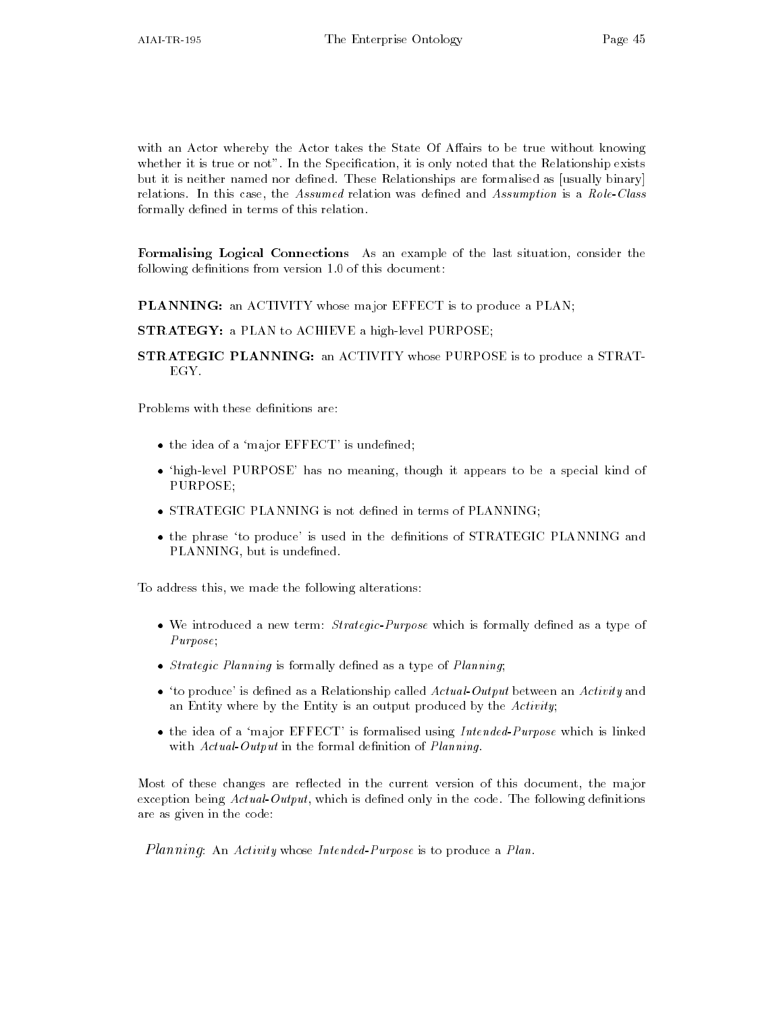with an Actor whereby the Actor takes the State Of Affairs to be true without knowing whether it is true or not". In the Specification, it is only noted that the Relationship exists but it is neither named nor defined. These Relationships are formalised as [usually binary] relations. In this case, the Assumed relation was defined and Assumption is a Role-Class formally defined in terms of this relation.

Formalising Logical Connections As an example of the last situation, consider the following denitions from version - of this document

PLANNING: an ACTIVITY whose major EFFECT is to produce a PLAN;

STRATEGY: a PLAN to ACHIEVE a high-level PURPOSE;

STRATEGIC PLANNING: an ACTIVITY whose PURPOSE is to produce a STRAT-EGY.

Problems with these definitions are:

- $\bullet$  the idea of a major <code>EFFECT</code> is undefined;
- $\bullet$  -high-level PURPOSE has no meaning, though it appears to be a special kind of  $\bullet$ PURPOSE
- $\bullet$  STRATEGIC PLANNING is not defined in terms of PLANNING;
- $\bullet$  the phrase to produce is used in the definitions of STRATEGIC PLANNING and PLANNING, but is undefined.

To address this, we made the following alterations:

- $\bullet$  We introduced a new term:  $Strateqic-Purpose$  which is formally defined as a type of  $-$ Purpose;
- $\bullet$  *Strategic Planning* is formally defined as a type of *Planning*;
- $\bullet$  -to produce is defined as a Relationship called *Actual Output* between an *Activity* and an Entity where by the Entity is an output produced by the  $Activity$ ;
- $\bullet$  the idea of a 'major EFFECT' is formalised using Intended-Purpose which is linked  $\bullet$ with  $Actual-Output$  in the formal definition of  $Planning.$

Most of these changes are reflected in the current version of this document, the major exception being  $ActualOutput$ , which is defined only in the code. The following definitions are as given in the code

*Planning*: An Activity whose Intended-Purpose is to produce a Plan.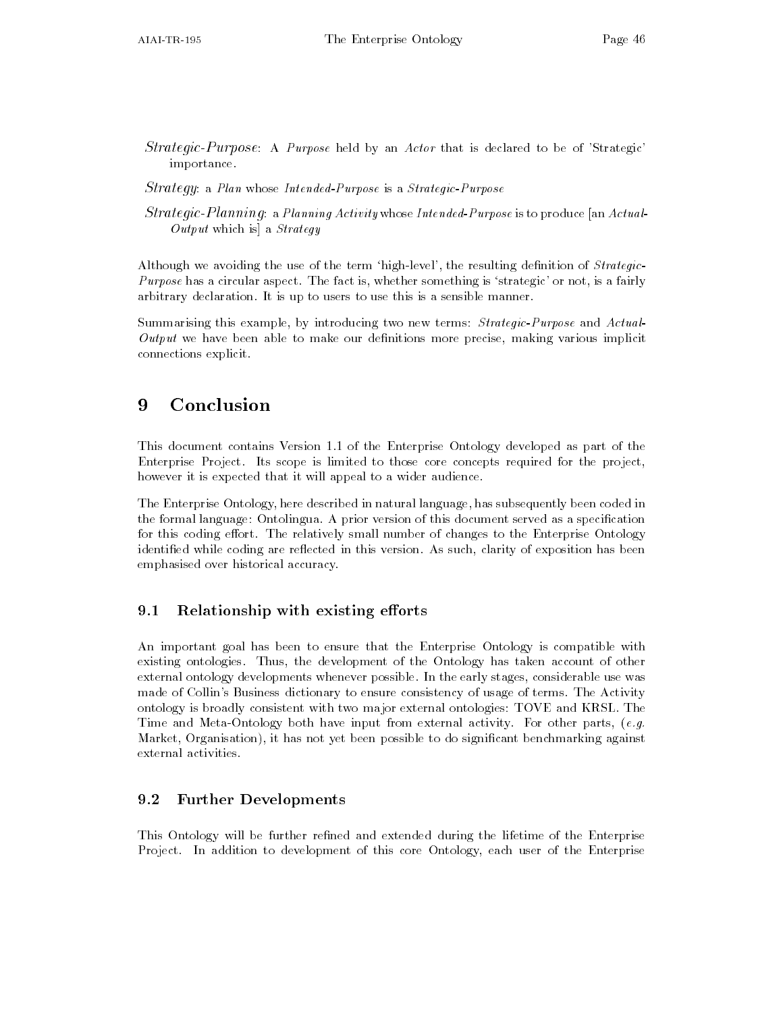Strategic-Purpose: A Purpose held by an Actor that is declared to be of 'Strategic' importance

 $Strategy: a Plan whose Intended-Purpose is a *Strateqic-Purpose*$ 

 $Strategyic-Planning$  a Planning Activity whose Intended-Purpose is to produce [an Actual- $Output$  which is a  $Strategy$ 

Although we avoiding the use of the term 'high-level', the resulting definition of  $Strategy$ *Purpose* has a circular aspect. The fact is, whether something is 'strategic' or not, is a fairly arbitrary declaration. It is up to users to use this is a sensible manner.

Summarising this example, by introducing two new terms: Strategic-Purpose and Actual- $Output$  we have been able to make our definitions more precise, making various implicit connections explicit

#### 9 Conclusion

This document contains Version -- of the Enterprise Ontology developed as part of the Enterprise Project. Its scope is limited to those core concepts required for the project, however it is expected that it will appeal to a wider audience

The Enterprise Ontology here described in natural language has subsequently been coded in the formal language: Ontolingua. A prior version of this document served as a specification for this coding effort. The relatively small number of changes to the Enterprise Ontology identified while coding are reflected in this version. As such, clarity of exposition has been emphasised over historical accuracy

## Relationship with existing e orts

An important goal has been to ensure that the Enterprise Ontology is compatible with existing ontologies. Thus, the development of the Ontology has taken account of other external ontology developments whenever possible. In the early stages, considerable use was made of Collin's Business dictionary to ensure consistency of usage of terms. The Activity ontology is broadly consistent with two major external ontologies TOVE and KRSL The Time and MetaOntology both have input from external activity For other parts e-g-Market, Organisation), it has not yet been possible to do significant benchmarking against external activities.

### 9.2 Further Developments

This Ontology will be further refined and extended during the lifetime of the Enterprise Project. In addition to development of this core Ontology, each user of the Enterprise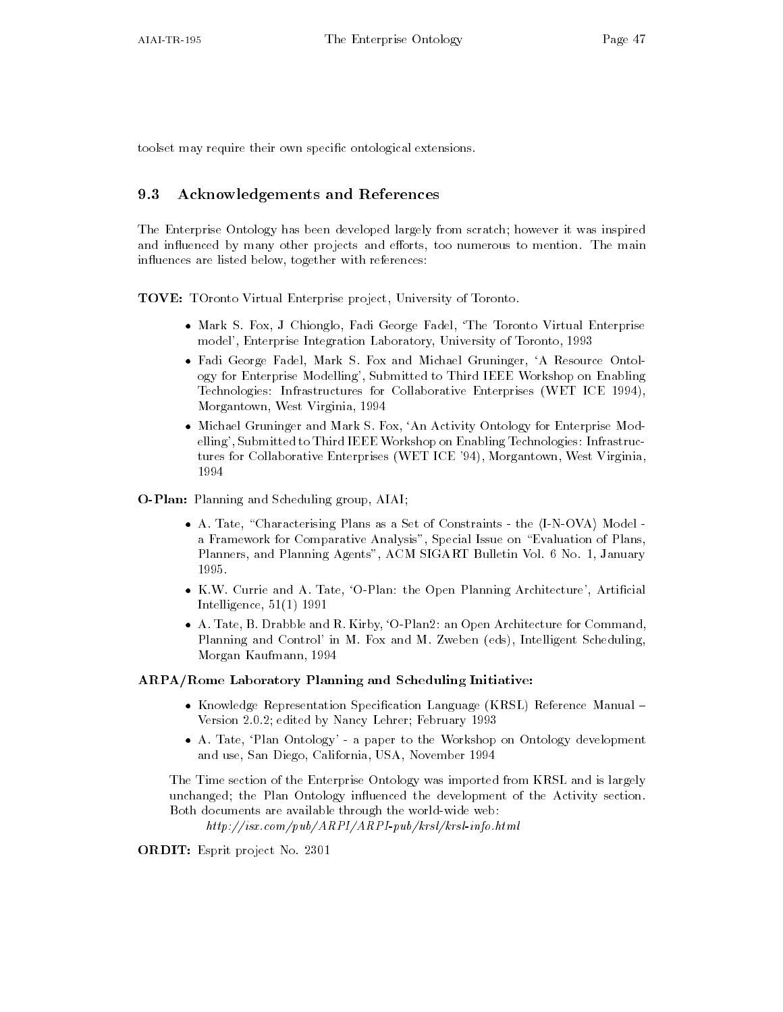toolset may require their own specific ontological extensions.

### 9.3 Acknowledgements and References

The Enterprise Ontology has been developed largely from scratch; however it was inspired and influenced by many other projects and efforts, too numerous to mention. The main influences are listed below, together with references:

TOVE: TOronto Virtual Enterprise project, University of Toronto.

- Mark S Fox J Chionglo Fadi George Fadel The Toronto Virtual Enterprise model Enterprise Integration Laboratory University of Toronto -
- Fadi George Fadel Mark S Fox and Michael Gruninger A Resource Ontol ogy for Enterprise Modelling', Submitted to Third IEEE Workshop on Enabling Technologies Infrastructures Infrastructures  $\Gamma$  infrastructures  $M$  infrastructures  $M$ Morgantown West Virginia -
- Michael Gruninger and Mark S Fox An Activity Ontology for Enterprise Mod elling', Submitted to Third IEEE Workshop on Enabling Technologies: Infrastructures for Collaborative Enterprises (WET ICE '94), Morgantown, West Virginia,

O-Plan: Planning and Scheduling group, AIAI;

- $\bullet$  A. Tate, "Characterising Plans as a Set of Constraints the  $\langle I\text{-}N\text{-}OVA \rangle$  Model a Framework for Comparative Analysis", Special Issue on "Evaluation of Plans, Planners and Planning Agents ACM SIGART Bulletin Vol No - January
- $\bullet$  K.W. Currie and A. Tate, O-Plan: the Open Planning Architecture , Artificial Intelligence -- --
- $\bullet$  A. Tate, B. Drabble and R. Kirby, 'O-Plan2: an Open Architecture for Command, Planning and Control' in M. Fox and M. Zweben (eds), Intelligent Scheduling, Morgan Kaufmann -

#### ARPA/Rome Laboratory Planning and Scheduling Initiative:

- $\bullet$  Knowledge Representation Specification Language (KRSL) Keference Manual Version 

 edited by Nancy Lehrer February -
- $\bullet$  A. Tate, Plan Ontology a paper to the Workshop on Ontology development  $\hspace{0.1mm}$ and use San Diego California USA November - San Diego California USA November - S

The Time section of the Enterprise Ontology was imported from KRSL and is largely unchanged; the Plan Ontology influenced the development of the Activity section. Both documents are available through the world-wide web:

httpisx-compubARPIARPIpubkrslkrslinfo-html

ORDIT: Esprit project No. 2301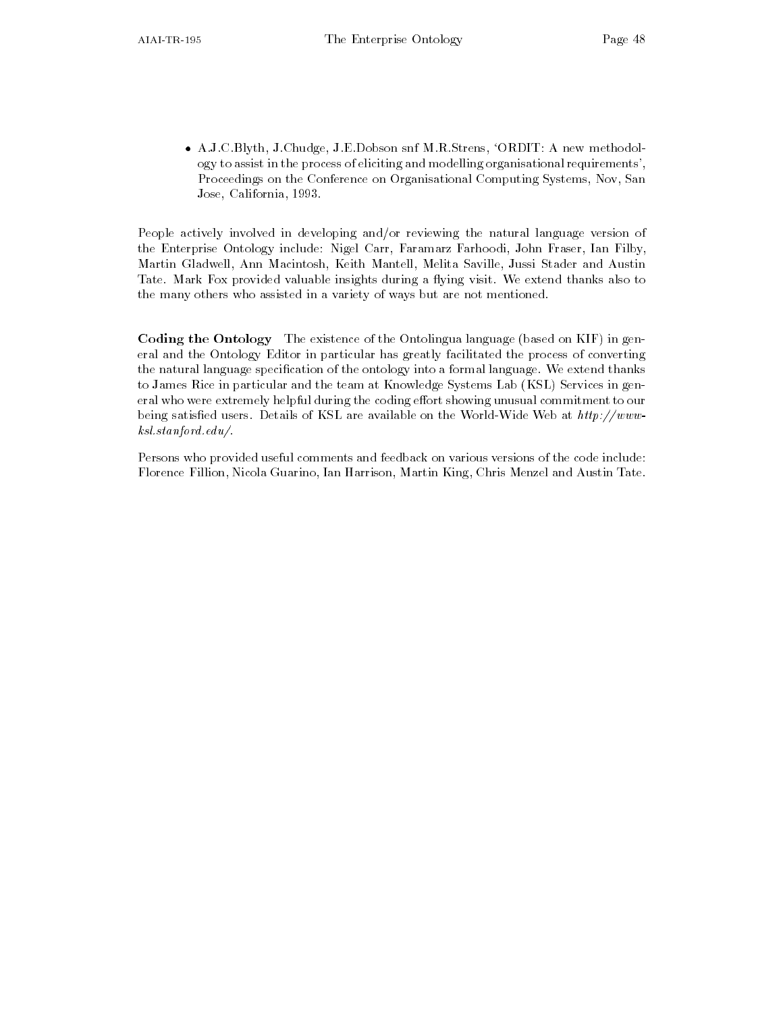$\bullet$  AJCBlyth JChudge JEDobson snf MRStrens, ORDIT A new methodology to assist in the process of eliciting and modelling organisational requirements Proceedings on the Conference on Organisational Computing Systems, Nov, San Jose California -

People actively involved in developing and/or reviewing the natural language version of the Enterprise Ontology include: Nigel Carr, Faramarz Farhoodi, John Fraser, Ian Filby, Martin Gladwell, Ann Macintosh, Keith Mantell, Melita Saville, Jussi Stader and Austin Tate. Mark Fox provided valuable insights during a flying visit. We extend thanks also to the many others who assisted in a variety of ways but are not mentioned

Coding the Ontology The existence of the Ontolingua language (based on KIF) in general and the Ontology Editor in particular has greatly facilitated the process of converting the natural language specification of the ontology into a formal language. We extend thanks to James Rice in particular and the team at Knowledge Systems Lab (KSL) Services in general who were extremely helpful during the coding effort showing unusual commitment to our being satisfied users. Details of KSL are available on the World-Wide Web at  $http://www$ ksl-stanford-edu

Persons who provided useful comments and feedback on various versions of the code include Florence Fillion, Nicola Guarino, Ian Harrison, Martin King, Chris Menzel and Austin Tate.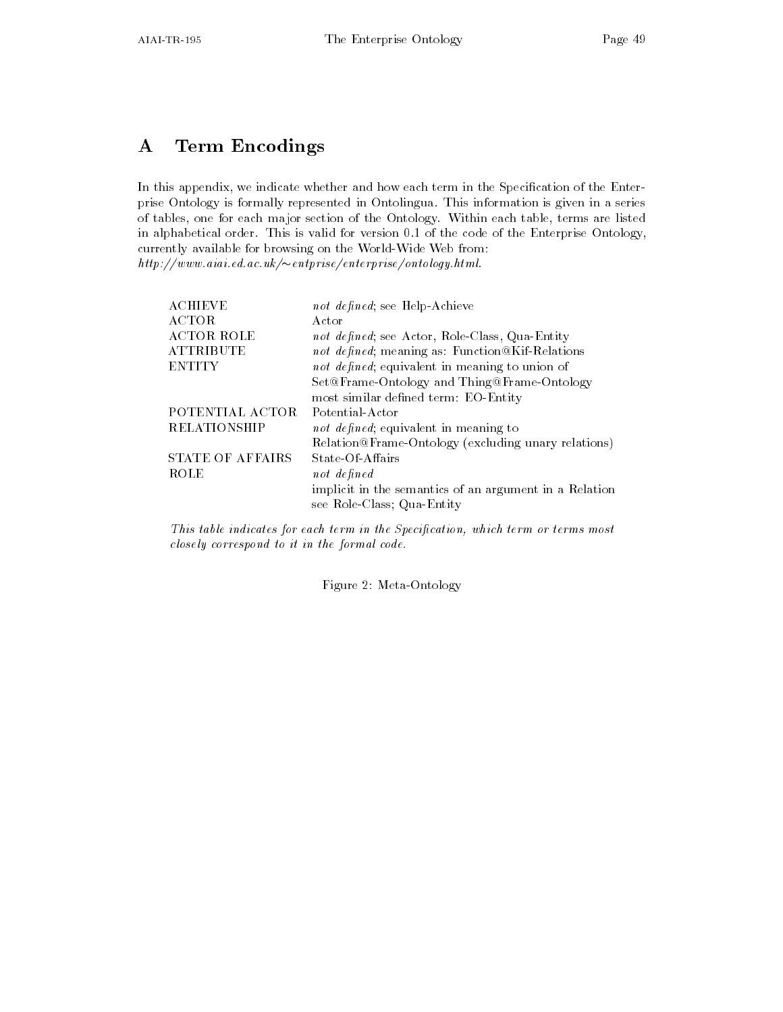# A Term Encodings

In this appendix, we indicate whether and how each term in the Specification of the Enterprise Ontology is formally represented in Ontolingua This information is given in a series of tables, one for each major section of the Ontology. Within each table, terms are listed in alphabetical order This is valid for version is in the code of the Machine Ontology ( currently available for browsing on the World-Wide Web from:  $\mu$ ttp://www.atat.ea.ac.uk/ $\sim$ entprise/enterprise/ontology.ntml.

| <b>ACHIEVE</b>          | not defined; see Help-Achieve                          |
|-------------------------|--------------------------------------------------------|
| <b>ACTOR</b>            | Actor                                                  |
| <b>ACTOR ROLE</b>       | not defined; see Actor, Role-Class, Qua-Entity         |
| <b>ATTRIBUTE</b>        | not defined; meaning as: Function@Kif-Relations        |
| <b>ENTITY</b>           | not defined; equivalent in meaning to union of         |
|                         | Set@Frame-Ontology and Thing@Frame-Ontology            |
|                         | most similar defined term: EO-Entity                   |
| POTENTIAL ACTOR         | Potential-Actor                                        |
| <b>RELATIONSHIP</b>     | not defined; equivalent in meaning to                  |
|                         | Relation@Frame-Ontology (excluding unary relations)    |
| <b>STATE OF AFFAIRS</b> | State-Of-Affairs                                       |
| ROLE                    | not defined                                            |
|                         | implicit in the semantics of an argument in a Relation |
|                         | see Role-Class; Qua-Entity                             |
|                         |                                                        |

This table indicates for each term in the Specification, which term or terms most closely correspond to it in the formal code-

Figure 2: Meta-Ontology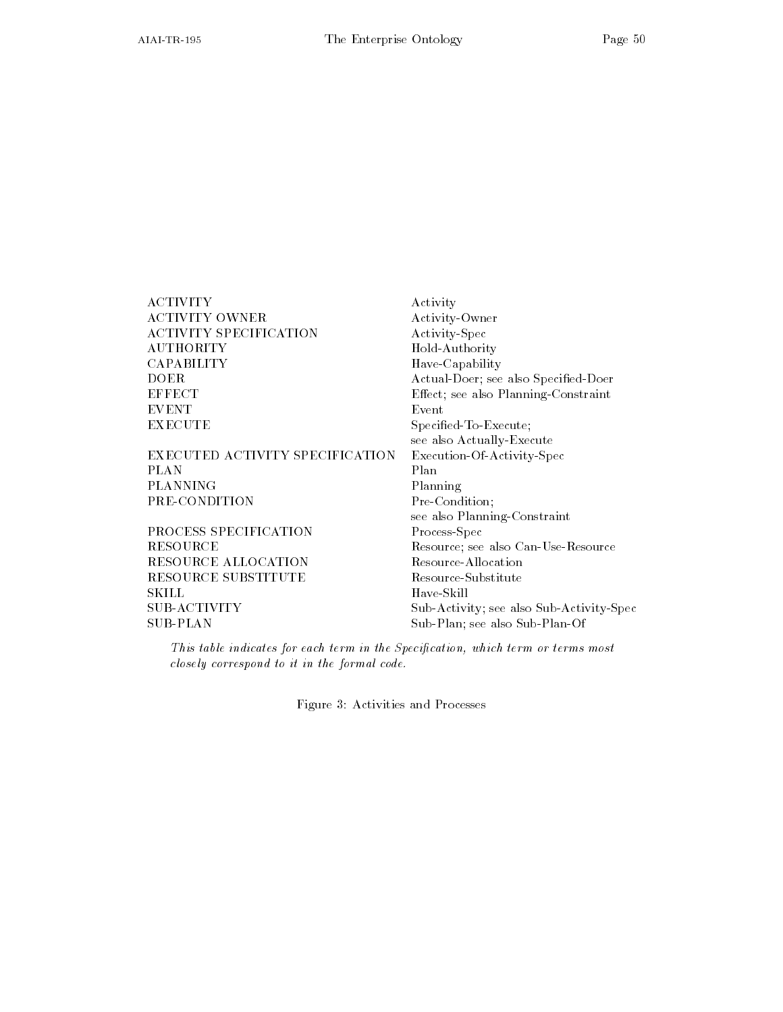| ACTIVITY                        | Activity                                 |
|---------------------------------|------------------------------------------|
| <b>ACTIVITY OWNER</b>           | Activity-Owner                           |
| <b>ACTIVITY SPECIFICATION</b>   | Activity-Spec                            |
| <b>AUTHORITY</b>                | Hold-Authority                           |
| CAPABILITY                      | Have-Capability                          |
| DOER                            | Actual-Doer; see also Specified-Doer     |
| <b>EFFECT</b>                   | Effect; see also Planning-Constraint     |
| <b>EVENT</b>                    | Event                                    |
| <b>EXECUTE</b>                  | Specified-To-Execute;                    |
|                                 | see also Actually-Execute                |
| EXECUTED ACTIVITY SPECIFICATION | Execution-Of-Activity-Spec               |
| PLAN                            | Plan                                     |
| PLANNING                        | Planning                                 |
| PRE-CONDITION                   | Pre-Condition:                           |
|                                 | see also Planning-Constraint             |
| PROCESS SPECIFICATION           | Process-Spec                             |
| RESOURCE                        | Resource; see also Can-Use-Resource      |
| RESOURCE ALLOCATION             | Resource-Allocation                      |
| RESOURCE SUBSTITUTE             | Resource-Substitute                      |
| SKILL                           | Have-Skill                               |
| SUB-ACTIVITY                    | Sub-Activity; see also Sub-Activity-Spec |
| SUB-PLAN                        | Sub-Plan; see also Sub-Plan-Of           |

This table indicates for each term in the Specification, which term or terms most closely correspond to it in the formal code-

Figure 3: Activities and Processes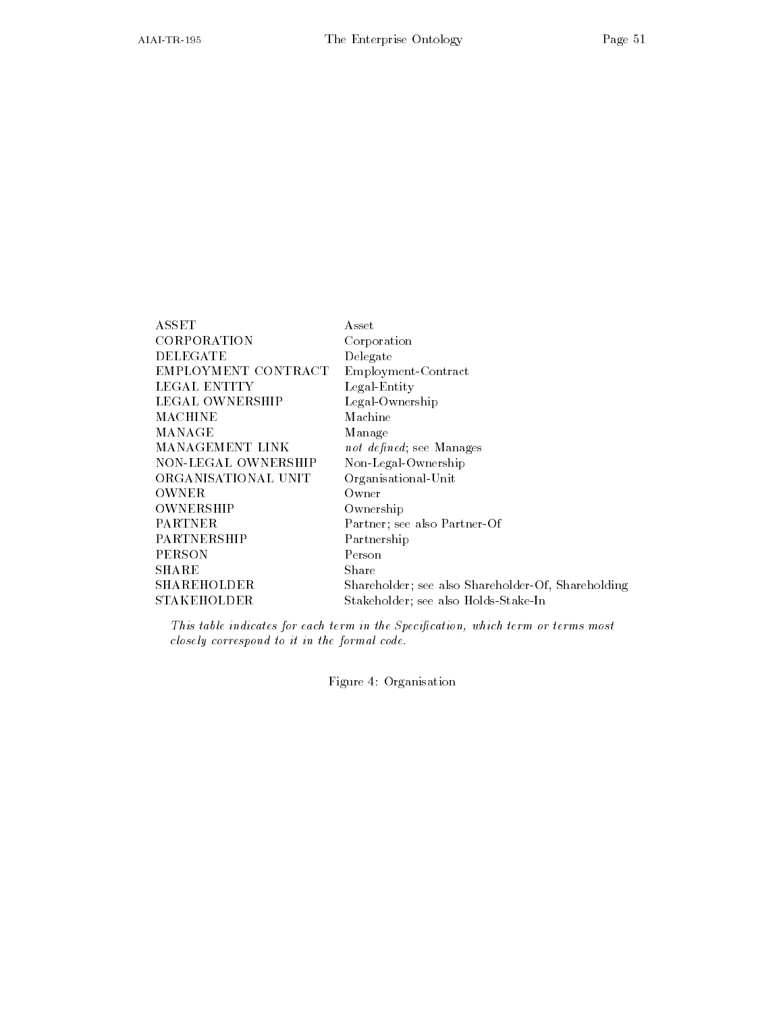| ${\rm ASSET}$       | Asset                                              |
|---------------------|----------------------------------------------------|
| CORPORATION         | Corporation                                        |
| DELEGATE            | Delegate                                           |
| EMPLOYMENT CONTRACT | Employment-Contract                                |
| LEGAL ENTITY        | Legal-Entity                                       |
| LEGAL OWNERSHIP     | Legal-Ownership                                    |
| MACHINE             | Machine                                            |
| MANAGE              | Manage                                             |
| MANAGEMENT LINK     | not defined; see Manages                           |
| NON-LEGAL OWNERSHIP | Non-Legal-Ownership                                |
| ORGANISATIONAL UNIT | Organisational-Unit                                |
| OWNER               | Owner                                              |
| OWNERSHIP           | Ownership                                          |
| PARTNER             | Partner; see also Partner-Of                       |
| PARTNERSHIP         | Partnership                                        |
| PERSON              | Person                                             |
| SHARE               | Share                                              |
| SHAREHOLDER         | Shareholder; see also Shareholder-Of, Shareholding |
| STAKEHOLDER         | Stakeholder: see also Holds-Stake-In               |

This table indicates for each term in the Specification, which term or terms most closely correspond to it in the formal code.

STAKEHOLDER Stakeholder see also HoldsStakeIn

Figure 4: Organisation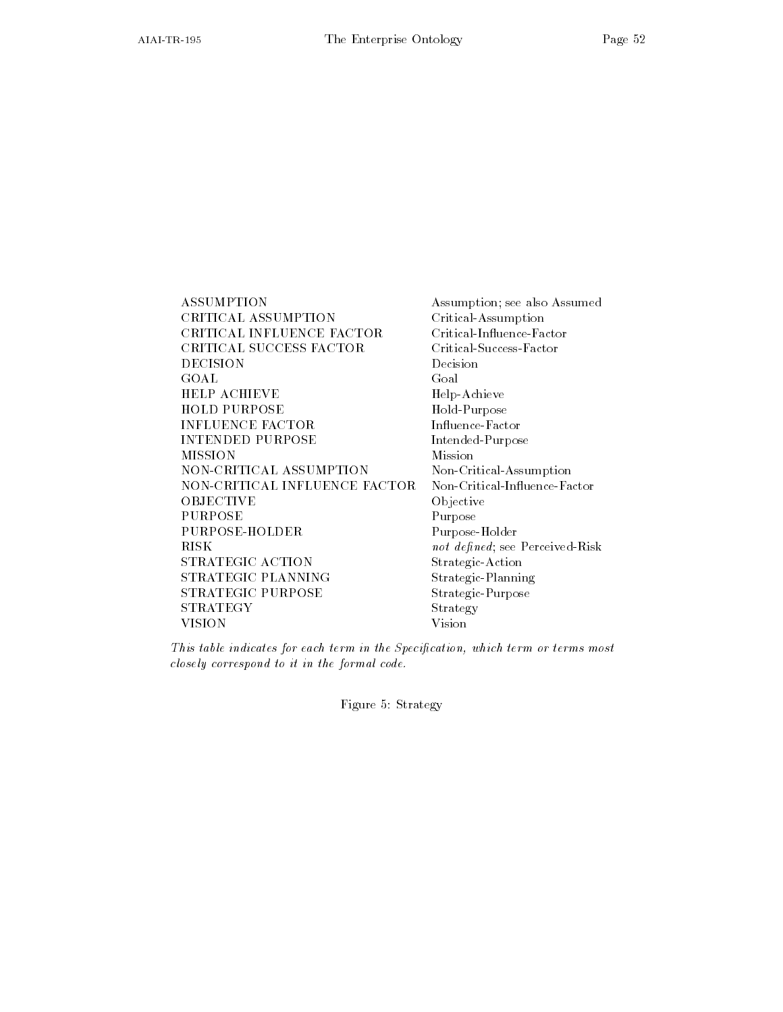ASSUMPTION Assumption; see also Assumed CRITICAL ASSUMPTION Critical-Assumption CRITICAL INFLUENCE FACTOR Critical-Influence-Factor CRITICAL SUCCESS FACTOR DECISION Decision HELP ACHIEVE Help-Achieve HOLD PURPOSE Hold-Purpose INFLUENCE FACTOR Influence-Factor INTENDED PURPOSE Intended-Purpose NON-CRITICAL ASSUMPTION Non-Critical-Assumption NON-CRITICAL INFLUENCE FACTOR Non-Critical-Influence-Factor OBJECTIVE Objective **PURPOSE** PURPOSE-HOLDER Purpose-Holder **RISK** STRATEGIC ACTION Strategic-Action STRATEGIC PLANNING Strategic-Planning STRATEGIC PURPOSE Strategic-Purpose STRATEGY Strategy VISION Vision

Critical-Success-Factor Purpose not defined; see Perceived-Risk

This table indicates for each term in the Specification, which term or terms most closely correspond to it in the formal code.

Figure 5: Strategy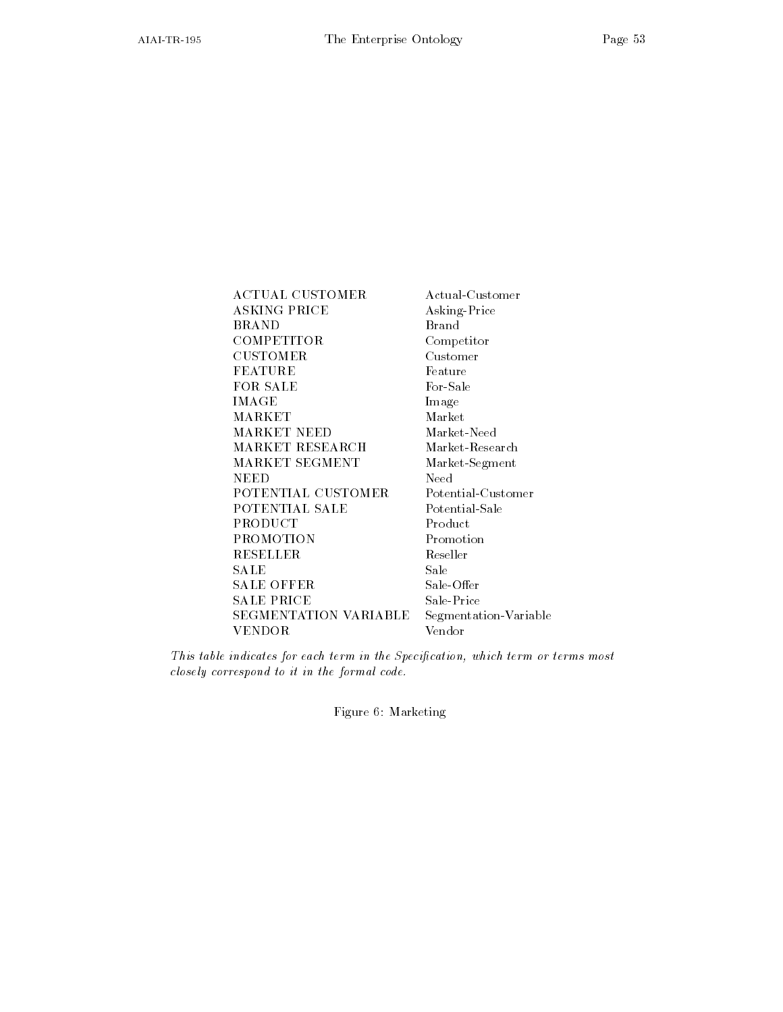ACTUAL CUSTOMER Actual-Customer ASKING PRICE Asking-Price BRAND Brand **COMPETITOR** Competitor CUSTOMER Customer FEATURE Feature FOR SALE For-Sale IMAGE Image MARKET Market MARKET NEED Market-Need MARKET RESEARCH Market-Research MARKET SEGMENT Market-Segment POTENTIAL CUSTOMER Potential-Customer POTENTIAL SALE Potential-Sale **PRODUCT** Product PROMOTION Promotion RESELLER Reseller SALE Sale SALE OFFER Sale-Offer **SALE PRICE** Sale-Price SEGMENTATION VARIABLE Segmentation-Variable VENDOR Vendor

This table indicates for each term in the Specification, which term or terms most closely correspond to it in the formal code.

Figure 6: Marketing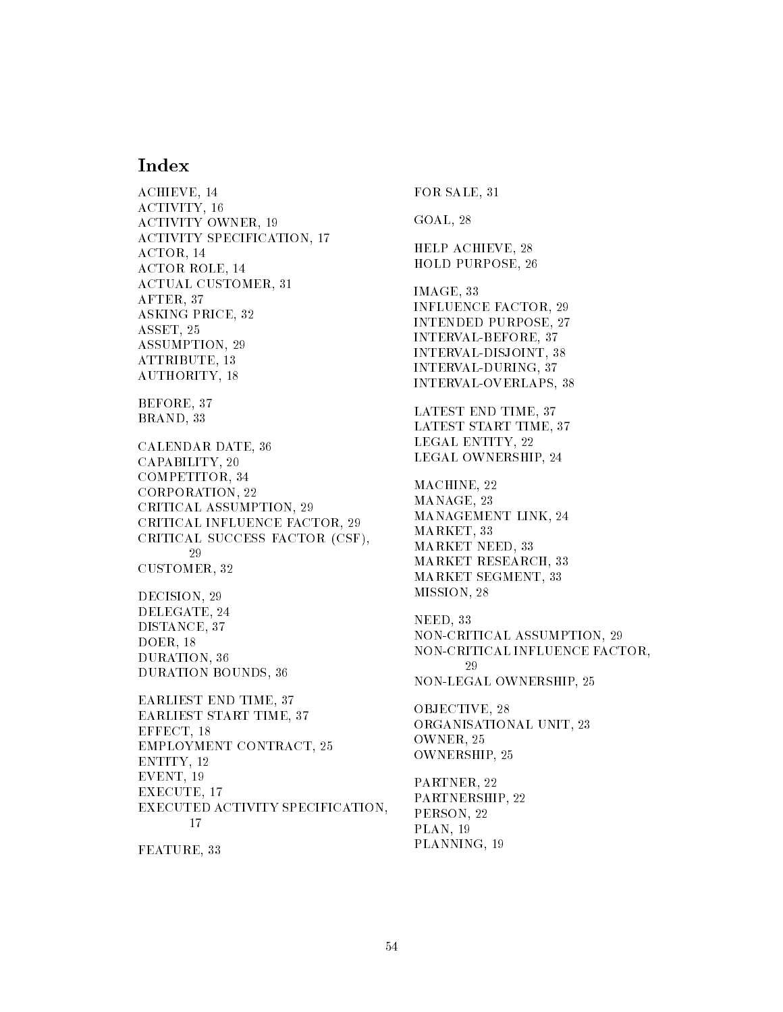## **Index**

ACHIEVE - ACHIEVE - ACHIEVE - ACHIEVE - ACHIEVE - ACHIEVE - ACHIEVE - ACHIEVE - ACHIEVE - ACHIEVE - ACHIEVE -ACTION - ACTION - ACTION - ACTION - ACTION - ACTION - ACTION - ACTION - ACTION - ACTION - ACTION - ACTION - ACTION ACTION OF A RESIDENCE OF A RESIDENCE OF A RESIDENCE OF A RESIDENCE OF A RESIDENCE OF A RESIDENCE OF A RESIDENCE ACTIVITY SPECIFICATION - ACTIVITY SPECIFICATION - ACTIVITY SPECIFICATION - ACTIVITY SPECIFICATION - ACTIVITY SPECIFICATION - ACTIVITY SPECIFICATION - ACTIVITY SPECIFICATION - ACTIVITY SPECIFICATION - ACTIVITY SPECIFICATION ACTOR - ACTOR ROLE - ACTUAL CUSTOMER, 31 AFTER  ASKING PRICE  ASSET ASSUMPTION ATTRIBUTE - ATTRIBUTE - ATTRIBUTE - ATTRIBUTE - ATTRIBUTE - ATTRIBUTE - ATTRIBUTE - ATTRIBUTE - ATTRIBUTE - AT authority - Authority - Authority - Authority - Authority - Authority - Authority - Authority - Authority - Au BEFORE, 37 BRAND, 33 CALENDAR DATE  CAPABILITY COMPETITOR  CORPORATION CRITICAL ASSUMPTION CRITICAL INFLUENCE FACTOR CRITICAL SUCCESS FACTOR (CSF), CUSTOMER  DECISION, 29 DELEGATE, 24 DISTANCE, 37 DOER - DURATION  DURATION BOUNDS  EARLIEST END TIME  EARLIEST START TIME  EFFECT - EMPLOYMENT CONTRACT ENTITY - EVENT - A REPORT - A REPORT - A REPORT - A REPORT - A REPORT - A REPORT - A REPORT - A REPORT - A REPORT - A R Executive and the contract of the contract of the contract of the contract of the contract of the contract of EXECUTED ACTIVITY SPECIFICATION 17 FEATURE, 33

FOR SALE, 31 GOAL<sub>28</sub> HELP ACHIEVE HOLD PURPOSE IMAGE, 33 INFLUENCE FACTOR INTENDED PURPOSE INTERVAL-BEFORE, 37 INTERVAL-DISJOINT, 38 INTERVAL-DURING, 37 INTERVAL-OVERLAPS, 38 LATEST END TIME  LATEST START TIME  LEGAL ENTITY LEGAL OWNERSHIP MACHINE, 22 MANAGE, 23 MANAGEMENT LINK MARKET  MARKET NEED  MARKET RESEARCH  MARKET SEGMENT  MISSION, 28 NEED, 33 NON-CRITICAL ASSUMPTION, 29 NON-CRITICAL INFLUENCE FACTOR, 29 NONLEGAL OWNERSHIP OBJECTIVE, 28 ORGANISATIONAL UNIT 
 OWNER<sub>.25</sub> OWNERSHIP PARTNER PARTNERSHIP PERSON, 22 PLAN - PLAN - PLAN - PLAN - PLAN - PLAN - PLAN - PLAN - PLAN - PLAN - PLAN - PLAN - PLAN - PLAN - PLAN - PLAN

PLANNING - PLANNING - PLANNING - PLANNING - PLANNING - PLANNING - PLANNING - PLANNING - PLANNING - PLANNING -